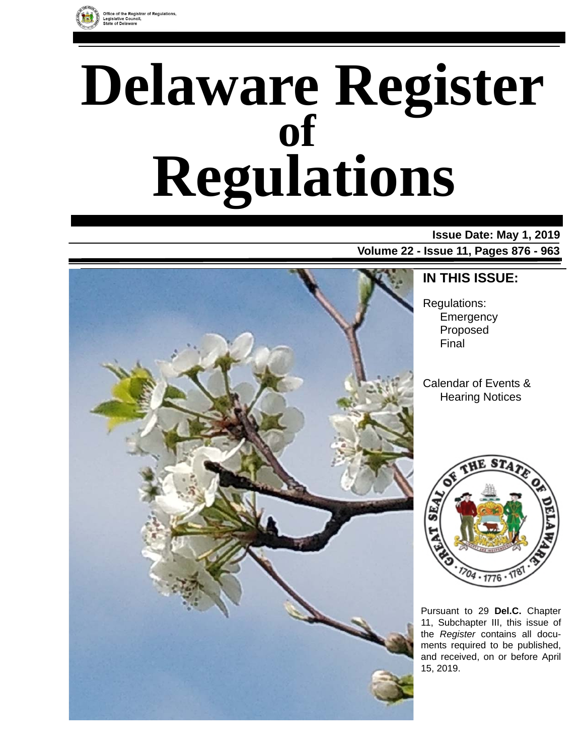

# **Delaware Register Regulations of**

#### **Issue Date: May 1, 2019**

**Volume 22 - Issue 11, Pages 876 - 963**



### **IN THIS ISSUE:**

Regulations: **Emergency** Proposed Final

Calendar of Events & Hearing Notices



Pursuant to 29 **Del.C.** Chapter 11, Subchapter III, this issue of the *Register* contains all documents required to be published, and received, on or before April 15, 2019.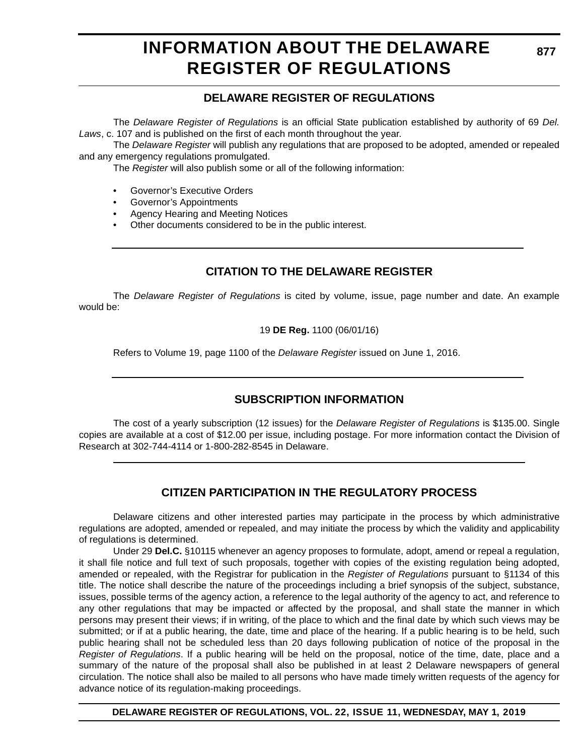### **INFORMATION ABOUT THE DELAWARE REGISTER OF REGULATIONS**

#### **DELAWARE REGISTER OF REGULATIONS**

The *Delaware Register of Regulations* is an official State publication established by authority of 69 *Del. Laws*, c. 107 and is published on the first of each month throughout the year.

The *Delaware Register* will publish any regulations that are proposed to be adopted, amended or repealed and any emergency regulations promulgated.

The *Register* will also publish some or all of the following information:

- Governor's Executive Orders
- Governor's Appointments
- Agency Hearing and Meeting Notices
- Other documents considered to be in the public interest.

#### **CITATION TO THE DELAWARE REGISTER**

The *Delaware Register of Regulations* is cited by volume, issue, page number and date. An example would be:

19 **DE Reg.** 1100 (06/01/16)

Refers to Volume 19, page 1100 of the *Delaware Register* issued on June 1, 2016.

#### **SUBSCRIPTION INFORMATION**

The cost of a yearly subscription (12 issues) for the *Delaware Register of Regulations* is \$135.00. Single copies are available at a cost of \$12.00 per issue, including postage. For more information contact the Division of Research at 302-744-4114 or 1-800-282-8545 in Delaware.

#### **CITIZEN PARTICIPATION IN THE REGULATORY PROCESS**

Delaware citizens and other interested parties may participate in the process by which administrative regulations are adopted, amended or repealed, and may initiate the process by which the validity and applicability of regulations is determined.

Under 29 **Del.C.** §10115 whenever an agency proposes to formulate, adopt, amend or repeal a regulation, it shall file notice and full text of such proposals, together with copies of the existing regulation being adopted, amended or repealed, with the Registrar for publication in the *Register of Regulations* pursuant to §1134 of this title. The notice shall describe the nature of the proceedings including a brief synopsis of the subject, substance, issues, possible terms of the agency action, a reference to the legal authority of the agency to act, and reference to any other regulations that may be impacted or affected by the proposal, and shall state the manner in which persons may present their views; if in writing, of the place to which and the final date by which such views may be submitted; or if at a public hearing, the date, time and place of the hearing. If a public hearing is to be held, such public hearing shall not be scheduled less than 20 days following publication of notice of the proposal in the *Register of Regulations*. If a public hearing will be held on the proposal, notice of the time, date, place and a summary of the nature of the proposal shall also be published in at least 2 Delaware newspapers of general circulation. The notice shall also be mailed to all persons who have made timely written requests of the agency for advance notice of its regulation-making proceedings.

**DELAWARE REGISTER OF REGULATIONS, VOL. 22, ISSUE 11, WEDNESDAY, MAY 1, 2019**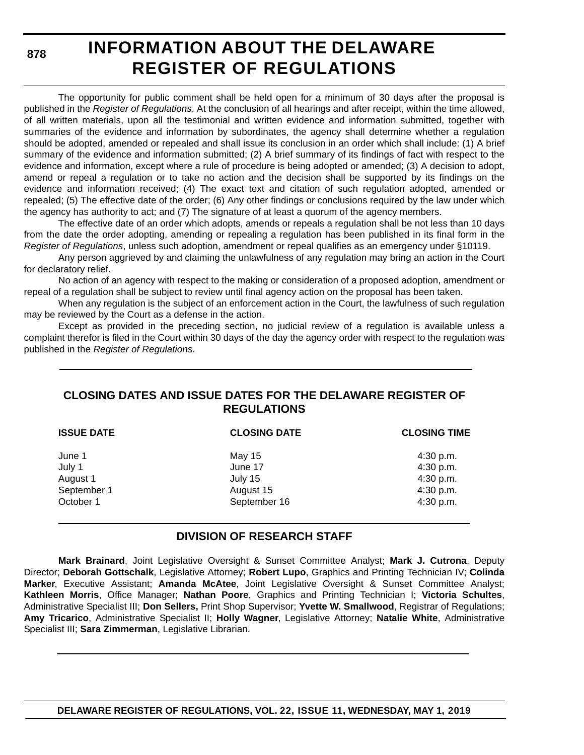**878**

# **INFORMATION ABOUT THE DELAWARE REGISTER OF REGULATIONS**

The opportunity for public comment shall be held open for a minimum of 30 days after the proposal is published in the *Register of Regulations*. At the conclusion of all hearings and after receipt, within the time allowed, of all written materials, upon all the testimonial and written evidence and information submitted, together with summaries of the evidence and information by subordinates, the agency shall determine whether a regulation should be adopted, amended or repealed and shall issue its conclusion in an order which shall include: (1) A brief summary of the evidence and information submitted; (2) A brief summary of its findings of fact with respect to the evidence and information, except where a rule of procedure is being adopted or amended; (3) A decision to adopt, amend or repeal a regulation or to take no action and the decision shall be supported by its findings on the evidence and information received; (4) The exact text and citation of such regulation adopted, amended or repealed; (5) The effective date of the order; (6) Any other findings or conclusions required by the law under which the agency has authority to act; and (7) The signature of at least a quorum of the agency members.

The effective date of an order which adopts, amends or repeals a regulation shall be not less than 10 days from the date the order adopting, amending or repealing a regulation has been published in its final form in the *Register of Regulations*, unless such adoption, amendment or repeal qualifies as an emergency under §10119.

Any person aggrieved by and claiming the unlawfulness of any regulation may bring an action in the Court for declaratory relief.

No action of an agency with respect to the making or consideration of a proposed adoption, amendment or repeal of a regulation shall be subject to review until final agency action on the proposal has been taken.

When any regulation is the subject of an enforcement action in the Court, the lawfulness of such regulation may be reviewed by the Court as a defense in the action.

Except as provided in the preceding section, no judicial review of a regulation is available unless a complaint therefor is filed in the Court within 30 days of the day the agency order with respect to the regulation was published in the *Register of Regulations*.

#### **CLOSING DATES AND ISSUE DATES FOR THE DELAWARE REGISTER OF REGULATIONS**

| <b>CLOSING DATE</b> | <b>CLOSING TIME</b> |  |
|---------------------|---------------------|--|
| May 15              | 4:30 p.m.           |  |
| June 17             | 4:30 p.m.           |  |
| July 15             | 4:30 p.m.           |  |
| August 15           | 4:30 p.m.           |  |
| September 16        | 4:30 p.m.           |  |
|                     |                     |  |

#### **DIVISION OF RESEARCH STAFF**

**Mark Brainard**, Joint Legislative Oversight & Sunset Committee Analyst; **Mark J. Cutrona**, Deputy Director; **Deborah Gottschalk**, Legislative Attorney; **Robert Lupo**, Graphics and Printing Technician IV; **Colinda Marker**, Executive Assistant; **Amanda McAtee**, Joint Legislative Oversight & Sunset Committee Analyst; **Kathleen Morris**, Office Manager; **Nathan Poore**, Graphics and Printing Technician I; **Victoria Schultes**, Administrative Specialist III; **Don Sellers,** Print Shop Supervisor; **Yvette W. Smallwood**, Registrar of Regulations; **Amy Tricarico**, Administrative Specialist II; **Holly Wagner**, Legislative Attorney; **Natalie White**, Administrative Specialist III; **Sara Zimmerman**, Legislative Librarian.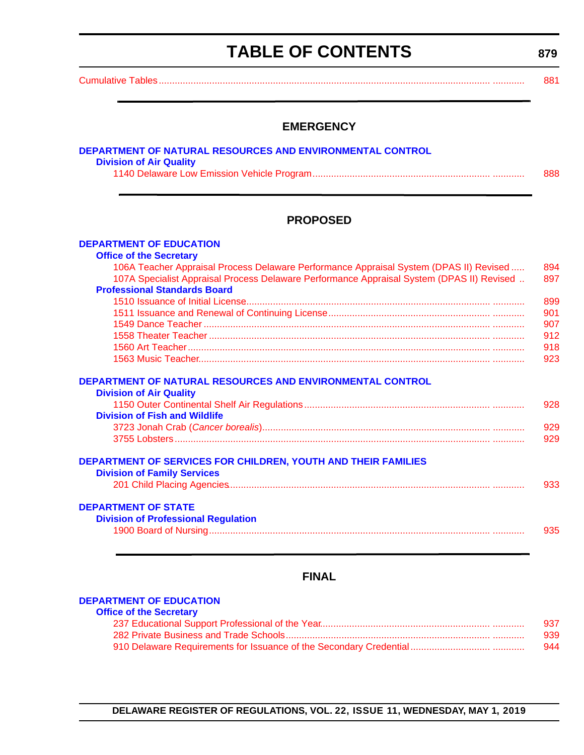# **TABLE OF CONTENTS**

**879**

<span id="page-3-0"></span>[Cumulative Tables............................................................................................................................. ............ 881](#page-5-0)

#### **EMERGENCY**

| DEPARTMENT OF NATURAL RESOURCES AND ENVIRONMENTAL CONTROL |     |
|-----------------------------------------------------------|-----|
| <b>Division of Air Quality</b>                            |     |
|                                                           | 888 |
|                                                           |     |

#### **PROPOSED**

| <b>DEPARTMENT OF EDUCATION</b>                                                                             |     |
|------------------------------------------------------------------------------------------------------------|-----|
| <b>Office of the Secretary</b>                                                                             |     |
| 106A Teacher Appraisal Process Delaware Performance Appraisal System (DPAS II) Revised                     | 894 |
| 107A Specialist Appraisal Process Delaware Performance Appraisal System (DPAS II) Revised                  | 897 |
| <b>Professional Standards Board</b>                                                                        |     |
|                                                                                                            | 899 |
|                                                                                                            | 901 |
|                                                                                                            | 907 |
|                                                                                                            | 912 |
|                                                                                                            | 918 |
|                                                                                                            | 923 |
| DEPARTMENT OF NATURAL RESOURCES AND ENVIRONMENTAL CONTROL<br><b>Division of Air Quality</b>                |     |
|                                                                                                            | 928 |
| <b>Division of Fish and Wildlife</b>                                                                       |     |
|                                                                                                            | 929 |
|                                                                                                            | 929 |
|                                                                                                            |     |
| <b>DEPARTMENT OF SERVICES FOR CHILDREN, YOUTH AND THEIR FAMILIES</b><br><b>Division of Family Services</b> |     |
|                                                                                                            | 933 |
| <b>DEPARTMENT OF STATE</b>                                                                                 |     |
| <b>Division of Professional Regulation</b>                                                                 |     |
|                                                                                                            | 935 |

#### **FINAL**

#### **[DEPARTMENT OF EDUCATION](https://www.doe.k12.de.us/)**

| <b>Office of the Secretary</b> |     |
|--------------------------------|-----|
|                                | 937 |
|                                | 939 |
|                                | 944 |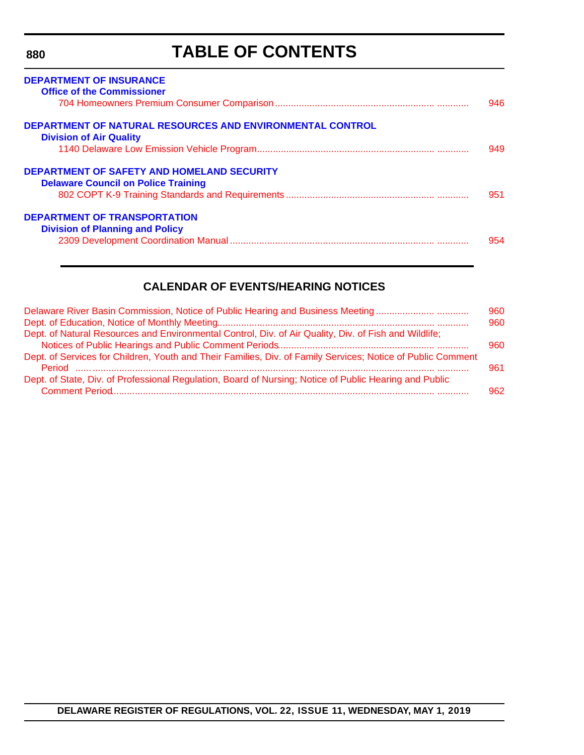**880**

# **TABLE OF CONTENTS**

| <b>DEPARTMENT OF INSURANCE</b><br><b>Office of the Commissioner</b>                                | 946  |
|----------------------------------------------------------------------------------------------------|------|
|                                                                                                    |      |
| <b>DEPARTMENT OF NATURAL RESOURCES AND ENVIRONMENTAL CONTROL</b><br><b>Division of Air Quality</b> |      |
|                                                                                                    | 949. |
| DEPARTMENT OF SAFETY AND HOMELAND SECURITY<br><b>Delaware Council on Police Training</b>           | 951  |
|                                                                                                    |      |
| <b>DEPARTMENT OF TRANSPORTATION</b>                                                                |      |
| <b>Division of Planning and Policy</b>                                                             | 954  |

#### **CALENDAR OF EVENTS/HEARING NOTICES**

| Delaware River Basin Commission, Notice of Public Hearing and Business Meeting                              | 960 |
|-------------------------------------------------------------------------------------------------------------|-----|
|                                                                                                             | 960 |
| Dept. of Natural Resources and Environmental Control, Div. of Air Quality, Div. of Fish and Wildlife;       |     |
|                                                                                                             | 960 |
| Dept. of Services for Children, Youth and Their Families, Div. of Family Services; Notice of Public Comment | 961 |
| Dept. of State, Div. of Professional Regulation, Board of Nursing; Notice of Public Hearing and Public      | 962 |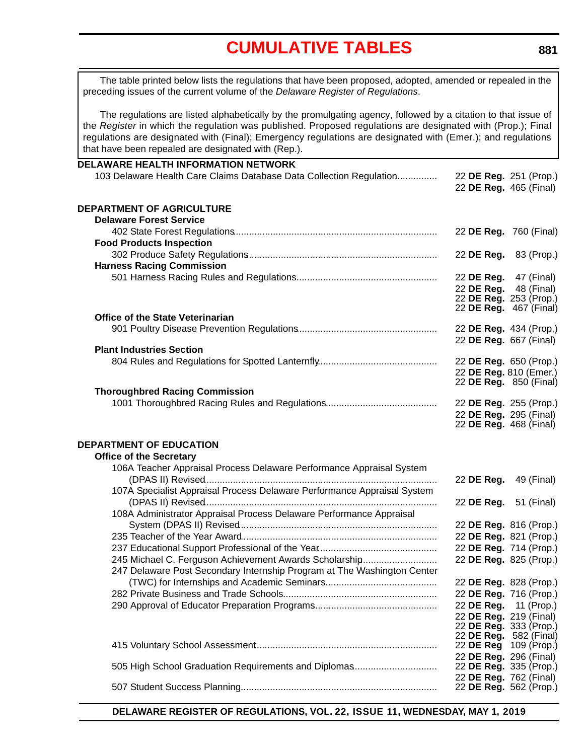<span id="page-5-0"></span>The table printed below lists the regulations that have been proposed, adopted, amended or repealed in the preceding issues of the current volume of the *Delaware Register of Regulations*.

The regulations are listed alphabetically by the promulgating agency, followed by a citation to that issue of the *Register* in which the regulation was published. Proposed regulations are designated with (Prop.); Final regulations are designated with (Final); Emergency regulations are designated with (Emer.); and regulations that have been repealed are designated with (Rep.).

| DELAWARE HEALTH INFORMATION NETWORK                                     |                                                  |            |
|-------------------------------------------------------------------------|--------------------------------------------------|------------|
| 103 Delaware Health Care Claims Database Data Collection Regulation     | 22 DE Reg. 251 (Prop.)<br>22 DE Reg. 465 (Final) |            |
| DEPARTMENT OF AGRICULTURE                                               |                                                  |            |
| <b>Delaware Forest Service</b>                                          |                                                  |            |
|                                                                         | 22 DE Reg. 760 (Final)                           |            |
| <b>Food Products Inspection</b>                                         |                                                  |            |
|                                                                         | 22 DE Reg. 83 (Prop.)                            |            |
| <b>Harness Racing Commission</b>                                        |                                                  |            |
|                                                                         | 22 DE Reg. 47 (Final)                            |            |
|                                                                         | 22 DE Reg.                                       | 48 (Final) |
|                                                                         | 22 DE Reg. 253 (Prop.)<br>22 DE Reg. 467 (Final) |            |
| <b>Office of the State Veterinarian</b>                                 |                                                  |            |
|                                                                         | 22 DE Reg. 434 (Prop.)                           |            |
|                                                                         | 22 DE Reg. 667 (Final)                           |            |
| <b>Plant Industries Section</b>                                         |                                                  |            |
|                                                                         | 22 DE Reg. 650 (Prop.)                           |            |
|                                                                         | 22 DE Reg. 810 (Emer.)                           |            |
|                                                                         | 22 <b>DE Reg.</b> 850 (Final)                    |            |
| <b>Thoroughbred Racing Commission</b>                                   |                                                  |            |
|                                                                         | 22 DE Reg. 255 (Prop.)<br>22 DE Reg. 295 (Final) |            |
|                                                                         | 22 DE Reg. 468 (Final)                           |            |
|                                                                         |                                                  |            |
| <b>DEPARTMENT OF EDUCATION</b>                                          |                                                  |            |
| <b>Office of the Secretary</b>                                          |                                                  |            |
| 106A Teacher Appraisal Process Delaware Performance Appraisal System    |                                                  |            |
|                                                                         | 22 DE Reg. 49 (Final)                            |            |
| 107A Specialist Appraisal Process Delaware Performance Appraisal System |                                                  |            |
|                                                                         | 22 <b>DE Reg.</b> 51 (Final)                     |            |
| 108A Administrator Appraisal Process Delaware Performance Appraisal     |                                                  |            |
|                                                                         | 22 DE Reg. 816 (Prop.)                           |            |
|                                                                         | 22 DE Reg. 821 (Prop.)                           |            |
|                                                                         | 22 DE Reg. 714 (Prop.)                           |            |
| 245 Michael C. Ferguson Achievement Awards Scholarship                  | 22 DE Reg. 825 (Prop.)                           |            |
| 247 Delaware Post Secondary Internship Program at The Washington Center |                                                  |            |
|                                                                         | 22 DE Reg. 828 (Prop.)                           |            |
|                                                                         | 22 DE Reg. 716 (Prop.)                           |            |
|                                                                         | 22 DE Reg.                                       | 11 (Prop.) |
|                                                                         | 22 DE Reg. 219 (Final)<br>22 DE Reg. 333 (Prop.) |            |
|                                                                         | 22 DE Reg. 582 (Final)                           |            |
|                                                                         | 22 DE Reg 109 (Prop.)                            |            |
|                                                                         | 22 DE Reg. 296 (Final)                           |            |
| 505 High School Graduation Requirements and Diplomas                    | 22 DE Reg. 335 (Prop.)                           |            |
|                                                                         | 22 DE Reg. 762 (Final)<br>22 DE Reg. 562 (Prop.) |            |
|                                                                         |                                                  |            |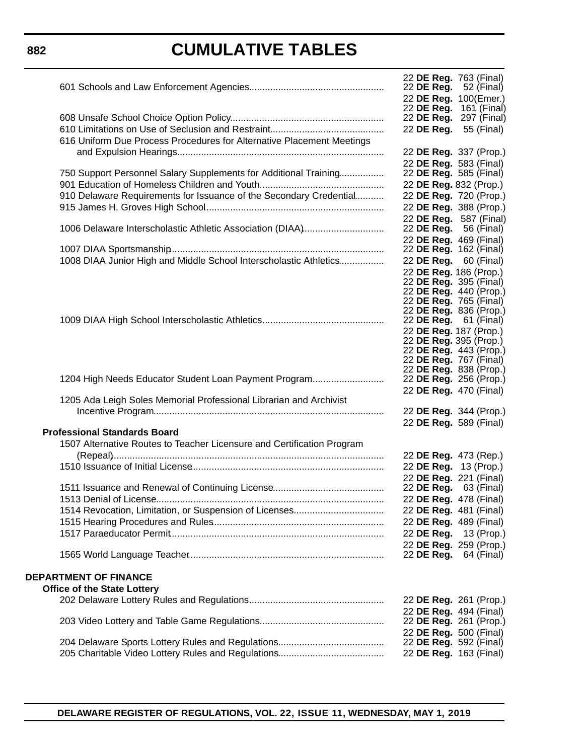#### **882**

### **CUMULATIVE TABLES**

|                                                                        | 22 DE Reg. 763 (Final)<br>22 <b>DE Reg.</b> 52 (Final)  |                        |
|------------------------------------------------------------------------|---------------------------------------------------------|------------------------|
|                                                                        | 22 DE Reg. 100(Emer.)                                   |                        |
|                                                                        | 22 <b>DE Reg.</b> 161 (Final)<br>22 DE Reg. 297 (Final) |                        |
|                                                                        | 22 DE Reg. 55 (Final)                                   |                        |
| 616 Uniform Due Process Procedures for Alternative Placement Meetings  |                                                         |                        |
|                                                                        | 22 DE Reg. 337 (Prop.)                                  |                        |
|                                                                        | 22 DE Reg. 583 (Final)                                  |                        |
| 750 Support Personnel Salary Supplements for Additional Training       | 22 DE Reg. 585 (Final)                                  |                        |
|                                                                        | 22 DE Reg. 832 (Prop.)                                  |                        |
| 910 Delaware Requirements for Issuance of the Secondary Credential     |                                                         | 22 DE Reg. 720 (Prop.) |
|                                                                        | 22 DE Reg. 388 (Prop.)                                  |                        |
|                                                                        | 22 DE Reg. 587 (Final)                                  |                        |
| 1006 Delaware Interscholastic Athletic Association (DIAA)              | 22 DE Reg.                                              | 56 (Final)             |
|                                                                        | 22 DE Reg. 469 (Final)                                  |                        |
|                                                                        | 22 DE Reg. 162 (Final)                                  |                        |
| 1008 DIAA Junior High and Middle School Interscholastic Athletics      | 22 DE Reg. 60 (Final)                                   |                        |
|                                                                        | 22 DE Reg. 186 (Prop.)<br>22 <b>DE Reg.</b> 395 (Final) |                        |
|                                                                        | 22 DE Reg. 440 (Prop.)                                  |                        |
|                                                                        | 22 DE Reg. 765 (Final)                                  |                        |
|                                                                        | 22 DE Reg. 836 (Prop.)                                  |                        |
|                                                                        | 22 <b>DE Reg.</b> 61 (Final)<br>22 DE Reg. 187 (Prop.)  |                        |
|                                                                        | 22 DE Reg. 395 (Prop.)                                  |                        |
|                                                                        | 22 DE Reg. 443 (Prop.)                                  |                        |
|                                                                        | 22 DE Reg. 767 (Final)                                  |                        |
|                                                                        | 22 DE Reg. 838 (Prop.)                                  |                        |
| 1204 High Needs Educator Student Loan Payment Program                  | 22 <b>DE Reg.</b> 256 (Prop.)<br>22 DE Reg. 470 (Final) |                        |
| 1205 Ada Leigh Soles Memorial Professional Librarian and Archivist     |                                                         |                        |
|                                                                        | 22 DE Reg. 344 (Prop.)                                  |                        |
|                                                                        | 22 DE Reg. 589 (Final)                                  |                        |
| <b>Professional Standards Board</b>                                    |                                                         |                        |
| 1507 Alternative Routes to Teacher Licensure and Certification Program |                                                         |                        |
|                                                                        | 22 DE Reg. 473 (Rep.)                                   |                        |
|                                                                        | 22 DE Reg. 13 (Prop.)                                   |                        |
|                                                                        | 22 DE Reg. 221 (Final)                                  |                        |
|                                                                        | 22 <b>DE Reg.</b> 63 (Final)                            |                        |
|                                                                        | 22 DE Reg. 478 (Final)                                  |                        |
|                                                                        | 22 DE Reg. 481 (Final)<br>22 DE Reg. 489 (Final)        |                        |
|                                                                        |                                                         | 22 DE Reg. 13 (Prop.)  |
|                                                                        | 22 DE Reg. 259 (Prop.)                                  |                        |
|                                                                        | 22 DE Reg.                                              | 64 (Final)             |
| <b>DEPARTMENT OF FINANCE</b>                                           |                                                         |                        |
| <b>Office of the State Lottery</b>                                     |                                                         |                        |
|                                                                        |                                                         | 22 DE Reg. 261 (Prop.) |
|                                                                        | 22 DE Reg. 494 (Final)                                  |                        |
|                                                                        | 22 DE Reg. 261 (Prop.)                                  |                        |
|                                                                        | 22 DE Reg. 500 (Final)                                  |                        |
|                                                                        | 22 <b>DE Reg.</b> 592 (Final)                           |                        |
|                                                                        | 22 DE Reg. 163 (Final)                                  |                        |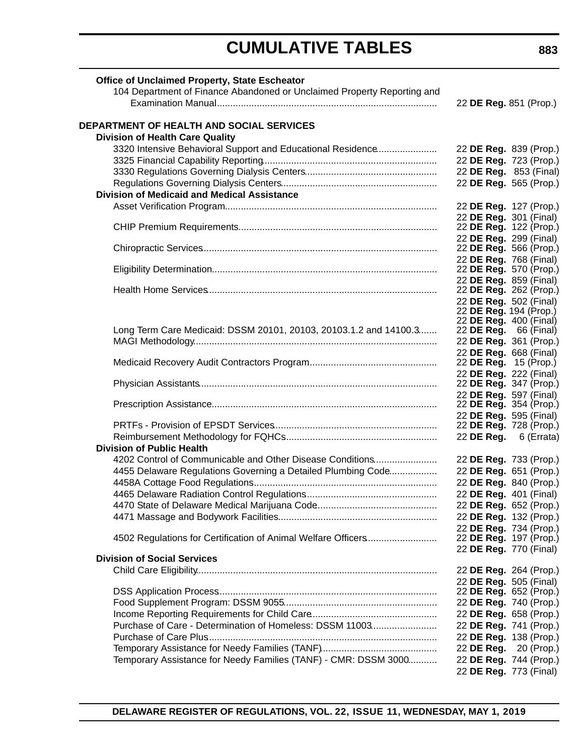| Office of Unclaimed Property, State Escheator                           |                              |                        |
|-------------------------------------------------------------------------|------------------------------|------------------------|
| 104 Department of Finance Abandoned or Unclaimed Property Reporting and |                              |                        |
|                                                                         | 22 DE Reg. 851 (Prop.)       |                        |
| <b>DEPARTMENT OF HEALTH AND SOCIAL SERVICES</b>                         |                              |                        |
| <b>Division of Health Care Quality</b>                                  |                              |                        |
| 3320 Intensive Behavioral Support and Educational Residence             |                              | 22 DE Reg. 839 (Prop.) |
|                                                                         |                              | 22 DE Reg. 723 (Prop.) |
|                                                                         |                              | 22 DE Reg. 853 (Final) |
|                                                                         |                              | 22 DE Reg. 565 (Prop.) |
| <b>Division of Medicaid and Medical Assistance</b>                      |                              |                        |
|                                                                         |                              |                        |
|                                                                         |                              | 22 DE Reg. 127 (Prop.) |
|                                                                         | 22 DE Reg. 301 (Final)       |                        |
|                                                                         |                              | 22 DE Reg. 122 (Prop.) |
|                                                                         | 22 DE Reg. 299 (Final)       |                        |
|                                                                         |                              | 22 DE Reg. 566 (Prop.) |
|                                                                         | 22 DE Reg. 768 (Final)       |                        |
|                                                                         |                              | 22 DE Reg. 570 (Prop.) |
|                                                                         | 22 DE Reg. 859 (Final)       |                        |
|                                                                         |                              | 22 DE Reg. 262 (Prop.) |
|                                                                         | 22 DE Reg. 502 (Final)       |                        |
|                                                                         | 22 DE Reg. 194 (Prop.)       |                        |
|                                                                         | 22 DE Reg. 400 (Final)       |                        |
| Long Term Care Medicaid: DSSM 20101, 20103, 20103.1.2 and 14100.3       | 22 <b>DE Reg.</b> 66 (Final) |                        |
|                                                                         | 22 DE Reg. 361 (Prop.)       |                        |
|                                                                         | 22 DE Reg. 668 (Final)       |                        |
|                                                                         | 22 DE Reg. 15 (Prop.)        |                        |
|                                                                         | 22 DE Reg. 222 (Final)       |                        |
|                                                                         |                              | 22 DE Reg. 347 (Prop.) |
|                                                                         | 22 DE Reg. 597 (Final)       |                        |
|                                                                         |                              | 22 DE Reg. 354 (Prop.) |
|                                                                         | 22 DE Reg. 595 (Final)       |                        |
|                                                                         |                              | 22 DE Reg. 728 (Prop.) |
|                                                                         |                              | 22 DE Reg. 6 (Errata)  |
| <b>Division of Public Health</b>                                        |                              |                        |
| 4202 Control of Communicable and Other Disease Conditions               |                              | 22 DE Reg. 733 (Prop.) |
| 4455 Delaware Regulations Governing a Detailed Plumbing Code            |                              | 22 DE Reg. 651 (Prop.) |
|                                                                         |                              | 22 DE Reg. 840 (Prop.) |
|                                                                         | 22 DE Reg. 401 (Final)       |                        |
|                                                                         |                              | 22 DE Reg. 652 (Prop.) |
|                                                                         |                              |                        |
|                                                                         |                              | 22 DE Reg. 132 (Prop.) |
|                                                                         |                              | 22 DE Reg. 734 (Prop.) |
| 4502 Regulations for Certification of Animal Welfare Officers           |                              | 22 DE Reg. 197 (Prop.) |
|                                                                         | 22 DE Reg. 770 (Final)       |                        |
| <b>Division of Social Services</b>                                      |                              |                        |
|                                                                         |                              | 22 DE Reg. 264 (Prop.) |
|                                                                         |                              | 22 DE Reg. 505 (Final) |
|                                                                         |                              | 22 DE Reg. 652 (Prop.) |
|                                                                         |                              | 22 DE Reg. 740 (Prop.) |
|                                                                         |                              | 22 DE Reg. 658 (Prop.) |
| Purchase of Care - Determination of Homeless: DSSM 11003                |                              | 22 DE Reg. 741 (Prop.) |
|                                                                         |                              | 22 DE Reg. 138 (Prop.) |
|                                                                         |                              | 22 DE Reg. 20 (Prop.)  |
| Temporary Assistance for Needy Families (TANF) - CMR: DSSM 3000         |                              | 22 DE Reg. 744 (Prop.) |
|                                                                         | 22 DE Reg. 773 (Final)       |                        |
|                                                                         |                              |                        |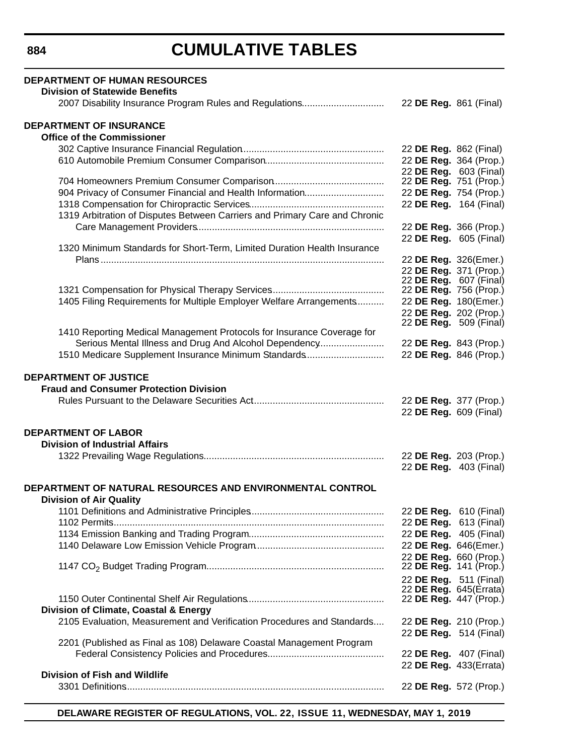| <b>DEPARTMENT OF HUMAN RESOURCES</b><br><b>Division of Statewide Benefits</b>               |                                                  |  |
|---------------------------------------------------------------------------------------------|--------------------------------------------------|--|
| 2007 Disability Insurance Program Rules and Regulations                                     | 22 DE Reg. 861 (Final)                           |  |
| <b>DEPARTMENT OF INSURANCE</b><br><b>Office of the Commissioner</b>                         |                                                  |  |
|                                                                                             | 22 DE Reg. 862 (Final)                           |  |
|                                                                                             | 22 DE Reg. 364 (Prop.)                           |  |
|                                                                                             | 22 DE Reg. 603 (Final)                           |  |
|                                                                                             | 22 DE Reg. 751 (Prop.)                           |  |
| 904 Privacy of Consumer Financial and Health Information                                    | 22 DE Reg. 754 (Prop.)                           |  |
|                                                                                             | 22 DE Reg. 164 (Final)                           |  |
| 1319 Arbitration of Disputes Between Carriers and Primary Care and Chronic                  |                                                  |  |
|                                                                                             | 22 DE Reg. 366 (Prop.)                           |  |
|                                                                                             | 22 DE Reg. 605 (Final)                           |  |
| 1320 Minimum Standards for Short-Term, Limited Duration Health Insurance                    |                                                  |  |
|                                                                                             | 22 DE Reg. 326(Emer.)                            |  |
|                                                                                             | 22 DE Reg. 371 (Prop.)                           |  |
|                                                                                             | 22 DE Reg. 607 (Final)                           |  |
|                                                                                             | 22 DE Reg. 756 (Prop.)                           |  |
| 1405 Filing Requirements for Multiple Employer Welfare Arrangements                         | 22 DE Reg. 180(Emer.)                            |  |
|                                                                                             | 22 DE Reg. 202 (Prop.)                           |  |
|                                                                                             | 22 DE Reg. 509 (Final)                           |  |
| 1410 Reporting Medical Management Protocols for Insurance Coverage for                      |                                                  |  |
| Serious Mental Illness and Drug And Alcohol Dependency                                      | 22 DE Reg. 843 (Prop.)                           |  |
| 1510 Medicare Supplement Insurance Minimum Standards                                        | 22 DE Reg. 846 (Prop.)                           |  |
| <b>DEPARTMENT OF JUSTICE</b><br><b>Fraud and Consumer Protection Division</b>               | 22 DE Reg. 377 (Prop.)<br>22 DE Reg. 609 (Final) |  |
|                                                                                             |                                                  |  |
| <b>DEPARTMENT OF LABOR</b>                                                                  |                                                  |  |
| <b>Division of Industrial Affairs</b>                                                       |                                                  |  |
|                                                                                             | 22 DE Reg. 203 (Prop.)                           |  |
|                                                                                             | 22 DE Reg. 403 (Final)                           |  |
| DEPARTMENT OF NATURAL RESOURCES AND ENVIRONMENTAL CONTROL<br><b>Division of Air Quality</b> |                                                  |  |
|                                                                                             | 22 DE Reg. 610 (Final)                           |  |
|                                                                                             | 22 DE Reg. 613 (Final)                           |  |
|                                                                                             | 22 DE Reg. 405 (Final)                           |  |
|                                                                                             | 22 DE Reg. 646(Emer.)                            |  |
|                                                                                             | 22 DE Reg. 660 (Prop.)                           |  |
|                                                                                             | 22 DE Reg. 141 (Prop.)                           |  |
|                                                                                             | 22 DE Reg. 511 (Final)                           |  |
|                                                                                             | 22 DE Reg. 645(Errata)                           |  |
|                                                                                             | 22 DE Reg. 447 (Prop.)                           |  |
| Division of Climate, Coastal & Energy                                                       |                                                  |  |
| 2105 Evaluation, Measurement and Verification Procedures and Standards                      | 22 DE Reg. 210 (Prop.)                           |  |
|                                                                                             | 22 DE Reg. 514 (Final)                           |  |
| 2201 (Published as Final as 108) Delaware Coastal Management Program                        |                                                  |  |
|                                                                                             | 22 <b>DE Reg.</b> 407 (Final)                    |  |
|                                                                                             | 22 DE Reg. 433(Errata)                           |  |
| <b>Division of Fish and Wildlife</b>                                                        |                                                  |  |
|                                                                                             | 22 DE Reg. 572 (Prop.)                           |  |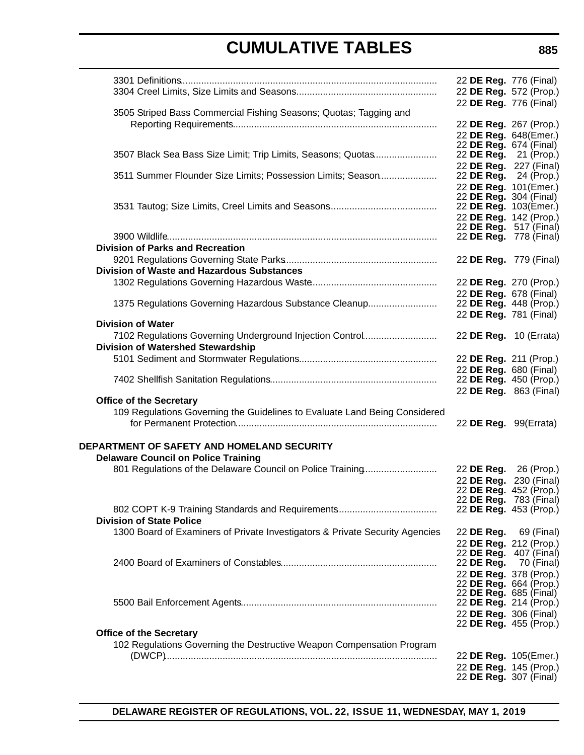|                                                                              | 22 DE Reg. 776 (Final)                           |             |
|------------------------------------------------------------------------------|--------------------------------------------------|-------------|
|                                                                              | 22 DE Reg. 572 (Prop.)                           |             |
|                                                                              | 22 DE Reg. 776 (Final)                           |             |
| 3505 Striped Bass Commercial Fishing Seasons; Quotas; Tagging and            |                                                  |             |
|                                                                              | 22 DE Reg. 267 (Prop.)                           |             |
|                                                                              | 22 DE Reg. 648(Emer.)<br>22 DE Reg. 674 (Final)  |             |
| 3507 Black Sea Bass Size Limit; Trip Limits, Seasons; Quotas                 | 22 <b>DE Reg.</b> 21 (Prop.)                     |             |
|                                                                              | 22 DE Reg. 227 (Final)                           |             |
| 3511 Summer Flounder Size Limits; Possession Limits; Season                  | 22 <b>DE Reg.</b> 24 (Prop.)                     |             |
|                                                                              | 22 DE Reg. 101(Emer.)                            |             |
|                                                                              | 22 DE Reg. 304 (Final)<br>22 DE Reg. 103(Emer.)  |             |
|                                                                              | 22 DE Reg. 142 (Prop.)                           |             |
|                                                                              | 22 DE Reg. 517 (Final)                           |             |
|                                                                              | 22 DE Reg. 778 (Final)                           |             |
| <b>Division of Parks and Recreation</b>                                      |                                                  |             |
|                                                                              | 22 DE Reg. 779 (Final)                           |             |
| <b>Division of Waste and Hazardous Substances</b>                            |                                                  |             |
|                                                                              | 22 DE Reg. 270 (Prop.)<br>22 DE Reg. 678 (Final) |             |
| 1375 Regulations Governing Hazardous Substance Cleanup                       | 22 DE Reg. 448 (Prop.)                           |             |
|                                                                              | 22 DE Reg. 781 (Final)                           |             |
| <b>Division of Water</b>                                                     |                                                  |             |
| 7102 Regulations Governing Underground Injection Control                     | 22 DE Reg. 10 (Errata)                           |             |
| <b>Division of Watershed Stewardship</b>                                     |                                                  |             |
|                                                                              | 22 DE Reg. 211 (Prop.)                           |             |
|                                                                              | 22 DE Reg. 680 (Final)<br>22 DE Reg. 450 (Prop.) |             |
|                                                                              | 22 DE Reg. 863 (Final)                           |             |
| <b>Office of the Secretary</b>                                               |                                                  |             |
| 109 Regulations Governing the Guidelines to Evaluate Land Being Considered   |                                                  |             |
|                                                                              | 22 DE Reg. 99(Errata)                            |             |
|                                                                              |                                                  |             |
| DEPARTMENT OF SAFETY AND HOMELAND SECURITY                                   |                                                  |             |
| <b>Delaware Council on Police Training</b>                                   |                                                  |             |
| 801 Regulations of the Delaware Council on Police Training                   | 22 DE Reg. 26 (Prop.)<br>22 DE Reg.              | 230 (Final) |
|                                                                              | 22 DE Reg. 452 (Prop.)                           |             |
|                                                                              | 22 DE Reg. 783 (Final)                           |             |
|                                                                              | 22 DE Reg. 453 (Prop.)                           |             |
| <b>Division of State Police</b>                                              |                                                  |             |
| 1300 Board of Examiners of Private Investigators & Private Security Agencies | 22 DE Reg. 69 (Final)<br>22 DE Reg. 212 (Prop.)  |             |
|                                                                              | 22 DE Reg. 407 (Final)                           |             |
|                                                                              | 22 DE Reg. 70 (Final)                            |             |
|                                                                              | 22 DE Reg. 378 (Prop.)                           |             |
|                                                                              | 22 DE Reg. 664 (Prop.)<br>22 DE Reg. 685 (Final) |             |
|                                                                              | 22 DE Reg. 214 (Prop.)                           |             |
|                                                                              | 22 DE Reg. 306 (Final)                           |             |
|                                                                              | 22 DE Reg. 455 (Prop.)                           |             |
| <b>Office of the Secretary</b>                                               |                                                  |             |
| 102 Regulations Governing the Destructive Weapon Compensation Program        |                                                  |             |
|                                                                              | 22 DE Reg. 105(Emer.)<br>22 DE Reg. 145 (Prop.)  |             |
|                                                                              | 22 DE Reg. 307 (Final)                           |             |
|                                                                              |                                                  |             |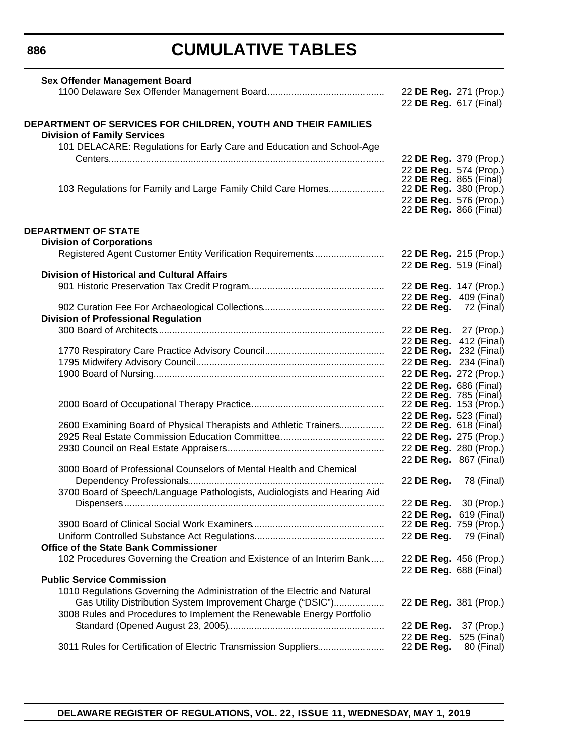**886**

# **CUMULATIVE TABLES**

| <b>Sex Offender Management Board</b>                                      |                               |                       |
|---------------------------------------------------------------------------|-------------------------------|-----------------------|
|                                                                           | 22 DE Reg. 271 (Prop.)        |                       |
|                                                                           | 22 DE Reg. 617 (Final)        |                       |
| DEPARTMENT OF SERVICES FOR CHILDREN, YOUTH AND THEIR FAMILIES             |                               |                       |
| <b>Division of Family Services</b>                                        |                               |                       |
| 101 DELACARE: Regulations for Early Care and Education and School-Age     |                               |                       |
|                                                                           | 22 DE Reg. 379 (Prop.)        |                       |
|                                                                           | 22 DE Reg. 574 (Prop.)        |                       |
|                                                                           | 22 DE Reg. 865 (Final)        |                       |
| 103 Regulations for Family and Large Family Child Care Homes              | 22 DE Reg. 380 (Prop.)        |                       |
|                                                                           | 22 DE Reg. 576 (Prop.)        |                       |
|                                                                           | 22 DE Reg. 866 (Final)        |                       |
| <b>DEPARTMENT OF STATE</b>                                                |                               |                       |
| <b>Division of Corporations</b>                                           |                               |                       |
|                                                                           | 22 DE Reg. 215 (Prop.)        |                       |
|                                                                           | 22 DE Reg. 519 (Final)        |                       |
| <b>Division of Historical and Cultural Affairs</b>                        |                               |                       |
|                                                                           | 22 DE Reg. 147 (Prop.)        |                       |
|                                                                           | 22 DE Reg. 409 (Final)        |                       |
|                                                                           | 22 DE Reg.                    | 72 (Final)            |
| <b>Division of Professional Regulation</b>                                |                               |                       |
|                                                                           | 22 <b>DE Reg.</b> 27 (Prop.)  |                       |
|                                                                           | 22 DE Reg. 412 (Final)        |                       |
|                                                                           | 22 <b>DE Reg.</b> 232 (Final) |                       |
|                                                                           | 22 DE Reg. 234 (Final)        |                       |
|                                                                           | 22 DE Reg. 272 (Prop.)        |                       |
|                                                                           | 22 DE Reg. 686 (Final)        |                       |
|                                                                           | 22 DE Reg. 785 (Final)        |                       |
|                                                                           | 22 DE Reg. 153 (Prop.)        |                       |
|                                                                           | 22 DE Reg. 523 (Final)        |                       |
| 2600 Examining Board of Physical Therapists and Athletic Trainers         | 22 <b>DE Reg.</b> 618 (Final) |                       |
|                                                                           | 22 DE Reg. 275 (Prop.)        |                       |
|                                                                           | 22 DE Reg. 280 (Prop.)        |                       |
| 3000 Board of Professional Counselors of Mental Health and Chemical       | 22 DE Reg. 867 (Final)        |                       |
|                                                                           | 22 DE Reg.                    | 78 (Final)            |
| 3700 Board of Speech/Language Pathologists, Audiologists and Hearing Aid  |                               |                       |
|                                                                           |                               | 22 DE Reg. 30 (Prop.) |
|                                                                           | 22 DE Reg. 619 (Final)        |                       |
|                                                                           | 22 DE Reg. 759 (Prop.)        |                       |
|                                                                           | 22 DE Reg.                    | 79 (Final)            |
| Office of the State Bank Commissioner                                     |                               |                       |
| 102 Procedures Governing the Creation and Existence of an Interim Bank    | 22 DE Reg. 456 (Prop.)        |                       |
|                                                                           | 22 DE Reg. 688 (Final)        |                       |
| <b>Public Service Commission</b>                                          |                               |                       |
| 1010 Regulations Governing the Administration of the Electric and Natural |                               |                       |
| Gas Utility Distribution System Improvement Charge ("DSIC")               | 22 DE Reg. 381 (Prop.)        |                       |
| 3008 Rules and Procedures to Implement the Renewable Energy Portfolio     |                               |                       |
|                                                                           | 22 DE Reg.                    | 37 (Prop.)            |
|                                                                           | 22 DE Reg.                    | 525 (Final)           |
| 3011 Rules for Certification of Electric Transmission Suppliers           | 22 DE Reg.                    | 80 (Final)            |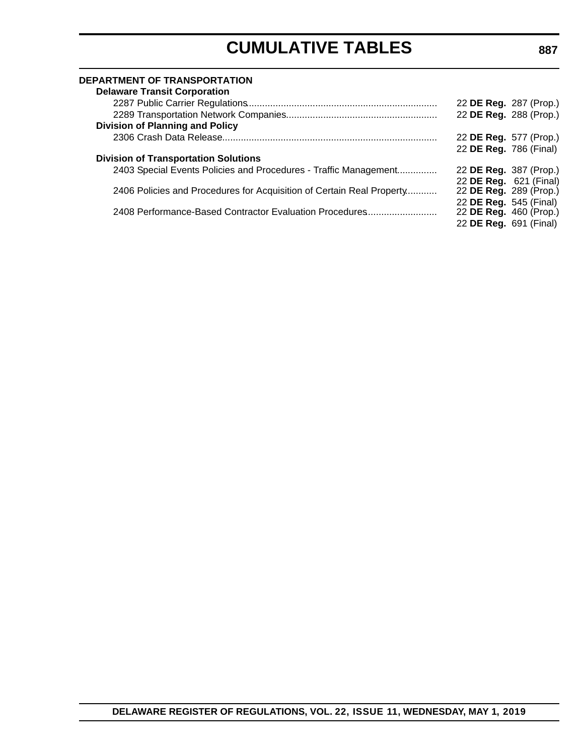#### **DEPARTMENT OF TRANSPORTATION**

| 22 DE Reg. 287 (Prop.) |
|------------------------|
| 22 DE Reg. 288 (Prop.) |
|                        |
| 22 DE Reg. 577 (Prop.) |
| 22 DE Reg. 786 (Final) |
|                        |
| 22 DE Reg. 387 (Prop.) |
| 22 DE Reg. 621 (Final) |
| 22 DE Reg. 289 (Prop.) |
| 22 DE Reg. 545 (Final) |
| 22 DE Reg. 460 (Prop.) |
| 22 DE Reg. 691 (Final) |
|                        |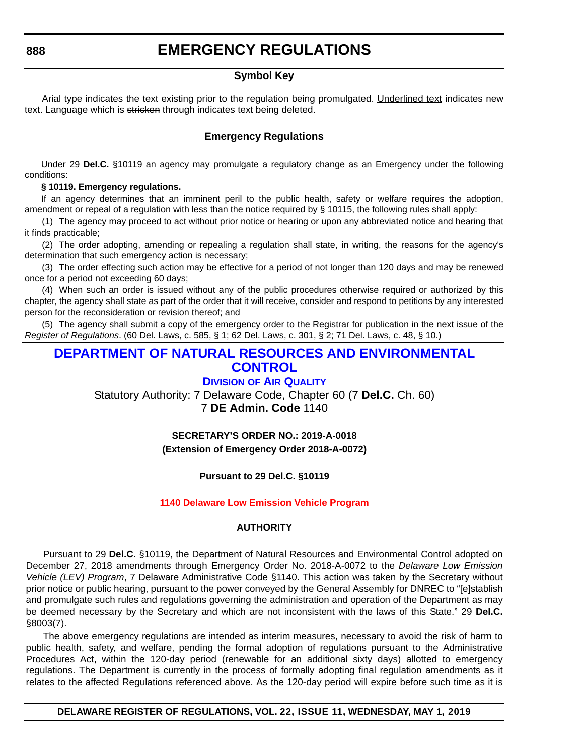#### **Symbol Key**

<span id="page-12-0"></span>Arial type indicates the text existing prior to the regulation being promulgated. Underlined text indicates new text. Language which is stricken through indicates text being deleted.

#### **Emergency Regulations**

Under 29 **Del.C.** §10119 an agency may promulgate a regulatory change as an Emergency under the following conditions:

#### **§ 10119. Emergency regulations.**

If an agency determines that an imminent peril to the public health, safety or welfare requires the adoption, amendment or repeal of a regulation with less than the notice required by § 10115, the following rules shall apply:

(1) The agency may proceed to act without prior notice or hearing or upon any abbreviated notice and hearing that it finds practicable;

(2) The order adopting, amending or repealing a regulation shall state, in writing, the reasons for the agency's determination that such emergency action is necessary;

(3) The order effecting such action may be effective for a period of not longer than 120 days and may be renewed once for a period not exceeding 60 days;

(4) When such an order is issued without any of the public procedures otherwise required or authorized by this chapter, the agency shall state as part of the order that it will receive, consider and respond to petitions by any interested person for the reconsideration or revision thereof; and

(5) The agency shall submit a copy of the emergency order to the Registrar for publication in the next issue of the *Register of Regulations*. (60 Del. Laws, c. 585, § 1; 62 Del. Laws, c. 301, § 2; 71 Del. Laws, c. 48, § 10.)

#### **[DEPARTMENT OF NATURAL RESOURCES AND ENVIRONMENTAL](https://dnrec.alpha.delaware.gov/air/)  CONTROL**

#### **DIVISION OF AIR QUALITY**

Statutory Authority: 7 Delaware Code, Chapter 60 (7 **Del.C.** Ch. 60) 7 **DE Admin. Code** 1140

> **SECRETARY'S ORDER NO.: 2019-A-0018 (Extension of Emergency Order 2018-A-0072)**

#### **Pursuant to 29 Del.C. §10119**

#### **[1140 Delaware Low Emission Vehicle Program](#page-3-0)**

#### **AUTHORITY**

Pursuant to 29 **Del.C.** §10119, the Department of Natural Resources and Environmental Control adopted on December 27, 2018 amendments through Emergency Order No. 2018-A-0072 to the *Delaware Low Emission Vehicle (LEV) Program*, 7 Delaware Administrative Code §1140. This action was taken by the Secretary without prior notice or public hearing, pursuant to the power conveyed by the General Assembly for DNREC to "[e]stablish and promulgate such rules and regulations governing the administration and operation of the Department as may be deemed necessary by the Secretary and which are not inconsistent with the laws of this State." 29 **Del.C.** §8003(7).

The above emergency regulations are intended as interim measures, necessary to avoid the risk of harm to public health, safety, and welfare, pending the formal adoption of regulations pursuant to the Administrative Procedures Act, within the 120-day period (renewable for an additional sixty days) allotted to emergency regulations. The Department is currently in the process of formally adopting final regulation amendments as it relates to the affected Regulations referenced above. As the 120-day period will expire before such time as it is

#### **DELAWARE REGISTER OF REGULATIONS, VOL. 22, ISSUE 11, WEDNESDAY, MAY 1, 2019**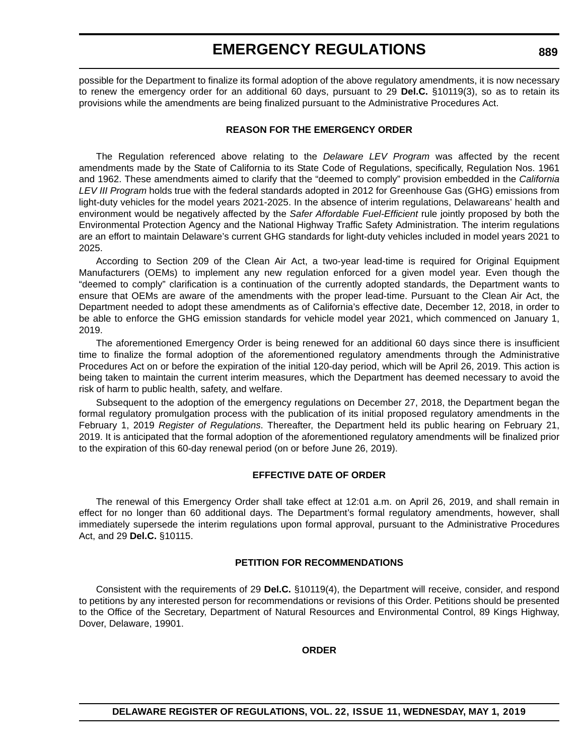possible for the Department to finalize its formal adoption of the above regulatory amendments, it is now necessary to renew the emergency order for an additional 60 days, pursuant to 29 **Del.C.** §10119(3), so as to retain its provisions while the amendments are being finalized pursuant to the Administrative Procedures Act.

#### **REASON FOR THE EMERGENCY ORDER**

The Regulation referenced above relating to the *Delaware LEV Program* was affected by the recent amendments made by the State of California to its State Code of Regulations, specifically, Regulation Nos. 1961 and 1962. These amendments aimed to clarify that the "deemed to comply" provision embedded in the *California LEV III Program* holds true with the federal standards adopted in 2012 for Greenhouse Gas (GHG) emissions from light-duty vehicles for the model years 2021-2025. In the absence of interim regulations, Delawareans' health and environment would be negatively affected by the *Safer Affordable Fuel-Efficient* rule jointly proposed by both the Environmental Protection Agency and the National Highway Traffic Safety Administration. The interim regulations are an effort to maintain Delaware's current GHG standards for light-duty vehicles included in model years 2021 to 2025.

According to Section 209 of the Clean Air Act, a two-year lead-time is required for Original Equipment Manufacturers (OEMs) to implement any new regulation enforced for a given model year. Even though the "deemed to comply" clarification is a continuation of the currently adopted standards, the Department wants to ensure that OEMs are aware of the amendments with the proper lead-time. Pursuant to the Clean Air Act, the Department needed to adopt these amendments as of California's effective date, December 12, 2018, in order to be able to enforce the GHG emission standards for vehicle model year 2021, which commenced on January 1, 2019.

The aforementioned Emergency Order is being renewed for an additional 60 days since there is insufficient time to finalize the formal adoption of the aforementioned regulatory amendments through the Administrative Procedures Act on or before the expiration of the initial 120-day period, which will be April 26, 2019. This action is being taken to maintain the current interim measures, which the Department has deemed necessary to avoid the risk of harm to public health, safety, and welfare.

Subsequent to the adoption of the emergency regulations on December 27, 2018, the Department began the formal regulatory promulgation process with the publication of its initial proposed regulatory amendments in the February 1, 2019 *Register of Regulations*. Thereafter, the Department held its public hearing on February 21, 2019. It is anticipated that the formal adoption of the aforementioned regulatory amendments will be finalized prior to the expiration of this 60-day renewal period (on or before June 26, 2019).

#### **EFFECTIVE DATE OF ORDER**

The renewal of this Emergency Order shall take effect at 12:01 a.m. on April 26, 2019, and shall remain in effect for no longer than 60 additional days. The Department's formal regulatory amendments, however, shall immediately supersede the interim regulations upon formal approval, pursuant to the Administrative Procedures Act, and 29 **Del.C.** §10115.

#### **PETITION FOR RECOMMENDATIONS**

Consistent with the requirements of 29 **Del.C.** §10119(4), the Department will receive, consider, and respond to petitions by any interested person for recommendations or revisions of this Order. Petitions should be presented to the Office of the Secretary, Department of Natural Resources and Environmental Control, 89 Kings Highway, Dover, Delaware, 19901.

#### **ORDER**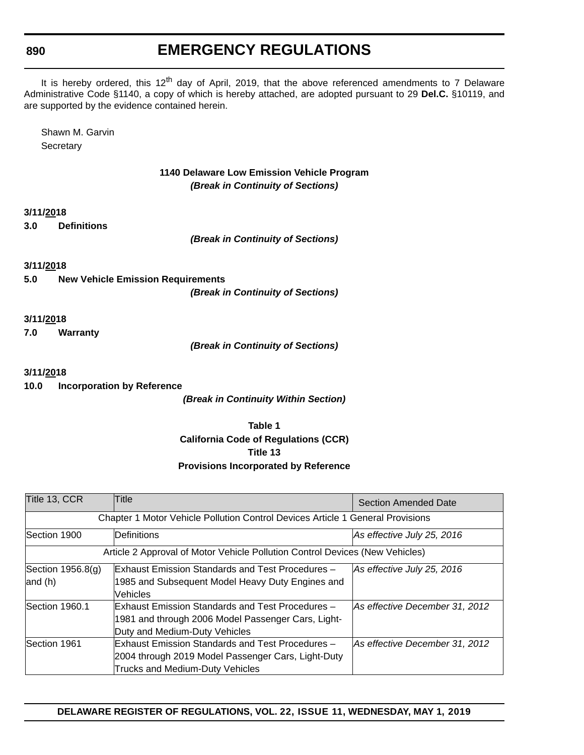**890**

### **EMERGENCY REGULATIONS**

It is hereby ordered, this 12<sup>th</sup> day of April, 2019, that the above referenced amendments to 7 Delaware Administrative Code §1140, a copy of which is hereby attached, are adopted pursuant to 29 **Del.C.** §10119, and are supported by the evidence contained herein.

Shawn M. Garvin **Secretary** 

> **1140 Delaware Low Emission Vehicle Program** *(Break in Continuity of Sections)*

**3/11/2018**

**3.0 Definitions**

*(Break in Continuity of Sections)*

**3/11/2018**

**5.0 New Vehicle Emission Requirements** *(Break in Continuity of Sections)*

**3/11/2018**

**7.0 Warranty**

*(Break in Continuity of Sections)*

**3/11/2018**

**10.0 Incorporation by Reference**

*(Break in Continuity Within Section)*

**Table 1 California Code of Regulations (CCR) Title 13 Provisions Incorporated by Reference**

| Title 13, CCR       | Title                                                                          | Section Amended Date           |  |  |  |
|---------------------|--------------------------------------------------------------------------------|--------------------------------|--|--|--|
|                     | Chapter 1 Motor Vehicle Pollution Control Devices Article 1 General Provisions |                                |  |  |  |
| Section 1900        | Definitions                                                                    | As effective July 25, 2016     |  |  |  |
|                     | Article 2 Approval of Motor Vehicle Pollution Control Devices (New Vehicles)   |                                |  |  |  |
| Section $1956.8(q)$ | Exhaust Emission Standards and Test Procedures -                               | As effective July 25, 2016     |  |  |  |
| and $(h)$           | 1985 and Subsequent Model Heavy Duty Engines and                               |                                |  |  |  |
|                     | Vehicles                                                                       |                                |  |  |  |
| Section 1960.1      | Exhaust Emission Standards and Test Procedures -                               | As effective December 31, 2012 |  |  |  |
|                     | 1981 and through 2006 Model Passenger Cars, Light-                             |                                |  |  |  |
|                     | Duty and Medium-Duty Vehicles                                                  |                                |  |  |  |
| Section 1961        | Exhaust Emission Standards and Test Procedures -                               | As effective December 31, 2012 |  |  |  |
|                     | 2004 through 2019 Model Passenger Cars, Light-Duty                             |                                |  |  |  |
|                     | Trucks and Medium-Duty Vehicles                                                |                                |  |  |  |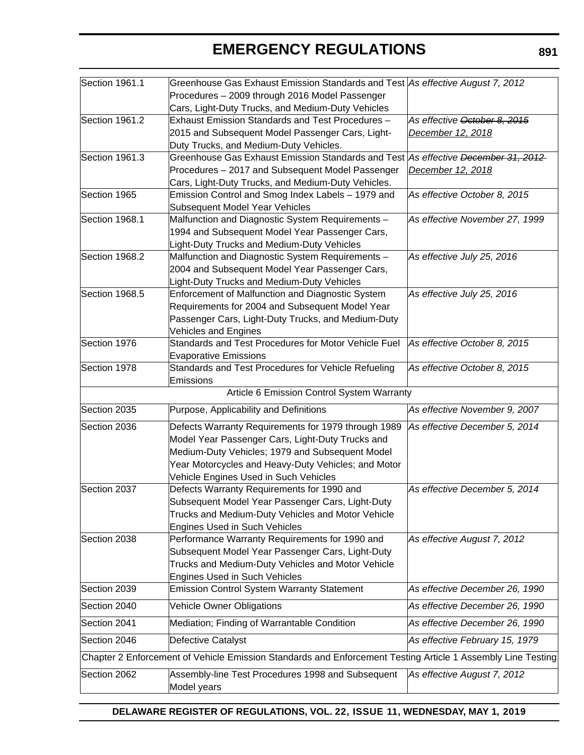| Section 1961.1 | Greenhouse Gas Exhaust Emission Standards and Test As effective August 7, 2012                              |                                |  |
|----------------|-------------------------------------------------------------------------------------------------------------|--------------------------------|--|
|                | Procedures - 2009 through 2016 Model Passenger                                                              |                                |  |
|                | Cars, Light-Duty Trucks, and Medium-Duty Vehicles                                                           |                                |  |
| Section 1961.2 | Exhaust Emission Standards and Test Procedures -                                                            | As effective October 8, 2015   |  |
|                | 2015 and Subsequent Model Passenger Cars, Light-                                                            | December 12, 2018              |  |
|                | Duty Trucks, and Medium-Duty Vehicles.                                                                      |                                |  |
| Section 1961.3 | Greenhouse Gas Exhaust Emission Standards and Test As effective December 31, 2012                           |                                |  |
|                | Procedures - 2017 and Subsequent Model Passenger                                                            | December 12, 2018              |  |
|                | Cars, Light-Duty Trucks, and Medium-Duty Vehicles.                                                          |                                |  |
| Section 1965   | Emission Control and Smog Index Labels - 1979 and                                                           | As effective October 8, 2015   |  |
|                | Subsequent Model Year Vehicles                                                                              |                                |  |
| Section 1968.1 | Malfunction and Diagnostic System Requirements -                                                            | As effective November 27, 1999 |  |
|                | 1994 and Subsequent Model Year Passenger Cars,                                                              |                                |  |
|                | Light-Duty Trucks and Medium-Duty Vehicles                                                                  |                                |  |
| Section 1968.2 | Malfunction and Diagnostic System Requirements -                                                            | As effective July 25, 2016     |  |
|                | 2004 and Subsequent Model Year Passenger Cars,                                                              |                                |  |
|                | Light-Duty Trucks and Medium-Duty Vehicles                                                                  |                                |  |
| Section 1968.5 | Enforcement of Malfunction and Diagnostic System                                                            | As effective July 25, 2016     |  |
|                | Requirements for 2004 and Subsequent Model Year                                                             |                                |  |
|                | Passenger Cars, Light-Duty Trucks, and Medium-Duty                                                          |                                |  |
|                | <b>Vehicles and Engines</b>                                                                                 |                                |  |
| Section 1976   | Standards and Test Procedures for Motor Vehicle Fuel                                                        | As effective October 8, 2015   |  |
|                | <b>Evaporative Emissions</b>                                                                                |                                |  |
| Section 1978   | Standards and Test Procedures for Vehicle Refueling                                                         | As effective October 8, 2015   |  |
|                | Emissions                                                                                                   |                                |  |
|                | Article 6 Emission Control System Warranty                                                                  |                                |  |
| Section 2035   | Purpose, Applicability and Definitions                                                                      | As effective November 9, 2007  |  |
| Section 2036   | Defects Warranty Requirements for 1979 through 1989                                                         | As effective December 5, 2014  |  |
|                | Model Year Passenger Cars, Light-Duty Trucks and                                                            |                                |  |
|                | Medium-Duty Vehicles; 1979 and Subsequent Model                                                             |                                |  |
|                | Year Motorcycles and Heavy-Duty Vehicles; and Motor                                                         |                                |  |
|                | Vehicle Engines Used in Such Vehicles                                                                       |                                |  |
| Section 2037   | Defects Warranty Requirements for 1990 and                                                                  | As effective December 5, 2014  |  |
|                | Subsequent Model Year Passenger Cars, Light-Duty                                                            |                                |  |
|                | Trucks and Medium-Duty Vehicles and Motor Vehicle                                                           |                                |  |
|                | <b>Engines Used in Such Vehicles</b>                                                                        |                                |  |
| Section 2038   | Performance Warranty Requirements for 1990 and                                                              | As effective August 7, 2012    |  |
|                | Subsequent Model Year Passenger Cars, Light-Duty                                                            |                                |  |
|                | Trucks and Medium-Duty Vehicles and Motor Vehicle                                                           |                                |  |
|                | <b>Engines Used in Such Vehicles</b>                                                                        |                                |  |
| Section 2039   | <b>Emission Control System Warranty Statement</b>                                                           | As effective December 26, 1990 |  |
| Section 2040   | <b>Vehicle Owner Obligations</b>                                                                            | As effective December 26, 1990 |  |
| Section 2041   | Mediation; Finding of Warrantable Condition                                                                 | As effective December 26, 1990 |  |
| Section 2046   | Defective Catalyst                                                                                          | As effective February 15, 1979 |  |
|                | Chapter 2 Enforcement of Vehicle Emission Standards and Enforcement Testing Article 1 Assembly Line Testing |                                |  |
| Section 2062   | Assembly-line Test Procedures 1998 and Subsequent                                                           | As effective August 7, 2012    |  |
|                |                                                                                                             |                                |  |
|                | Model years                                                                                                 |                                |  |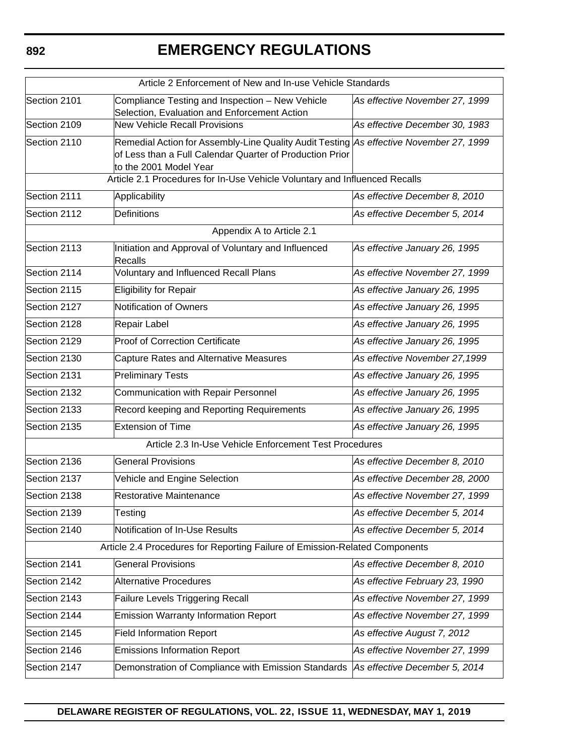| Article 2 Enforcement of New and In-use Vehicle Standards                                                                                                                                    |                                                                                                                                   |                                |  |
|----------------------------------------------------------------------------------------------------------------------------------------------------------------------------------------------|-----------------------------------------------------------------------------------------------------------------------------------|--------------------------------|--|
| Section 2101                                                                                                                                                                                 | Compliance Testing and Inspection - New Vehicle<br>As effective November 27, 1999<br>Selection, Evaluation and Enforcement Action |                                |  |
| Section 2109                                                                                                                                                                                 | <b>New Vehicle Recall Provisions</b>                                                                                              | As effective December 30, 1983 |  |
| Remedial Action for Assembly-Line Quality Audit Testing As effective November 27, 1999<br>Section 2110<br>of Less than a Full Calendar Quarter of Production Prior<br>to the 2001 Model Year |                                                                                                                                   |                                |  |
|                                                                                                                                                                                              | Article 2.1 Procedures for In-Use Vehicle Voluntary and Influenced Recalls                                                        |                                |  |
| Section 2111                                                                                                                                                                                 | Applicability                                                                                                                     | As effective December 8, 2010  |  |
| Section 2112                                                                                                                                                                                 | Definitions                                                                                                                       | As effective December 5, 2014  |  |
|                                                                                                                                                                                              | Appendix A to Article 2.1                                                                                                         |                                |  |
| Section 2113                                                                                                                                                                                 | Initiation and Approval of Voluntary and Influenced<br>Recalls                                                                    | As effective January 26, 1995  |  |
| Section 2114                                                                                                                                                                                 | Voluntary and Influenced Recall Plans                                                                                             | As effective November 27, 1999 |  |
| Section 2115                                                                                                                                                                                 | Eligibility for Repair                                                                                                            | As effective January 26, 1995  |  |
| Section 2127                                                                                                                                                                                 | Notification of Owners                                                                                                            | As effective January 26, 1995  |  |
| Section 2128                                                                                                                                                                                 | Repair Label                                                                                                                      | As effective January 26, 1995  |  |
| Section 2129                                                                                                                                                                                 | <b>Proof of Correction Certificate</b>                                                                                            | As effective January 26, 1995  |  |
| Section 2130                                                                                                                                                                                 | Capture Rates and Alternative Measures                                                                                            | As effective November 27,1999  |  |
| Section 2131                                                                                                                                                                                 | <b>Preliminary Tests</b>                                                                                                          | As effective January 26, 1995  |  |
| Section 2132                                                                                                                                                                                 | Communication with Repair Personnel                                                                                               | As effective January 26, 1995  |  |
| Section 2133                                                                                                                                                                                 | Record keeping and Reporting Requirements                                                                                         | As effective January 26, 1995  |  |
| Section 2135                                                                                                                                                                                 | <b>Extension of Time</b>                                                                                                          | As effective January 26, 1995  |  |
|                                                                                                                                                                                              | Article 2.3 In-Use Vehicle Enforcement Test Procedures                                                                            |                                |  |
| Section 2136                                                                                                                                                                                 | <b>General Provisions</b>                                                                                                         | As effective December 8, 2010  |  |
| Section 2137                                                                                                                                                                                 | Vehicle and Engine Selection                                                                                                      | As effective December 28, 2000 |  |
| Section 2138                                                                                                                                                                                 | Restorative Maintenance                                                                                                           | As effective November 27, 1999 |  |
| Section 2139                                                                                                                                                                                 | Testing                                                                                                                           | As effective December 5, 2014  |  |
| Section 2140                                                                                                                                                                                 | Notification of In-Use Results                                                                                                    | As effective December 5, 2014  |  |
|                                                                                                                                                                                              | Article 2.4 Procedures for Reporting Failure of Emission-Related Components                                                       |                                |  |
| Section 2141                                                                                                                                                                                 | <b>General Provisions</b>                                                                                                         | As effective December 8, 2010  |  |
| Section 2142                                                                                                                                                                                 | <b>Alternative Procedures</b>                                                                                                     | As effective February 23, 1990 |  |
| Section 2143                                                                                                                                                                                 | Failure Levels Triggering Recall                                                                                                  | As effective November 27, 1999 |  |
| Section 2144                                                                                                                                                                                 | <b>Emission Warranty Information Report</b>                                                                                       | As effective November 27, 1999 |  |
| Section 2145                                                                                                                                                                                 | <b>Field Information Report</b>                                                                                                   | As effective August 7, 2012    |  |
| Section 2146                                                                                                                                                                                 | <b>Emissions Information Report</b>                                                                                               | As effective November 27, 1999 |  |
| Section 2147                                                                                                                                                                                 | Demonstration of Compliance with Emission Standards                                                                               | As effective December 5, 2014  |  |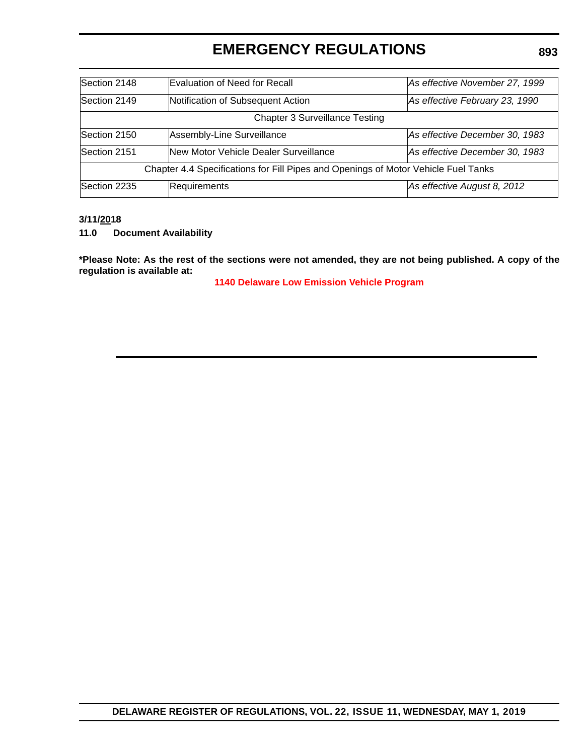| Section 2148                                                                       | Evaluation of Need for Recall<br>As effective November 27, 1999 |                                |  |  |  |
|------------------------------------------------------------------------------------|-----------------------------------------------------------------|--------------------------------|--|--|--|
| Section 2149                                                                       | Notification of Subsequent Action                               | As effective February 23, 1990 |  |  |  |
|                                                                                    | <b>Chapter 3 Surveillance Testing</b>                           |                                |  |  |  |
| Assembly-Line Surveillance<br>Section 2150                                         |                                                                 | As effective December 30, 1983 |  |  |  |
| Section 2151                                                                       | New Motor Vehicle Dealer Surveillance                           | As effective December 30, 1983 |  |  |  |
| Chapter 4.4 Specifications for Fill Pipes and Openings of Motor Vehicle Fuel Tanks |                                                                 |                                |  |  |  |
| Section 2235                                                                       | Requirements                                                    | As effective August 8, 2012    |  |  |  |

#### **3/11/2018**

**11.0 Document Availability**

**\*Please Note: As the rest of the sections were not amended, they are not being published. A copy of the regulation is available at:**

**[1140 Delaware Low Emission Vehicle Program](http://regulations.delaware.gov/register/may2019/emergency/22 DE Reg 888 05-01-19.htm)**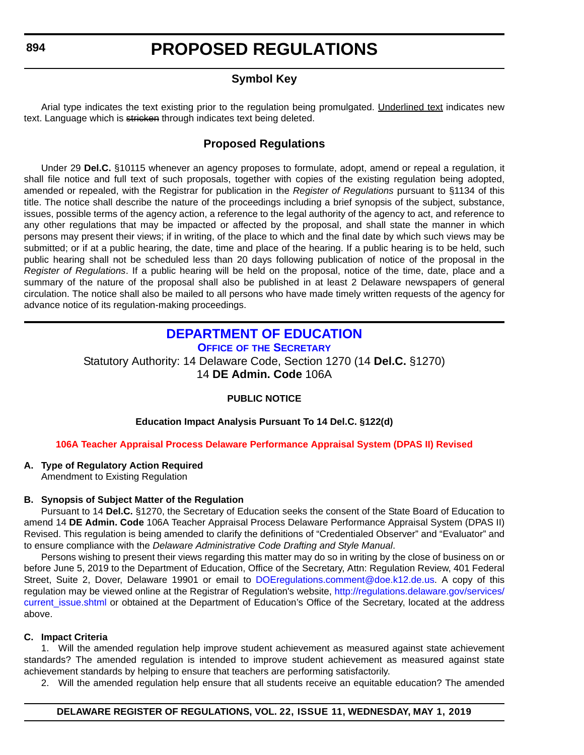#### **Symbol Key**

<span id="page-18-0"></span>Arial type indicates the text existing prior to the regulation being promulgated. Underlined text indicates new text. Language which is stricken through indicates text being deleted.

#### **Proposed Regulations**

Under 29 **Del.C.** §10115 whenever an agency proposes to formulate, adopt, amend or repeal a regulation, it shall file notice and full text of such proposals, together with copies of the existing regulation being adopted, amended or repealed, with the Registrar for publication in the *Register of Regulations* pursuant to §1134 of this title. The notice shall describe the nature of the proceedings including a brief synopsis of the subject, substance, issues, possible terms of the agency action, a reference to the legal authority of the agency to act, and reference to any other regulations that may be impacted or affected by the proposal, and shall state the manner in which persons may present their views; if in writing, of the place to which and the final date by which such views may be submitted; or if at a public hearing, the date, time and place of the hearing. If a public hearing is to be held, such public hearing shall not be scheduled less than 20 days following publication of notice of the proposal in the *Register of Regulations*. If a public hearing will be held on the proposal, notice of the time, date, place and a summary of the nature of the proposal shall also be published in at least 2 Delaware newspapers of general circulation. The notice shall also be mailed to all persons who have made timely written requests of the agency for advance notice of its regulation-making proceedings.

### **[DEPARTMENT OF EDUCATION](https://www.doe.k12.de.us/)**

**OFFICE OF [THE SECRETARY](https://www.doe.k12.de.us/Page/11)**

Statutory Authority: 14 Delaware Code, Section 1270 (14 **Del.C.** §1270) 14 **DE Admin. Code** 106A

#### **PUBLIC NOTICE**

#### **Education Impact Analysis Pursuant To 14 Del.C. §122(d)**

#### **[106A Teacher Appraisal Process Delaware Performance Appraisal System \(DPAS II\) Revised](#page-3-0)**

#### **A. Type of Regulatory Action Required**

Amendment to Existing Regulation

#### **B. Synopsis of Subject Matter of the Regulation**

Pursuant to 14 **Del.C.** §1270, the Secretary of Education seeks the consent of the State Board of Education to amend 14 **DE Admin. Code** 106A Teacher Appraisal Process Delaware Performance Appraisal System (DPAS II) Revised. This regulation is being amended to clarify the definitions of "Credentialed Observer" and "Evaluator" and to ensure compliance with the *Delaware Administrative Code Drafting and Style Manual*.

Persons wishing to present their views regarding this matter may do so in writing by the close of business on or before June 5, 2019 to the Department of Education, Office of the Secretary, Attn: Regulation Review, 401 Federal Street, Suite 2, Dover, Delaware 19901 or email to [DOEregulations.comment@doe.k12.de.us.](mailto:DOEregulations.comment@doe.k12.de.us) A copy of this regulation may be viewed online at the Registrar of Regulation's website, [http://regulations.delaware.gov/services/](http://regulations.delaware.gov/services/current_issue.shtml) [current\\_issue.shtml](http://regulations.delaware.gov/services/current_issue.shtml) or obtained at the Department of Education's Office of the Secretary, located at the address above.

#### **C. Impact Criteria**

1. Will the amended regulation help improve student achievement as measured against state achievement standards? The amended regulation is intended to improve student achievement as measured against state achievement standards by helping to ensure that teachers are performing satisfactorily.

2. Will the amended regulation help ensure that all students receive an equitable education? The amended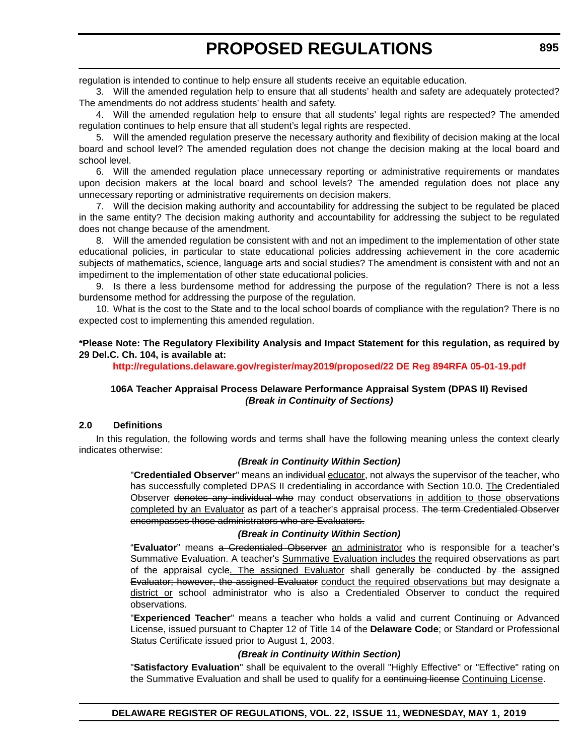regulation is intended to continue to help ensure all students receive an equitable education.

3. Will the amended regulation help to ensure that all students' health and safety are adequately protected? The amendments do not address students' health and safety.

4. Will the amended regulation help to ensure that all students' legal rights are respected? The amended regulation continues to help ensure that all student's legal rights are respected.

5. Will the amended regulation preserve the necessary authority and flexibility of decision making at the local board and school level? The amended regulation does not change the decision making at the local board and school level.

6. Will the amended regulation place unnecessary reporting or administrative requirements or mandates upon decision makers at the local board and school levels? The amended regulation does not place any unnecessary reporting or administrative requirements on decision makers.

7. Will the decision making authority and accountability for addressing the subject to be regulated be placed in the same entity? The decision making authority and accountability for addressing the subject to be regulated does not change because of the amendment.

8. Will the amended regulation be consistent with and not an impediment to the implementation of other state educational policies, in particular to state educational policies addressing achievement in the core academic subjects of mathematics, science, language arts and social studies? The amendment is consistent with and not an impediment to the implementation of other state educational policies.

9. Is there a less burdensome method for addressing the purpose of the regulation? There is not a less burdensome method for addressing the purpose of the regulation.

10. What is the cost to the State and to the local school boards of compliance with the regulation? There is no expected cost to implementing this amended regulation.

#### **\*Please Note: The Regulatory Flexibility Analysis and Impact Statement for this regulation, as required by 29 Del.C. Ch. 104, is available at:**

**<http://regulations.delaware.gov/register/may2019/proposed/22 DE Reg 894RFA 05-01-19.pdf>**

#### **106A Teacher Appraisal Process Delaware Performance Appraisal System (DPAS II) Revised** *(Break in Continuity of Sections)*

#### **2.0 Definitions**

In this regulation, the following words and terms shall have the following meaning unless the context clearly indicates otherwise:

#### *(Break in Continuity Within Section)*

"**Credentialed Observer**" means an individual educator, not always the supervisor of the teacher, who has successfully completed DPAS II credentialing in accordance with Section 10.0. The Credentialed Observer denotes any individual who may conduct observations in addition to those observations completed by an Evaluator as part of a teacher's appraisal process. The term Gredentialed Observer encompasses those administrators who are Evaluators.

#### *(Break in Continuity Within Section)*

"**Evaluator**" means a Credentialed Observer an administrator who is responsible for a teacher's Summative Evaluation. A teacher's Summative Evaluation includes the required observations as part of the appraisal cycle. The assigned Evaluator shall generally be conducted by the assigned Evaluator; however, the assigned Evaluator conduct the required observations but may designate a district or school administrator who is also a Credentialed Observer to conduct the required observations.

"**Experienced Teacher**" means a teacher who holds a valid and current Continuing or Advanced License, issued pursuant to Chapter 12 of Title 14 of the **Delaware Code**; or Standard or Professional Status Certificate issued prior to August 1, 2003.

#### *(Break in Continuity Within Section)*

"**Satisfactory Evaluation**" shall be equivalent to the overall "Highly Effective" or "Effective" rating on the Summative Evaluation and shall be used to qualify for a continuing license Continuing License.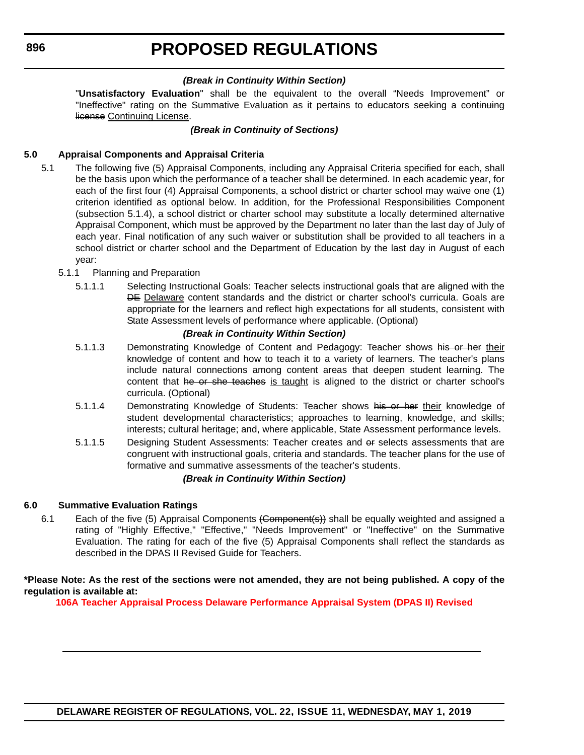#### *(Break in Continuity Within Section)*

"**Unsatisfactory Evaluation**" shall be the equivalent to the overall "Needs Improvement" or "Ineffective" rating on the Summative Evaluation as it pertains to educators seeking a continuing license Continuing License.

#### *(Break in Continuity of Sections)*

#### **5.0 Appraisal Components and Appraisal Criteria**

- 5.1 The following five (5) Appraisal Components, including any Appraisal Criteria specified for each, shall be the basis upon which the performance of a teacher shall be determined. In each academic year, for each of the first four (4) Appraisal Components, a school district or charter school may waive one (1) criterion identified as optional below. In addition, for the Professional Responsibilities Component (subsection 5.1.4), a school district or charter school may substitute a locally determined alternative Appraisal Component, which must be approved by the Department no later than the last day of July of each year. Final notification of any such waiver or substitution shall be provided to all teachers in a school district or charter school and the Department of Education by the last day in August of each year:
	- 5.1.1 Planning and Preparation
		- 5.1.1.1 Selecting Instructional Goals: Teacher selects instructional goals that are aligned with the DE Delaware content standards and the district or charter school's curricula. Goals are appropriate for the learners and reflect high expectations for all students, consistent with State Assessment levels of performance where applicable. (Optional)

#### *(Break in Continuity Within Section)*

- 5.1.1.3 Demonstrating Knowledge of Content and Pedagogy: Teacher shows his or her their knowledge of content and how to teach it to a variety of learners. The teacher's plans include natural connections among content areas that deepen student learning. The content that he or she teaches is taught is aligned to the district or charter school's curricula. (Optional)
- 5.1.1.4 Demonstrating Knowledge of Students: Teacher shows his or her their knowledge of student developmental characteristics; approaches to learning, knowledge, and skills; interests; cultural heritage; and, where applicable, State Assessment performance levels.
- 5.1.1.5 Designing Student Assessments: Teacher creates and or selects assessments that are congruent with instructional goals, criteria and standards. The teacher plans for the use of formative and summative assessments of the teacher's students.

#### *(Break in Continuity Within Section)*

#### **6.0 Summative Evaluation Ratings**

6.1 Each of the five (5) Appraisal Components (Component(s)) shall be equally weighted and assigned a rating of "Highly Effective," "Effective," "Needs Improvement" or "Ineffective" on the Summative Evaluation. The rating for each of the five (5) Appraisal Components shall reflect the standards as described in the DPAS II Revised Guide for Teachers.

#### **\*Please Note: As the rest of the sections were not amended, they are not being published. A copy of the regulation is available at:**

**[106A Teacher Appraisal Process Delaware Performance Appraisal System \(DPAS II\) Revised](http://regulations.delaware.gov/register/may2019/proposed/22 DE Reg 894 05-01-19.htm)**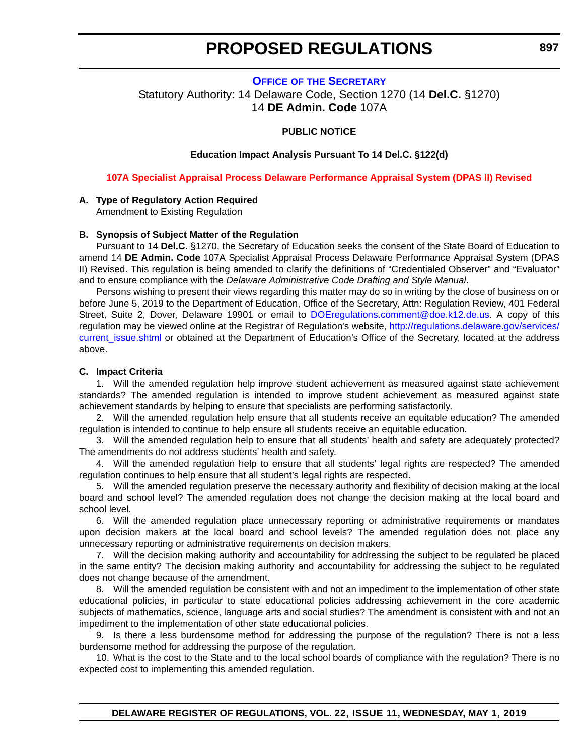**OFFICE OF [THE SECRETARY](https://www.doe.k12.de.us/Page/11)**

<span id="page-21-0"></span>Statutory Authority: 14 Delaware Code, Section 1270 (14 **Del.C.** §1270) 14 **DE Admin. Code** 107A

#### **PUBLIC NOTICE**

#### **Education Impact Analysis Pursuant To 14 Del.C. §122(d)**

**[107A Specialist Appraisal Process Delaware Performance Appraisal System \(DPAS II\) Revised](#page-3-0)**

#### **A. Type of Regulatory Action Required**

Amendment to Existing Regulation

#### **B. Synopsis of Subject Matter of the Regulation**

Pursuant to 14 **Del.C.** §1270, the Secretary of Education seeks the consent of the State Board of Education to amend 14 **DE Admin. Code** 107A Specialist Appraisal Process Delaware Performance Appraisal System (DPAS II) Revised. This regulation is being amended to clarify the definitions of "Credentialed Observer" and "Evaluator" and to ensure compliance with the *Delaware Administrative Code Drafting and Style Manual*.

Persons wishing to present their views regarding this matter may do so in writing by the close of business on or before June 5, 2019 to the Department of Education, Office of the Secretary, Attn: Regulation Review, 401 Federal Street, Suite 2, Dover, Delaware 19901 or email to [DOEregulations.comment@doe.k12.de.us](mailto:DOEregulations.comment@doe.k12.de.us). A copy of this regulation may be viewed online at the Registrar of Regulation's website, [http://regulations.delaware.gov/services/](http://regulations.delaware.gov/services/current_issue.shtml) current issue.shtml or obtained at the Department of Education's Office of the Secretary, located at the address above.

#### **C. Impact Criteria**

1. Will the amended regulation help improve student achievement as measured against state achievement standards? The amended regulation is intended to improve student achievement as measured against state achievement standards by helping to ensure that specialists are performing satisfactorily.

2. Will the amended regulation help ensure that all students receive an equitable education? The amended regulation is intended to continue to help ensure all students receive an equitable education.

3. Will the amended regulation help to ensure that all students' health and safety are adequately protected? The amendments do not address students' health and safety.

4. Will the amended regulation help to ensure that all students' legal rights are respected? The amended regulation continues to help ensure that all student's legal rights are respected.

5. Will the amended regulation preserve the necessary authority and flexibility of decision making at the local board and school level? The amended regulation does not change the decision making at the local board and school level.

6. Will the amended regulation place unnecessary reporting or administrative requirements or mandates upon decision makers at the local board and school levels? The amended regulation does not place any unnecessary reporting or administrative requirements on decision makers.

7. Will the decision making authority and accountability for addressing the subject to be regulated be placed in the same entity? The decision making authority and accountability for addressing the subject to be regulated does not change because of the amendment.

8. Will the amended regulation be consistent with and not an impediment to the implementation of other state educational policies, in particular to state educational policies addressing achievement in the core academic subjects of mathematics, science, language arts and social studies? The amendment is consistent with and not an impediment to the implementation of other state educational policies.

9. Is there a less burdensome method for addressing the purpose of the regulation? There is not a less burdensome method for addressing the purpose of the regulation.

10. What is the cost to the State and to the local school boards of compliance with the regulation? There is no expected cost to implementing this amended regulation.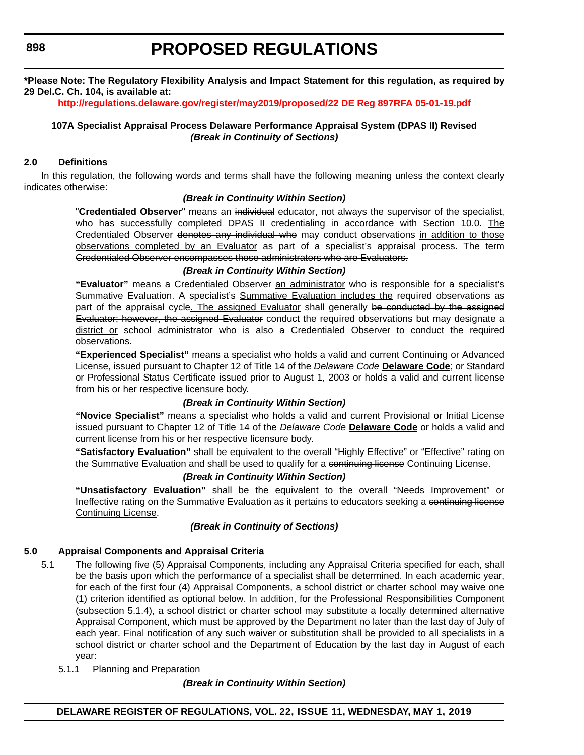#### **\*Please Note: The Regulatory Flexibility Analysis and Impact Statement for this regulation, as required by 29 Del.C. Ch. 104, is available at:**

**<http://regulations.delaware.gov/register/may2019/proposed/22 DE Reg 897RFA 05-01-19.pdf>**

#### **107A Specialist Appraisal Process Delaware Performance Appraisal System (DPAS II) Revised** *(Break in Continuity of Sections)*

#### **2.0 Definitions**

In this regulation, the following words and terms shall have the following meaning unless the context clearly indicates otherwise:

#### *(Break in Continuity Within Section)*

"**Credentialed Observer**" means an individual educator, not always the supervisor of the specialist, who has successfully completed DPAS II credentialing in accordance with Section 10.0. The Credentialed Observer denotes any individual who may conduct observations in addition to those observations completed by an Evaluator as part of a specialist's appraisal process. The term Credentialed Observer encompasses those administrators who are Evaluators.

#### *(Break in Continuity Within Section)*

**"Evaluator"** means a Credentialed Observer an administrator who is responsible for a specialist's Summative Evaluation. A specialist's Summative Evaluation includes the required observations as part of the appraisal cycle. The assigned Evaluator shall generally be conducted by the assigned Evaluator; however, the assigned Evaluator conduct the required observations but may designate a district or school administrator who is also a Credentialed Observer to conduct the required observations.

**"Experienced Specialist"** means a specialist who holds a valid and current Continuing or Advanced License, issued pursuant to Chapter 12 of Title 14 of the *Delaware Code* **Delaware Code**; or Standard or Professional Status Certificate issued prior to August 1, 2003 or holds a valid and current license from his or her respective licensure body.

#### *(Break in Continuity Within Section)*

**"Novice Specialist"** means a specialist who holds a valid and current Provisional or Initial License issued pursuant to Chapter 12 of Title 14 of the *Delaware Code* **Delaware Code** or holds a valid and current license from his or her respective licensure body.

**"Satisfactory Evaluation"** shall be equivalent to the overall "Highly Effective" or "Effective" rating on the Summative Evaluation and shall be used to qualify for a continuing license Continuing License.

#### *(Break in Continuity Within Section)*

**"Unsatisfactory Evaluation"** shall be the equivalent to the overall "Needs Improvement" or Ineffective rating on the Summative Evaluation as it pertains to educators seeking a continuing license Continuing License.

#### *(Break in Continuity of Sections)*

#### **5.0 Appraisal Components and Appraisal Criteria**

- 5.1 The following five (5) Appraisal Components, including any Appraisal Criteria specified for each, shall be the basis upon which the performance of a specialist shall be determined. In each academic year, for each of the first four (4) Appraisal Components, a school district or charter school may waive one (1) criterion identified as optional below. In addition, for the Professional Responsibilities Component (subsection 5.1.4), a school district or charter school may substitute a locally determined alternative Appraisal Component, which must be approved by the Department no later than the last day of July of each year. Final notification of any such waiver or substitution shall be provided to all specialists in a school district or charter school and the Department of Education by the last day in August of each year:
	- 5.1.1 Planning and Preparation

#### *(Break in Continuity Within Section)*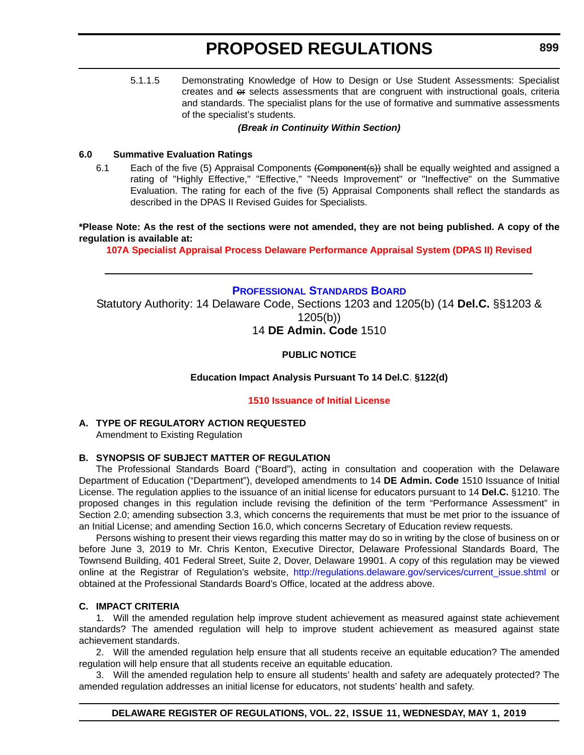<span id="page-23-0"></span>5.1.1.5 Demonstrating Knowledge of How to Design or Use Student Assessments: Specialist creates and or selects assessments that are congruent with instructional goals, criteria and standards. The specialist plans for the use of formative and summative assessments of the specialist's students.

#### *(Break in Continuity Within Section)*

#### **6.0 Summative Evaluation Ratings**

6.1 Each of the five (5) Appraisal Components (Component(s)) shall be equally weighted and assigned a rating of "Highly Effective," "Effective," "Needs Improvement" or "Ineffective" on the Summative Evaluation. The rating for each of the five (5) Appraisal Components shall reflect the standards as described in the DPAS II Revised Guides for Specialists.

**\*Please Note: As the rest of the sections were not amended, they are not being published. A copy of the regulation is available at:**

**[107A Specialist Appraisal Process Delaware Performance Appraisal System \(DPAS II\) Revised](http://regulations.delaware.gov/register/may2019/proposed/22 DE Reg 897 05-01-19.htm)**

#### **[PROFESSIONAL STANDARDS BOARD](https://www.doe.k12.de.us/domain/172 )**

Statutory Authority: 14 Delaware Code, Sections 1203 and 1205(b) (14 **Del.C.** §§1203 & 1205(b)) 14 **DE Admin. Code** 1510

#### **PUBLIC NOTICE**

#### **Education Impact Analysis Pursuant To 14 Del.C**. **§122(d)**

#### **[1510 Issuance of Initial License](#page-3-0)**

#### **A. TYPE OF REGULATORY ACTION REQUESTED**

Amendment to Existing Regulation

#### **B. SYNOPSIS OF SUBJECT MATTER OF REGULATION**

The Professional Standards Board ("Board"), acting in consultation and cooperation with the Delaware Department of Education ("Department"), developed amendments to 14 **DE Admin. Code** 1510 Issuance of Initial License. The regulation applies to the issuance of an initial license for educators pursuant to 14 **Del.C.** §1210. The proposed changes in this regulation include revising the definition of the term "Performance Assessment" in Section 2.0; amending subsection 3.3, which concerns the requirements that must be met prior to the issuance of an Initial License; and amending Section 16.0, which concerns Secretary of Education review requests.

Persons wishing to present their views regarding this matter may do so in writing by the close of business on or before June 3, 2019 to Mr. Chris Kenton, Executive Director, Delaware Professional Standards Board, The Townsend Building, 401 Federal Street, Suite 2, Dover, Delaware 19901. A copy of this regulation may be viewed online at the Registrar of Regulation's website, [http://regulations.delaware.gov/services/current\\_issue.shtml](http://regulations.delaware.gov/services/current_issue.shtml) or obtained at the Professional Standards Board's Office, located at the address above.

#### **C. IMPACT CRITERIA**

1. Will the amended regulation help improve student achievement as measured against state achievement standards? The amended regulation will help to improve student achievement as measured against state achievement standards.

2. Will the amended regulation help ensure that all students receive an equitable education? The amended regulation will help ensure that all students receive an equitable education.

3. Will the amended regulation help to ensure all students' health and safety are adequately protected? The amended regulation addresses an initial license for educators, not students' health and safety.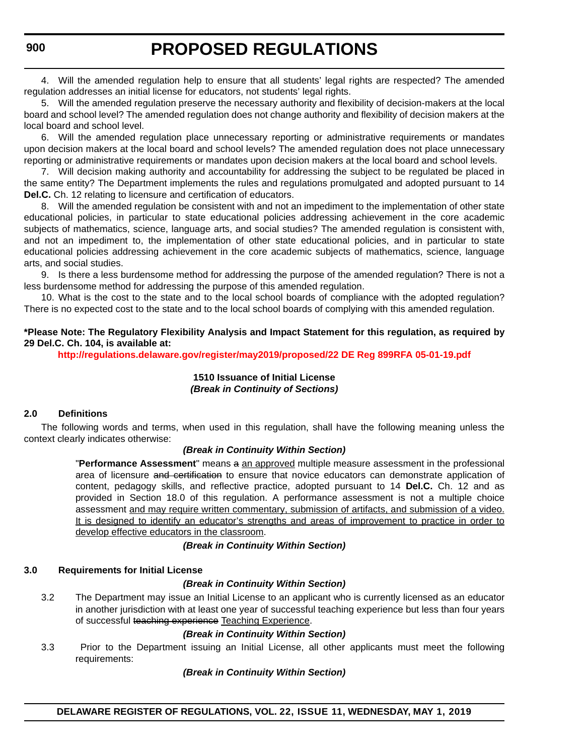4. Will the amended regulation help to ensure that all students' legal rights are respected? The amended regulation addresses an initial license for educators, not students' legal rights.

5. Will the amended regulation preserve the necessary authority and flexibility of decision-makers at the local board and school level? The amended regulation does not change authority and flexibility of decision makers at the local board and school level.

6. Will the amended regulation place unnecessary reporting or administrative requirements or mandates upon decision makers at the local board and school levels? The amended regulation does not place unnecessary reporting or administrative requirements or mandates upon decision makers at the local board and school levels.

7. Will decision making authority and accountability for addressing the subject to be regulated be placed in the same entity? The Department implements the rules and regulations promulgated and adopted pursuant to 14 **Del.C.** Ch. 12 relating to licensure and certification of educators.

8. Will the amended regulation be consistent with and not an impediment to the implementation of other state educational policies, in particular to state educational policies addressing achievement in the core academic subjects of mathematics, science, language arts, and social studies? The amended regulation is consistent with, and not an impediment to, the implementation of other state educational policies, and in particular to state educational policies addressing achievement in the core academic subjects of mathematics, science, language arts, and social studies.

9. Is there a less burdensome method for addressing the purpose of the amended regulation? There is not a less burdensome method for addressing the purpose of this amended regulation.

10. What is the cost to the state and to the local school boards of compliance with the adopted regulation? There is no expected cost to the state and to the local school boards of complying with this amended regulation.

#### **\*Please Note: The Regulatory Flexibility Analysis and Impact Statement for this regulation, as required by 29 Del.C. Ch. 104, is available at:**

**<http://regulations.delaware.gov/register/may2019/proposed/22 DE Reg 899RFA 05-01-19.pdf>**

#### **1510 Issuance of Initial License** *(Break in Continuity of Sections)*

#### **2.0 Definitions**

The following words and terms, when used in this regulation, shall have the following meaning unless the context clearly indicates otherwise:

#### *(Break in Continuity Within Section)*

"**Performance Assessment**" means a an approved multiple measure assessment in the professional area of licensure and certification to ensure that novice educators can demonstrate application of content, pedagogy skills, and reflective practice, adopted pursuant to 14 **Del.C.** Ch. 12 and as provided in Section 18.0 of this regulation. A performance assessment is not a multiple choice assessment and may require written commentary, submission of artifacts, and submission of a video. It is designed to identify an educator's strengths and areas of improvement to practice in order to develop effective educators in the classroom.

*(Break in Continuity Within Section)*

#### **3.0 Requirements for Initial License**

#### *(Break in Continuity Within Section)*

3.2 The Department may issue an Initial License to an applicant who is currently licensed as an educator in another jurisdiction with at least one year of successful teaching experience but less than four years of successful teaching experience Teaching Experience.

#### *(Break in Continuity Within Section)*

3.3 Prior to the Department issuing an Initial License, all other applicants must meet the following requirements:

#### *(Break in Continuity Within Section)*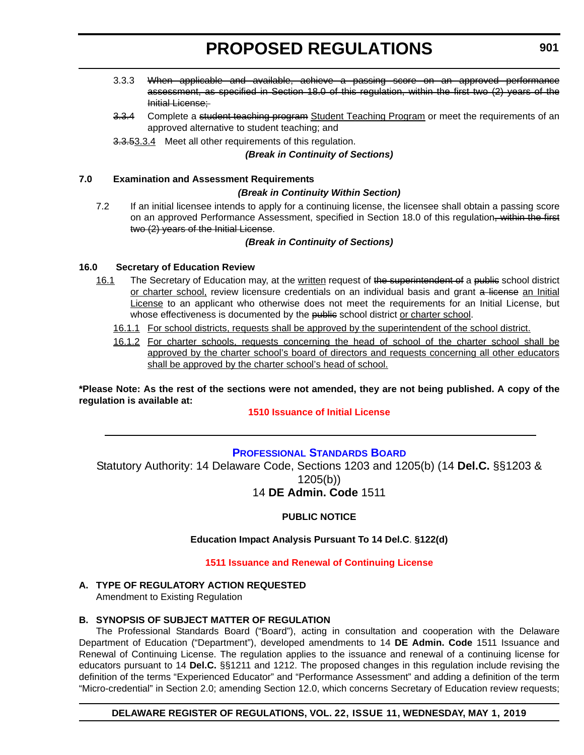- <span id="page-25-0"></span>3.3.3 When applicable and available, achieve a passing score on an approved performance assessment, as specified in Section 18.0 of this regulation, within the first two (2) years of the Initial License;
- 3.3.4 Complete a student teaching program Student Teaching Program or meet the requirements of an approved alternative to student teaching; and
- 3.3.53.3.4 Meet all other requirements of this regulation.

#### *(Break in Continuity of Sections)*

#### **7.0 Examination and Assessment Requirements**

#### *(Break in Continuity Within Section)*

7.2 If an initial licensee intends to apply for a continuing license, the licensee shall obtain a passing score on an approved Performance Assessment, specified in Section 18.0 of this regulation, within the first two (2) years of the Initial License.

#### *(Break in Continuity of Sections)*

#### **16.0 Secretary of Education Review**

- 16.1 The Secretary of Education may, at the written request of the superintendent of a public school district or charter school, review licensure credentials on an individual basis and grant a license an Initial License to an applicant who otherwise does not meet the requirements for an Initial License, but whose effectiveness is documented by the public school district or charter school.
	- 16.1.1 For school districts, requests shall be approved by the superintendent of the school district.
	- 16.1.2 For charter schools, requests concerning the head of school of the charter school shall be approved by the charter school's board of directors and requests concerning all other educators shall be approved by the charter school's head of school.

**\*Please Note: As the rest of the sections were not amended, they are not being published. A copy of the regulation is available at:**

#### **[1510 Issuance of Initial License](http://regulations.delaware.gov/register/may2019/proposed/22 DE Reg 899 05-01-19.htm)**

#### **[PROFESSIONAL STANDARDS BOARD](https://www.doe.k12.de.us/domain/172 )**

Statutory Authority: 14 Delaware Code, Sections 1203 and 1205(b) (14 **Del.C.** §§1203 & 1205(b))

#### 14 **DE Admin. Code** 1511

#### **PUBLIC NOTICE**

#### **Education Impact Analysis Pursuant To 14 Del.C**. **§122(d)**

#### **[1511 Issuance and Renewal of Continuing License](#page-3-0)**

#### **A. TYPE OF REGULATORY ACTION REQUESTED**

Amendment to Existing Regulation

#### **B. SYNOPSIS OF SUBJECT MATTER OF REGULATION**

The Professional Standards Board ("Board"), acting in consultation and cooperation with the Delaware Department of Education ("Department"), developed amendments to 14 **DE Admin. Code** 1511 Issuance and Renewal of Continuing License. The regulation applies to the issuance and renewal of a continuing license for educators pursuant to 14 **Del.C.** §§1211 and 1212. The proposed changes in this regulation include revising the definition of the terms "Experienced Educator" and "Performance Assessment" and adding a definition of the term "Micro-credential" in Section 2.0; amending Section 12.0, which concerns Secretary of Education review requests;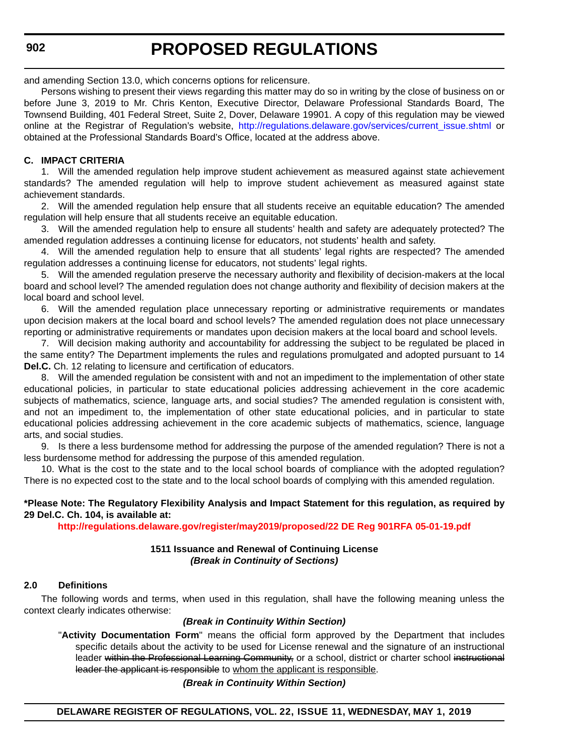and amending Section 13.0, which concerns options for relicensure.

Persons wishing to present their views regarding this matter may do so in writing by the close of business on or before June 3, 2019 to Mr. Chris Kenton, Executive Director, Delaware Professional Standards Board, The Townsend Building, 401 Federal Street, Suite 2, Dover, Delaware 19901. A copy of this regulation may be viewed online at the Registrar of Regulation's website, [http://regulations.delaware.gov/services/current\\_issue.shtml](http://regulations.delaware.gov/services/current_issue.shtml) or obtained at the Professional Standards Board's Office, located at the address above.

#### **C. IMPACT CRITERIA**

1. Will the amended regulation help improve student achievement as measured against state achievement standards? The amended regulation will help to improve student achievement as measured against state achievement standards.

2. Will the amended regulation help ensure that all students receive an equitable education? The amended regulation will help ensure that all students receive an equitable education.

3. Will the amended regulation help to ensure all students' health and safety are adequately protected? The amended regulation addresses a continuing license for educators, not students' health and safety.

4. Will the amended regulation help to ensure that all students' legal rights are respected? The amended regulation addresses a continuing license for educators, not students' legal rights.

5. Will the amended regulation preserve the necessary authority and flexibility of decision-makers at the local board and school level? The amended regulation does not change authority and flexibility of decision makers at the local board and school level.

6. Will the amended regulation place unnecessary reporting or administrative requirements or mandates upon decision makers at the local board and school levels? The amended regulation does not place unnecessary reporting or administrative requirements or mandates upon decision makers at the local board and school levels.

7. Will decision making authority and accountability for addressing the subject to be regulated be placed in the same entity? The Department implements the rules and regulations promulgated and adopted pursuant to 14 **Del.C.** Ch. 12 relating to licensure and certification of educators.

8. Will the amended regulation be consistent with and not an impediment to the implementation of other state educational policies, in particular to state educational policies addressing achievement in the core academic subjects of mathematics, science, language arts, and social studies? The amended regulation is consistent with, and not an impediment to, the implementation of other state educational policies, and in particular to state educational policies addressing achievement in the core academic subjects of mathematics, science, language arts, and social studies.

9. Is there a less burdensome method for addressing the purpose of the amended regulation? There is not a less burdensome method for addressing the purpose of this amended regulation.

10. What is the cost to the state and to the local school boards of compliance with the adopted regulation? There is no expected cost to the state and to the local school boards of complying with this amended regulation.

#### **\*Please Note: The Regulatory Flexibility Analysis and Impact Statement for this regulation, as required by 29 Del.C. Ch. 104, is available at:**

**<http://regulations.delaware.gov/register/may2019/proposed/22 DE Reg 901RFA 05-01-19.pdf>**

#### **1511 Issuance and Renewal of Continuing License** *(Break in Continuity of Sections)*

#### **2.0 Definitions**

The following words and terms, when used in this regulation, shall have the following meaning unless the context clearly indicates otherwise:

#### *(Break in Continuity Within Section)*

"**Activity Documentation Form**" means the official form approved by the Department that includes specific details about the activity to be used for License renewal and the signature of an instructional leader within the Professional Learning Community, or a school, district or charter school instructional leader the applicant is responsible to whom the applicant is responsible.

#### *(Break in Continuity Within Section)*

**DELAWARE REGISTER OF REGULATIONS, VOL. 22, ISSUE 11, WEDNESDAY, MAY 1, 2019**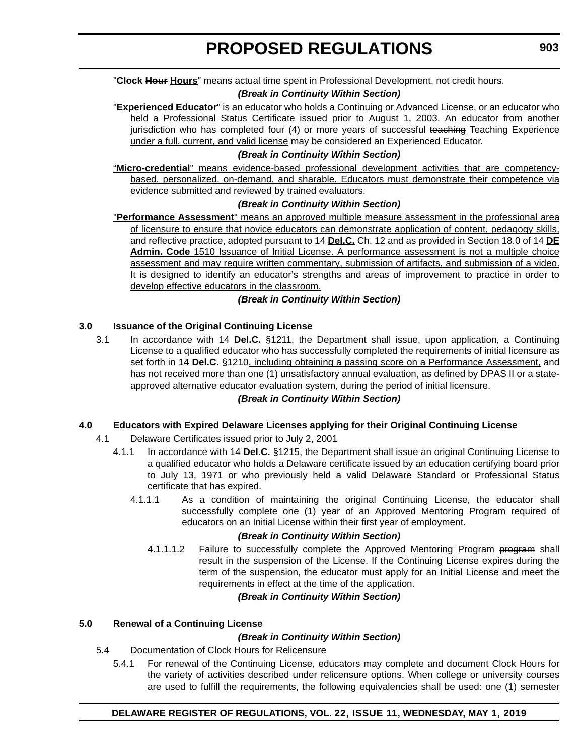#### *(Break in Continuity Within Section)*

"**Experienced Educator**" is an educator who holds a Continuing or Advanced License, or an educator who held a Professional Status Certificate issued prior to August 1, 2003. An educator from another jurisdiction who has completed four (4) or more years of successful teaching Teaching Experience under a full, current, and valid license may be considered an Experienced Educator.

#### *(Break in Continuity Within Section)*

"**Micro-credential**" means evidence-based professional development activities that are competencybased, personalized, on-demand, and sharable. Educators must demonstrate their competence via evidence submitted and reviewed by trained evaluators.

#### *(Break in Continuity Within Section)*

"**Performance Assessment**" means an approved multiple measure assessment in the professional area of licensure to ensure that novice educators can demonstrate application of content, pedagogy skills, and reflective practice, adopted pursuant to 14 **Del.C.** Ch. 12 and as provided in Section 18.0 of 14 **DE Admin. Code** 1510 Issuance of Initial License. A performance assessment is not a multiple choice assessment and may require written commentary, submission of artifacts, and submission of a video. It is designed to identify an educator's strengths and areas of improvement to practice in order to develop effective educators in the classroom.

#### *(Break in Continuity Within Section)*

#### **3.0 Issuance of the Original Continuing License**

3.1 In accordance with 14 **Del.C.** §1211, the Department shall issue, upon application, a Continuing License to a qualified educator who has successfully completed the requirements of initial licensure as set forth in 14 **Del.C.** §1210, including obtaining a passing score on a Performance Assessment, and has not received more than one (1) unsatisfactory annual evaluation, as defined by DPAS II or a stateapproved alternative educator evaluation system, during the period of initial licensure.

#### *(Break in Continuity Within Section)*

#### **4.0 Educators with Expired Delaware Licenses applying for their Original Continuing License**

- 4.1 Delaware Certificates issued prior to July 2, 2001
	- 4.1.1 In accordance with 14 **Del.C.** §1215, the Department shall issue an original Continuing License to a qualified educator who holds a Delaware certificate issued by an education certifying board prior to July 13, 1971 or who previously held a valid Delaware Standard or Professional Status certificate that has expired.
		- 4.1.1.1 As a condition of maintaining the original Continuing License, the educator shall successfully complete one (1) year of an Approved Mentoring Program required of educators on an Initial License within their first year of employment.

#### *(Break in Continuity Within Section)*

4.1.1.1.2 Failure to successfully complete the Approved Mentoring Program program shall result in the suspension of the License. If the Continuing License expires during the term of the suspension, the educator must apply for an Initial License and meet the requirements in effect at the time of the application.

#### *(Break in Continuity Within Section)*

#### **5.0 Renewal of a Continuing License**

#### *(Break in Continuity Within Section)*

- 5.4 Documentation of Clock Hours for Relicensure
	- 5.4.1 For renewal of the Continuing License, educators may complete and document Clock Hours for the variety of activities described under relicensure options. When college or university courses are used to fulfill the requirements, the following equivalencies shall be used: one (1) semester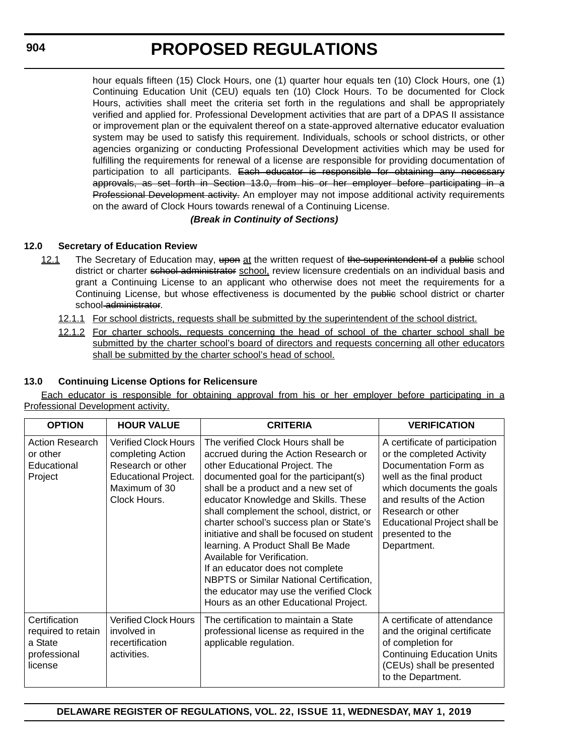hour equals fifteen (15) Clock Hours, one (1) quarter hour equals ten (10) Clock Hours, one (1) Continuing Education Unit (CEU) equals ten (10) Clock Hours. To be documented for Clock Hours, activities shall meet the criteria set forth in the regulations and shall be appropriately verified and applied for. Professional Development activities that are part of a DPAS II assistance or improvement plan or the equivalent thereof on a state-approved alternative educator evaluation system may be used to satisfy this requirement. Individuals, schools or school districts, or other agencies organizing or conducting Professional Development activities which may be used for fulfilling the requirements for renewal of a license are responsible for providing documentation of participation to all participants. Each educator is responsible for obtaining any necessary approvals, as set forth in Section 13.0, from his or her employer before participating in a Professional Development activity. An employer may not impose additional activity requirements on the award of Clock Hours towards renewal of a Continuing License.

#### *(Break in Continuity of Sections)*

#### **12.0 Secretary of Education Review**

- 12.1 The Secretary of Education may, upon at the written request of the superintendent of a public school district or charter school administrator school, review licensure credentials on an individual basis and grant a Continuing License to an applicant who otherwise does not meet the requirements for a Continuing License, but whose effectiveness is documented by the public school district or charter school administrator.
	- 12.1.1 For school districts, requests shall be submitted by the superintendent of the school district.
	- 12.1.2 For charter schools, requests concerning the head of school of the charter school shall be submitted by the charter school's board of directors and requests concerning all other educators shall be submitted by the charter school's head of school.

#### **13.0 Continuing License Options for Relicensure**

Each educator is responsible for obtaining approval from his or her employer before participating in a Professional Development activity.

| <b>OPTION</b>                                                             | <b>HOUR VALUE</b>                                                                                                                     | <b>CRITERIA</b>                                                                                                                                                                                                                                                                                                                                                                                                                                                                                                                                                                                                              | <b>VERIFICATION</b>                                                                                                                                                                                                                                                 |
|---------------------------------------------------------------------------|---------------------------------------------------------------------------------------------------------------------------------------|------------------------------------------------------------------------------------------------------------------------------------------------------------------------------------------------------------------------------------------------------------------------------------------------------------------------------------------------------------------------------------------------------------------------------------------------------------------------------------------------------------------------------------------------------------------------------------------------------------------------------|---------------------------------------------------------------------------------------------------------------------------------------------------------------------------------------------------------------------------------------------------------------------|
| <b>Action Research</b><br>or other<br>Educational<br>Project              | <b>Verified Clock Hours</b><br>completing Action<br>Research or other<br><b>Educational Project.</b><br>Maximum of 30<br>Clock Hours. | The verified Clock Hours shall be<br>accrued during the Action Research or<br>other Educational Project. The<br>documented goal for the participant(s)<br>shall be a product and a new set of<br>educator Knowledge and Skills. These<br>shall complement the school, district, or<br>charter school's success plan or State's<br>initiative and shall be focused on student<br>learning. A Product Shall Be Made<br>Available for Verification.<br>If an educator does not complete<br><b>NBPTS or Similar National Certification,</b><br>the educator may use the verified Clock<br>Hours as an other Educational Project. | A certificate of participation<br>or the completed Activity<br>Documentation Form as<br>well as the final product<br>which documents the goals<br>and results of the Action<br>Research or other<br>Educational Project shall be<br>presented to the<br>Department. |
| Certification<br>required to retain<br>a State<br>professional<br>license | <b>Verified Clock Hours</b><br>involved in<br>recertification<br>activities.                                                          | The certification to maintain a State<br>professional license as required in the<br>applicable regulation.                                                                                                                                                                                                                                                                                                                                                                                                                                                                                                                   | A certificate of attendance<br>and the original certificate<br>of completion for<br><b>Continuing Education Units</b><br>(CEUs) shall be presented<br>to the Department.                                                                                            |

**DELAWARE REGISTER OF REGULATIONS, VOL. 22, ISSUE 11, WEDNESDAY, MAY 1, 2019**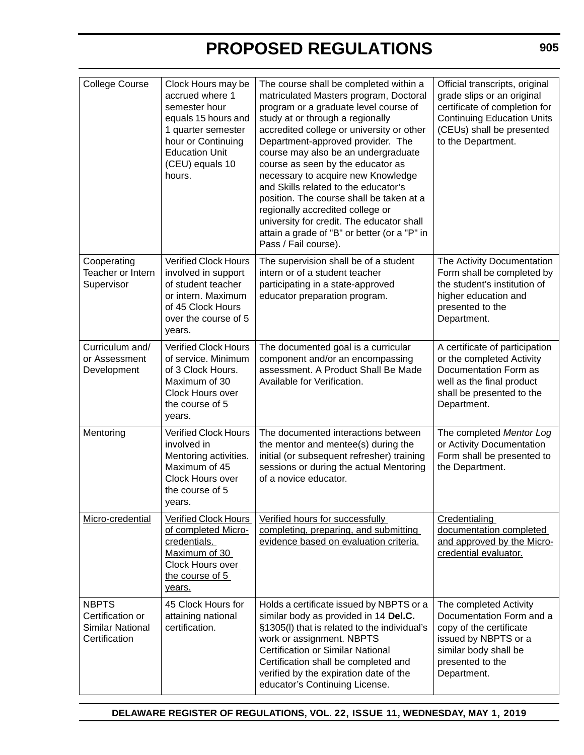| <b>College Course</b>                                                        | Clock Hours may be<br>accrued where 1<br>semester hour<br>equals 15 hours and<br>1 quarter semester<br>hour or Continuing<br><b>Education Unit</b><br>(CEU) equals 10<br>hours. | The course shall be completed within a<br>matriculated Masters program, Doctoral<br>program or a graduate level course of<br>study at or through a regionally<br>accredited college or university or other<br>Department-approved provider. The<br>course may also be an undergraduate<br>course as seen by the educator as<br>necessary to acquire new Knowledge<br>and Skills related to the educator's<br>position. The course shall be taken at a<br>regionally accredited college or<br>university for credit. The educator shall<br>attain a grade of "B" or better (or a "P" in<br>Pass / Fail course). | Official transcripts, original<br>grade slips or an original<br>certificate of completion for<br><b>Continuing Education Units</b><br>(CEUs) shall be presented<br>to the Department. |
|------------------------------------------------------------------------------|---------------------------------------------------------------------------------------------------------------------------------------------------------------------------------|----------------------------------------------------------------------------------------------------------------------------------------------------------------------------------------------------------------------------------------------------------------------------------------------------------------------------------------------------------------------------------------------------------------------------------------------------------------------------------------------------------------------------------------------------------------------------------------------------------------|---------------------------------------------------------------------------------------------------------------------------------------------------------------------------------------|
| Cooperating<br>Teacher or Intern<br>Supervisor                               | <b>Verified Clock Hours</b><br>involved in support<br>of student teacher<br>or intern. Maximum<br>of 45 Clock Hours<br>over the course of 5<br>years.                           | The supervision shall be of a student<br>intern or of a student teacher<br>participating in a state-approved<br>educator preparation program.                                                                                                                                                                                                                                                                                                                                                                                                                                                                  | The Activity Documentation<br>Form shall be completed by<br>the student's institution of<br>higher education and<br>presented to the<br>Department.                                   |
| Curriculum and/<br>or Assessment<br>Development                              | <b>Verified Clock Hours</b><br>of service. Minimum<br>of 3 Clock Hours.<br>Maximum of 30<br><b>Clock Hours over</b><br>the course of 5<br>years.                                | The documented goal is a curricular<br>component and/or an encompassing<br>assessment. A Product Shall Be Made<br>Available for Verification.                                                                                                                                                                                                                                                                                                                                                                                                                                                                  | A certificate of participation<br>or the completed Activity<br>Documentation Form as<br>well as the final product<br>shall be presented to the<br>Department.                         |
| Mentoring                                                                    | <b>Verified Clock Hours</b><br>involved in<br>Mentoring activities.<br>Maximum of 45<br>Clock Hours over<br>the course of 5<br>years.                                           | The documented interactions between<br>the mentor and mentee(s) during the<br>initial (or subsequent refresher) training<br>sessions or during the actual Mentoring<br>of a novice educator.                                                                                                                                                                                                                                                                                                                                                                                                                   | The completed Mentor Log<br>or Activity Documentation<br>Form shall be presented to<br>the Department.                                                                                |
| Micro-credential                                                             | <b>Verified Clock Hours</b><br>of completed Micro-<br>credentials.<br>Maximum of 30<br>Clock Hours over<br>the course of 5<br>years.                                            | Verified hours for successfully<br>completing, preparing, and submitting<br>evidence based on evaluation criteria.                                                                                                                                                                                                                                                                                                                                                                                                                                                                                             | Credentialing<br>documentation completed<br>and approved by the Micro-<br>credential evaluator.                                                                                       |
| <b>NBPTS</b><br>Certification or<br><b>Similar National</b><br>Certification | 45 Clock Hours for<br>attaining national<br>certification.                                                                                                                      | Holds a certificate issued by NBPTS or a<br>similar body as provided in 14 Del.C.<br>§1305(I) that is related to the individual's<br>work or assignment. NBPTS<br><b>Certification or Similar National</b><br>Certification shall be completed and<br>verified by the expiration date of the<br>educator's Continuing License.                                                                                                                                                                                                                                                                                 | The completed Activity<br>Documentation Form and a<br>copy of the certificate<br>issued by NBPTS or a<br>similar body shall be<br>presented to the<br>Department.                     |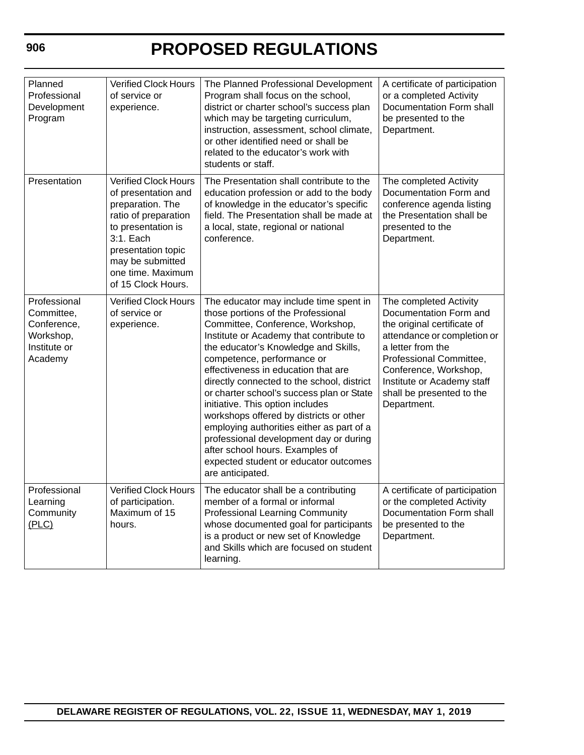| Planned<br>Professional<br>Development<br>Program                                 | Verified Clock Hours<br>of service or<br>experience.                                                                                                                                                                   | The Planned Professional Development<br>Program shall focus on the school,<br>district or charter school's success plan<br>which may be targeting curriculum,<br>instruction, assessment, school climate,<br>or other identified need or shall be<br>related to the educator's work with<br>students or staff.                                                                                                                                                                                                                                                                                                                            | A certificate of participation<br>or a completed Activity<br>Documentation Form shall<br>be presented to the<br>Department.                                                                                                                                       |
|-----------------------------------------------------------------------------------|------------------------------------------------------------------------------------------------------------------------------------------------------------------------------------------------------------------------|-------------------------------------------------------------------------------------------------------------------------------------------------------------------------------------------------------------------------------------------------------------------------------------------------------------------------------------------------------------------------------------------------------------------------------------------------------------------------------------------------------------------------------------------------------------------------------------------------------------------------------------------|-------------------------------------------------------------------------------------------------------------------------------------------------------------------------------------------------------------------------------------------------------------------|
| Presentation                                                                      | <b>Verified Clock Hours</b><br>of presentation and<br>preparation. The<br>ratio of preparation<br>to presentation is<br>3:1. Each<br>presentation topic<br>may be submitted<br>one time. Maximum<br>of 15 Clock Hours. | The Presentation shall contribute to the<br>education profession or add to the body<br>of knowledge in the educator's specific<br>field. The Presentation shall be made at<br>a local, state, regional or national<br>conference.                                                                                                                                                                                                                                                                                                                                                                                                         | The completed Activity<br>Documentation Form and<br>conference agenda listing<br>the Presentation shall be<br>presented to the<br>Department.                                                                                                                     |
| Professional<br>Committee,<br>Conference,<br>Workshop,<br>Institute or<br>Academy | <b>Verified Clock Hours</b><br>of service or<br>experience.                                                                                                                                                            | The educator may include time spent in<br>those portions of the Professional<br>Committee, Conference, Workshop,<br>Institute or Academy that contribute to<br>the educator's Knowledge and Skills,<br>competence, performance or<br>effectiveness in education that are<br>directly connected to the school, district<br>or charter school's success plan or State<br>initiative. This option includes<br>workshops offered by districts or other<br>employing authorities either as part of a<br>professional development day or during<br>after school hours. Examples of<br>expected student or educator outcomes<br>are anticipated. | The completed Activity<br>Documentation Form and<br>the original certificate of<br>attendance or completion or<br>a letter from the<br>Professional Committee,<br>Conference, Workshop,<br>Institute or Academy staff<br>shall be presented to the<br>Department. |
| Professional<br>Learning<br>Community<br>(PLC)                                    | <b>Verified Clock Hours</b><br>of participation.<br>Maximum of 15<br>hours.                                                                                                                                            | The educator shall be a contributing<br>member of a formal or informal<br><b>Professional Learning Community</b><br>whose documented goal for participants<br>is a product or new set of Knowledge<br>and Skills which are focused on student<br>learning.                                                                                                                                                                                                                                                                                                                                                                                | A certificate of participation<br>or the completed Activity<br>Documentation Form shall<br>be presented to the<br>Department.                                                                                                                                     |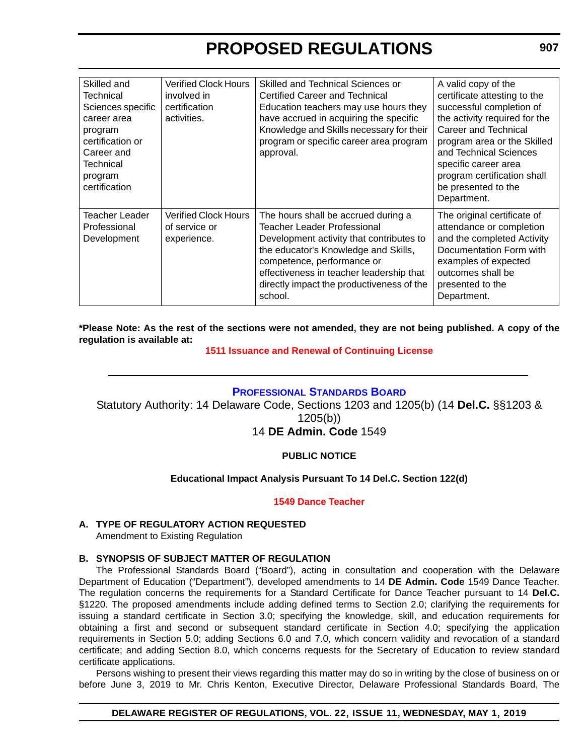<span id="page-31-0"></span>

| Skilled and<br><b>Technical</b><br>Sciences specific<br>career area<br>program<br>certification or<br>Career and<br>Technical<br>program<br>certification | <b>Verified Clock Hours</b><br>involved in<br>certification<br>activities. | Skilled and Technical Sciences or<br>Certified Career and Technical<br>Education teachers may use hours they<br>have accrued in acquiring the specific<br>Knowledge and Skills necessary for their<br>program or specific career area program<br>approval.                               | A valid copy of the<br>certificate attesting to the<br>successful completion of<br>the activity required for the<br>Career and Technical<br>program area or the Skilled<br>and Technical Sciences<br>specific career area<br>program certification shall<br>be presented to the<br>Department. |
|-----------------------------------------------------------------------------------------------------------------------------------------------------------|----------------------------------------------------------------------------|------------------------------------------------------------------------------------------------------------------------------------------------------------------------------------------------------------------------------------------------------------------------------------------|------------------------------------------------------------------------------------------------------------------------------------------------------------------------------------------------------------------------------------------------------------------------------------------------|
| Teacher Leader<br>Professional<br>Development                                                                                                             | <b>Verified Clock Hours</b><br>of service or<br>experience.                | The hours shall be accrued during a<br>Teacher Leader Professional<br>Development activity that contributes to<br>the educator's Knowledge and Skills,<br>competence, performance or<br>effectiveness in teacher leadership that<br>directly impact the productiveness of the<br>school. | The original certificate of<br>attendance or completion<br>and the completed Activity<br>Documentation Form with<br>examples of expected<br>outcomes shall be<br>presented to the<br>Department.                                                                                               |

**\*Please Note: As the rest of the sections were not amended, they are not being published. A copy of the regulation is available at:**

#### **[1511 Issuance and Renewal of Continuing License](http://regulations.delaware.gov/register/may2019/proposed/22 DE Reg 901 05-01-19.htm)**

#### **[PROFESSIONAL STANDARDS BOARD](https://www.doe.k12.de.us/domain/172 )**

Statutory Authority: 14 Delaware Code, Sections 1203 and 1205(b) (14 **Del.C.** §§1203 & 1205(b))

#### 14 **DE Admin. Code** 1549

#### **PUBLIC NOTICE**

#### **Educational Impact Analysis Pursuant To 14 Del.C. Section 122(d)**

#### **[1549 Dance Teacher](#page-3-0)**

#### **A. TYPE OF REGULATORY ACTION REQUESTED**

Amendment to Existing Regulation

#### **B. SYNOPSIS OF SUBJECT MATTER OF REGULATION**

The Professional Standards Board ("Board"), acting in consultation and cooperation with the Delaware Department of Education ("Department"), developed amendments to 14 **DE Admin. Code** 1549 Dance Teacher. The regulation concerns the requirements for a Standard Certificate for Dance Teacher pursuant to 14 **Del.C.** §1220. The proposed amendments include adding defined terms to Section 2.0; clarifying the requirements for issuing a standard certificate in Section 3.0; specifying the knowledge, skill, and education requirements for obtaining a first and second or subsequent standard certificate in Section 4.0; specifying the application requirements in Section 5.0; adding Sections 6.0 and 7.0, which concern validity and revocation of a standard certificate; and adding Section 8.0, which concerns requests for the Secretary of Education to review standard certificate applications.

Persons wishing to present their views regarding this matter may do so in writing by the close of business on or before June 3, 2019 to Mr. Chris Kenton, Executive Director, Delaware Professional Standards Board, The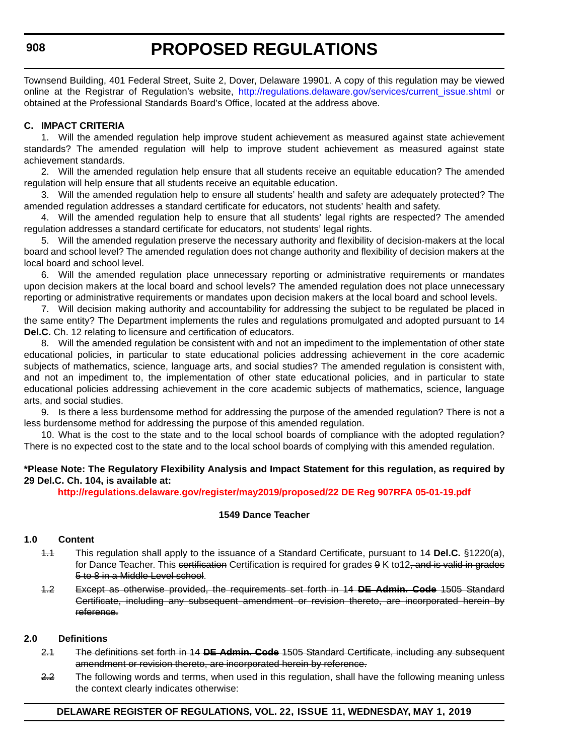Townsend Building, 401 Federal Street, Suite 2, Dover, Delaware 19901. A copy of this regulation may be viewed online at the Registrar of Regulation's website, [http://regulations.delaware.gov/services/current\\_issue.shtml](http://regulations.delaware.gov/services/current_issue.shtml) or obtained at the Professional Standards Board's Office, located at the address above.

#### **C. IMPACT CRITERIA**

1. Will the amended regulation help improve student achievement as measured against state achievement standards? The amended regulation will help to improve student achievement as measured against state achievement standards.

2. Will the amended regulation help ensure that all students receive an equitable education? The amended regulation will help ensure that all students receive an equitable education.

3. Will the amended regulation help to ensure all students' health and safety are adequately protected? The amended regulation addresses a standard certificate for educators, not students' health and safety.

4. Will the amended regulation help to ensure that all students' legal rights are respected? The amended regulation addresses a standard certificate for educators, not students' legal rights.

5. Will the amended regulation preserve the necessary authority and flexibility of decision-makers at the local board and school level? The amended regulation does not change authority and flexibility of decision makers at the local board and school level.

6. Will the amended regulation place unnecessary reporting or administrative requirements or mandates upon decision makers at the local board and school levels? The amended regulation does not place unnecessary reporting or administrative requirements or mandates upon decision makers at the local board and school levels.

7. Will decision making authority and accountability for addressing the subject to be regulated be placed in the same entity? The Department implements the rules and regulations promulgated and adopted pursuant to 14 **Del.C.** Ch. 12 relating to licensure and certification of educators.

8. Will the amended regulation be consistent with and not an impediment to the implementation of other state educational policies, in particular to state educational policies addressing achievement in the core academic subjects of mathematics, science, language arts, and social studies? The amended regulation is consistent with, and not an impediment to, the implementation of other state educational policies, and in particular to state educational policies addressing achievement in the core academic subjects of mathematics, science, language arts, and social studies.

9. Is there a less burdensome method for addressing the purpose of the amended regulation? There is not a less burdensome method for addressing the purpose of this amended regulation.

10. What is the cost to the state and to the local school boards of compliance with the adopted regulation? There is no expected cost to the state and to the local school boards of complying with this amended regulation.

#### **\*Please Note: The Regulatory Flexibility Analysis and Impact Statement for this regulation, as required by 29 Del.C. Ch. 104, is available at:**

**<http://regulations.delaware.gov/register/may2019/proposed/22 DE Reg 907RFA 05-01-19.pdf>**

#### **1549 Dance Teacher**

#### **1.0 Content**

- 1.1 This regulation shall apply to the issuance of a Standard Certificate, pursuant to 14 **Del.C.** §1220(a), for Dance Teacher. This certification Certification is required for grades 9 K to 12, and is valid in grades 5 to 8 in a Middle Level school.
- 1.2 Except as otherwise provided, the requirements set forth in 14 **DE Admin. Code** 1505 Standard Certificate, including any subsequent amendment or revision thereto, are incorporated herein by reference.

#### **2.0 Definitions**

- 2.1 The definitions set forth in 14 **DE Admin. Code** 1505 Standard Certificate, including any subsequent amendment or revision thereto, are incorporated herein by reference.
- 2.2 The following words and terms, when used in this regulation, shall have the following meaning unless the context clearly indicates otherwise: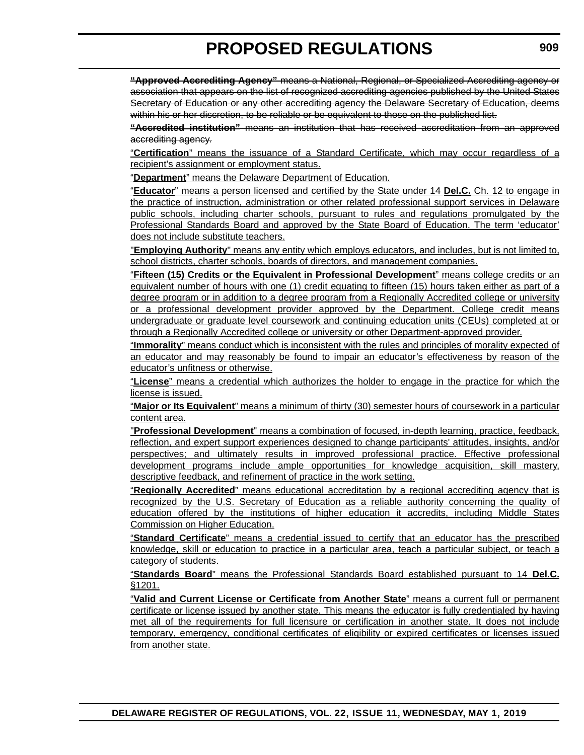**"Approved Accrediting Agency"** means a National, Regional, or Specialized Accrediting agency or association that appears on the list of recognized accrediting agencies published by the United States Secretary of Education or any other accrediting agency the Delaware Secretary of Education, deems within his or her discretion, to be reliable or be equivalent to those on the published list.

**"Accredited institution"** means an institution that has received accreditation from an approved accrediting agency.

"**Certification**" means the issuance of a Standard Certificate, which may occur regardless of a recipient's assignment or employment status.

"**Department**" means the Delaware Department of Education.

"**Educator**" means a person licensed and certified by the State under 14 **Del.C.** Ch. 12 to engage in the practice of instruction, administration or other related professional support services in Delaware public schools, including charter schools, pursuant to rules and regulations promulgated by the Professional Standards Board and approved by the State Board of Education. The term 'educator' does not include substitute teachers.

"**Employing Authority**" means any entity which employs educators, and includes, but is not limited to, school districts, charter schools, boards of directors, and management companies.

"**Fifteen (15) Credits or the Equivalent in Professional Development**" means college credits or an equivalent number of hours with one (1) credit equating to fifteen (15) hours taken either as part of a degree program or in addition to a degree program from a Regionally Accredited college or university or a professional development provider approved by the Department. College credit means undergraduate or graduate level coursework and continuing education units (CEUs) completed at or through a Regionally Accredited college or university or other Department-approved provider.

"**Immorality**" means conduct which is inconsistent with the rules and principles of morality expected of an educator and may reasonably be found to impair an educator's effectiveness by reason of the educator's unfitness or otherwise.

"**License**" means a credential which authorizes the holder to engage in the practice for which the license is issued.

"**Major or Its Equivalent**" means a minimum of thirty (30) semester hours of coursework in a particular content area.

"**Professional Development**" means a combination of focused, in-depth learning, practice, feedback, reflection, and expert support experiences designed to change participants' attitudes, insights, and/or perspectives; and ultimately results in improved professional practice. Effective professional development programs include ample opportunities for knowledge acquisition, skill mastery, descriptive feedback, and refinement of practice in the work setting.

"**Regionally Accredited**" means educational accreditation by a regional accrediting agency that is recognized by the U.S. Secretary of Education as a reliable authority concerning the quality of education offered by the institutions of higher education it accredits, including Middle States Commission on Higher Education.

"**Standard Certificate**" means a credential issued to certify that an educator has the prescribed knowledge, skill or education to practice in a particular area, teach a particular subject, or teach a category of students.

"**Standards Board**" means the Professional Standards Board established pursuant to 14 **Del.C.** §1201.

"**Valid and Current License or Certificate from Another State**" means a current full or permanent certificate or license issued by another state. This means the educator is fully credentialed by having met all of the requirements for full licensure or certification in another state. It does not include temporary, emergency, conditional certificates of eligibility or expired certificates or licenses issued from another state.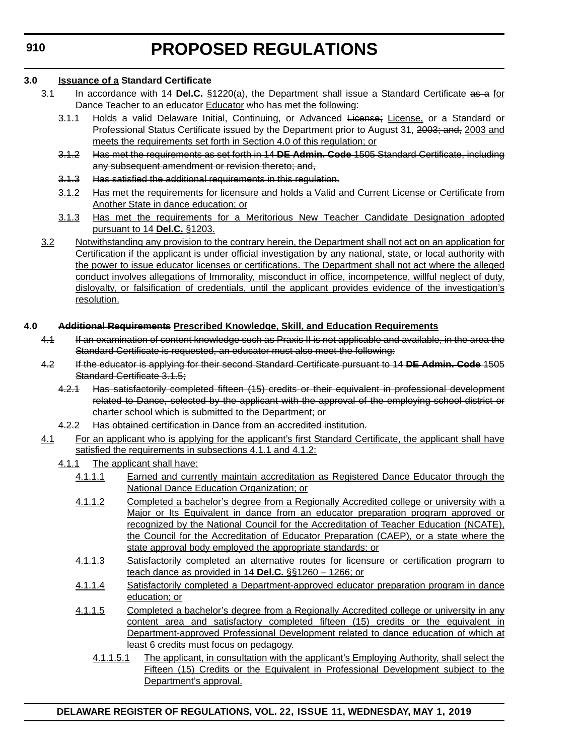**DELAWARE REGISTER OF REGULATIONS, VOL. 22, ISSUE 11, WEDNESDAY, MAY 1, 2019**

**PROPOSED REGULATIONS**

#### **3.0 Issuance of a Standard Certificate**

- 3.1 In accordance with 14 **Del.C.** §1220(a), the Department shall issue a Standard Certificate as a for Dance Teacher to an educator Educator who has met the following:
	- 3.1.1 Holds a valid Delaware Initial, Continuing, or Advanced License; License, or a Standard or Professional Status Certificate issued by the Department prior to August 31, 2003; and, 2003 and meets the requirements set forth in Section 4.0 of this regulation; or
	- 3.1.2 Has met the requirements as set forth in 14 **DE Admin. Code** 1505 Standard Certificate, including any subsequent amendment or revision thereto; and,
	- 3.1.3 Has satisfied the additional requirements in this regulation.
	- 3.1.2 Has met the requirements for licensure and holds a Valid and Current License or Certificate from Another State in dance education; or
	- 3.1.3 Has met the requirements for a Meritorious New Teacher Candidate Designation adopted pursuant to 14 **Del.C.** §1203.
- 3.2 Notwithstanding any provision to the contrary herein, the Department shall not act on an application for Certification if the applicant is under official investigation by any national, state, or local authority with the power to issue educator licenses or certifications. The Department shall not act where the alleged conduct involves allegations of Immorality, misconduct in office, incompetence, willful neglect of duty, disloyalty, or falsification of credentials, until the applicant provides evidence of the investigation's resolution.

#### **4.0 Additional Requirements Prescribed Knowledge, Skill, and Education Requirements**

- 4.1 If an examination of content knowledge such as Praxis II is not applicable and available, in the area the Standard Certificate is requested, an educator must also meet the following:
- 4.2 If the educator is applying for their second Standard Certificate pursuant to 14 **DE Admin. Code** 1505 Standard Certificate 3.1.5;
	- 4.2.1 Has satisfactorily completed fifteen (15) credits or their equivalent in professional development related to Dance, selected by the applicant with the approval of the employing school district or charter school which is submitted to the Department; or
	- 4.2.2 Has obtained certification in Dance from an accredited institution.
- 4.1 For an applicant who is applying for the applicant's first Standard Certificate, the applicant shall have satisfied the requirements in subsections 4.1.1 and 4.1.2:
	- 4.1.1 The applicant shall have:
		- 4.1.1.1 Earned and currently maintain accreditation as Registered Dance Educator through the National Dance Education Organization; or
		- 4.1.1.2 Completed a bachelor's degree from a Regionally Accredited college or university with a Major or Its Equivalent in dance from an educator preparation program approved or recognized by the National Council for the Accreditation of Teacher Education (NCATE), the Council for the Accreditation of Educator Preparation (CAEP), or a state where the state approval body employed the appropriate standards; or
		- 4.1.1.3 Satisfactorily completed an alternative routes for licensure or certification program to teach dance as provided in 14 **Del.C.** §§1260 – 1266; or
		- 4.1.1.4 Satisfactorily completed a Department-approved educator preparation program in dance education; or
		- 4.1.1.5 Completed a bachelor's degree from a Regionally Accredited college or university in any content area and satisfactory completed fifteen (15) credits or the equivalent in Department-approved Professional Development related to dance education of which at least 6 credits must focus on pedagogy.
			- 4.1.1.5.1 The applicant, in consultation with the applicant's Employing Authority, shall select the Fifteen (15) Credits or the Equivalent in Professional Development subject to the Department's approval.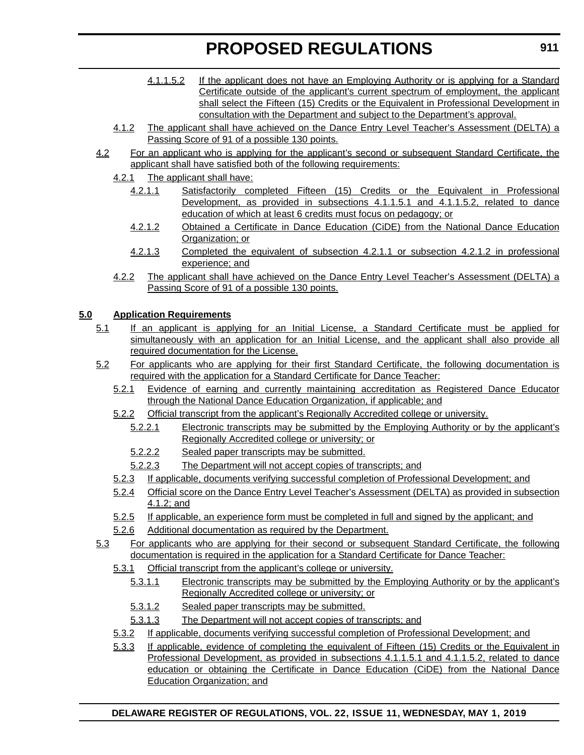- 4.1.1.5.2 If the applicant does not have an Employing Authority or is applying for a Standard Certificate outside of the applicant's current spectrum of employment, the applicant shall select the Fifteen (15) Credits or the Equivalent in Professional Development in consultation with the Department and subject to the Department's approval.
- 4.1.2 The applicant shall have achieved on the Dance Entry Level Teacher's Assessment (DELTA) a Passing Score of 91 of a possible 130 points.
- 4.2 For an applicant who is applying for the applicant's second or subsequent Standard Certificate, the applicant shall have satisfied both of the following requirements:
	- 4.2.1 The applicant shall have:
		- 4.2.1.1 Satisfactorily completed Fifteen (15) Credits or the Equivalent in Professional Development, as provided in subsections 4.1.1.5.1 and 4.1.1.5.2, related to dance education of which at least 6 credits must focus on pedagogy; or
		- 4.2.1.2 Obtained a Certificate in Dance Education (CiDE) from the National Dance Education Organization; or
		- 4.2.1.3 Completed the equivalent of subsection 4.2.1.1 or subsection 4.2.1.2 in professional experience; and
	- 4.2.2 The applicant shall have achieved on the Dance Entry Level Teacher's Assessment (DELTA) a Passing Score of 91 of a possible 130 points.

#### **5.0 Application Requirements**

- 5.1 If an applicant is applying for an Initial License, a Standard Certificate must be applied for simultaneously with an application for an Initial License, and the applicant shall also provide all required documentation for the License.
- 5.2 For applicants who are applying for their first Standard Certificate, the following documentation is required with the application for a Standard Certificate for Dance Teacher:
	- 5.2.1 Evidence of earning and currently maintaining accreditation as Registered Dance Educator through the National Dance Education Organization, if applicable; and
	- 5.2.2 Official transcript from the applicant's Regionally Accredited college or university.
		- 5.2.2.1 Electronic transcripts may be submitted by the Employing Authority or by the applicant's Regionally Accredited college or university; or
		- 5.2.2.2 Sealed paper transcripts may be submitted.
		- 5.2.2.3 The Department will not accept copies of transcripts; and
	- 5.2.3 If applicable, documents verifying successful completion of Professional Development; and
	- 5.2.4 Official score on the Dance Entry Level Teacher's Assessment (DELTA) as provided in subsection 4.1.2; and
	- 5.2.5 If applicable, an experience form must be completed in full and signed by the applicant; and
	- 5.2.6 Additional documentation as required by the Department.
- 5.3 For applicants who are applying for their second or subsequent Standard Certificate, the following documentation is required in the application for a Standard Certificate for Dance Teacher:
	- 5.3.1 Official transcript from the applicant's college or university.
		- 5.3.1.1 Electronic transcripts may be submitted by the Employing Authority or by the applicant's Regionally Accredited college or university; or
		- 5.3.1.2 Sealed paper transcripts may be submitted.
		- 5.3.1.3 The Department will not accept copies of transcripts; and
	- 5.3.2 If applicable, documents verifying successful completion of Professional Development; and
	- 5.3.3 If applicable, evidence of completing the equivalent of Fifteen (15) Credits or the Equivalent in Professional Development, as provided in subsections 4.1.1.5.1 and 4.1.1.5.2, related to dance education or obtaining the Certificate in Dance Education (CiDE) from the National Dance Education Organization; and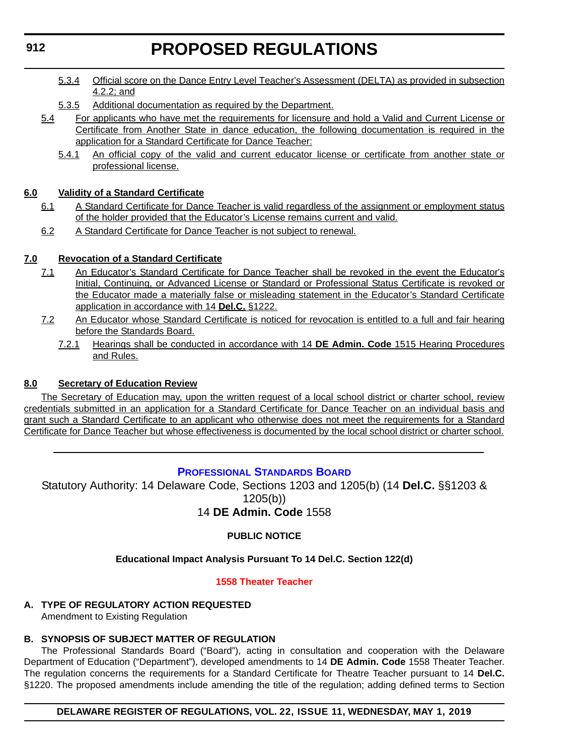- 5.3.4 Official score on the Dance Entry Level Teacher's Assessment (DELTA) as provided in subsection 4.2.2; and
- 5.3.5 Additional documentation as required by the Department.
- 5.4 For applicants who have met the requirements for licensure and hold a Valid and Current License or Certificate from Another State in dance education, the following documentation is required in the application for a Standard Certificate for Dance Teacher:
	- 5.4.1 An official copy of the valid and current educator license or certificate from another state or professional license.

### **6.0 Validity of a Standard Certificate**

- 6.1 A Standard Certificate for Dance Teacher is valid regardless of the assignment or employment status of the holder provided that the Educator's License remains current and valid.
- 6.2 A Standard Certificate for Dance Teacher is not subject to renewal.

### **7.0 Revocation of a Standard Certificate**

- 7.1 An Educator's Standard Certificate for Dance Teacher shall be revoked in the event the Educator's Initial, Continuing, or Advanced License or Standard or Professional Status Certificate is revoked or the Educator made a materially false or misleading statement in the Educator's Standard Certificate application in accordance with 14 **Del.C.** §1222.
- 7.2 An Educator whose Standard Certificate is noticed for revocation is entitled to a full and fair hearing before the Standards Board.
	- 7.2.1 Hearings shall be conducted in accordance with 14 **DE Admin. Code** 1515 Hearing Procedures and Rules.

### **8.0 Secretary of Education Review**

The Secretary of Education may, upon the written request of a local school district or charter school, review credentials submitted in an application for a Standard Certificate for Dance Teacher on an individual basis and grant such a Standard Certificate to an applicant who otherwise does not meet the requirements for a Standard Certificate for Dance Teacher but whose effectiveness is documented by the local school district or charter school.

# **[PROFESSIONAL STANDARDS BOARD](https://www.doe.k12.de.us/domain/172 )**

Statutory Authority: 14 Delaware Code, Sections 1203 and 1205(b) (14 **Del.C.** §§1203 & 1205(b)) 14 **DE Admin. Code** 1558

### **PUBLIC NOTICE**

### **Educational Impact Analysis Pursuant To 14 Del.C. Section 122(d)**

#### **[1558 Theater Teacher](#page-3-0)**

# **A. TYPE OF REGULATORY ACTION REQUESTED**

Amendment to Existing Regulation

# **B. SYNOPSIS OF SUBJECT MATTER OF REGULATION**

The Professional Standards Board ("Board"), acting in consultation and cooperation with the Delaware Department of Education ("Department"), developed amendments to 14 **DE Admin. Code** 1558 Theater Teacher. The regulation concerns the requirements for a Standard Certificate for Theatre Teacher pursuant to 14 **Del.C.** §1220. The proposed amendments include amending the title of the regulation; adding defined terms to Section

### **DELAWARE REGISTER OF REGULATIONS, VOL. 22, ISSUE 11, WEDNESDAY, MAY 1, 2019**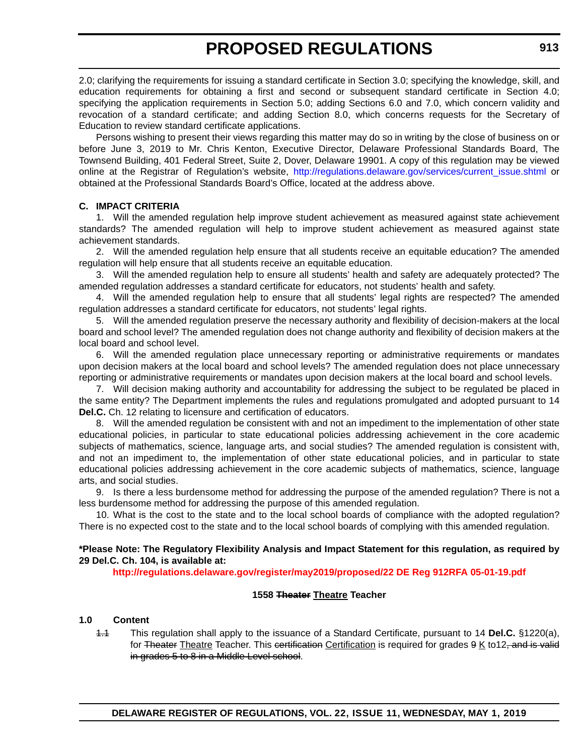2.0; clarifying the requirements for issuing a standard certificate in Section 3.0; specifying the knowledge, skill, and education requirements for obtaining a first and second or subsequent standard certificate in Section 4.0; specifying the application requirements in Section 5.0; adding Sections 6.0 and 7.0, which concern validity and revocation of a standard certificate; and adding Section 8.0, which concerns requests for the Secretary of Education to review standard certificate applications.

Persons wishing to present their views regarding this matter may do so in writing by the close of business on or before June 3, 2019 to Mr. Chris Kenton, Executive Director, Delaware Professional Standards Board, The Townsend Building, 401 Federal Street, Suite 2, Dover, Delaware 19901. A copy of this regulation may be viewed online at the Registrar of Regulation's website, [http://regulations.delaware.gov/services/current\\_issue.shtml](http://regulations.delaware.gov/services/current_issue.shtml) or obtained at the Professional Standards Board's Office, located at the address above.

#### **C. IMPACT CRITERIA**

1. Will the amended regulation help improve student achievement as measured against state achievement standards? The amended regulation will help to improve student achievement as measured against state achievement standards.

2. Will the amended regulation help ensure that all students receive an equitable education? The amended regulation will help ensure that all students receive an equitable education.

3. Will the amended regulation help to ensure all students' health and safety are adequately protected? The amended regulation addresses a standard certificate for educators, not students' health and safety.

4. Will the amended regulation help to ensure that all students' legal rights are respected? The amended regulation addresses a standard certificate for educators, not students' legal rights.

5. Will the amended regulation preserve the necessary authority and flexibility of decision-makers at the local board and school level? The amended regulation does not change authority and flexibility of decision makers at the local board and school level.

6. Will the amended regulation place unnecessary reporting or administrative requirements or mandates upon decision makers at the local board and school levels? The amended regulation does not place unnecessary reporting or administrative requirements or mandates upon decision makers at the local board and school levels.

7. Will decision making authority and accountability for addressing the subject to be regulated be placed in the same entity? The Department implements the rules and regulations promulgated and adopted pursuant to 14 **Del.C.** Ch. 12 relating to licensure and certification of educators.

8. Will the amended regulation be consistent with and not an impediment to the implementation of other state educational policies, in particular to state educational policies addressing achievement in the core academic subjects of mathematics, science, language arts, and social studies? The amended regulation is consistent with, and not an impediment to, the implementation of other state educational policies, and in particular to state educational policies addressing achievement in the core academic subjects of mathematics, science, language arts, and social studies.

9. Is there a less burdensome method for addressing the purpose of the amended regulation? There is not a less burdensome method for addressing the purpose of this amended regulation.

10. What is the cost to the state and to the local school boards of compliance with the adopted regulation? There is no expected cost to the state and to the local school boards of complying with this amended regulation.

#### **\*Please Note: The Regulatory Flexibility Analysis and Impact Statement for this regulation, as required by 29 Del.C. Ch. 104, is available at:**

**<http://regulations.delaware.gov/register/may2019/proposed/22 DE Reg 912RFA 05-01-19.pdf>**

### **1558 Theater Theatre Teacher**

### **1.0 Content**

1.1 This regulation shall apply to the issuance of a Standard Certificate, pursuant to 14 **Del.C.** §1220(a), for Theater Theatre Teacher. This certification Certification is required for grades 9 K to12, and is valid in grades 5 to 8 in a Middle Level school.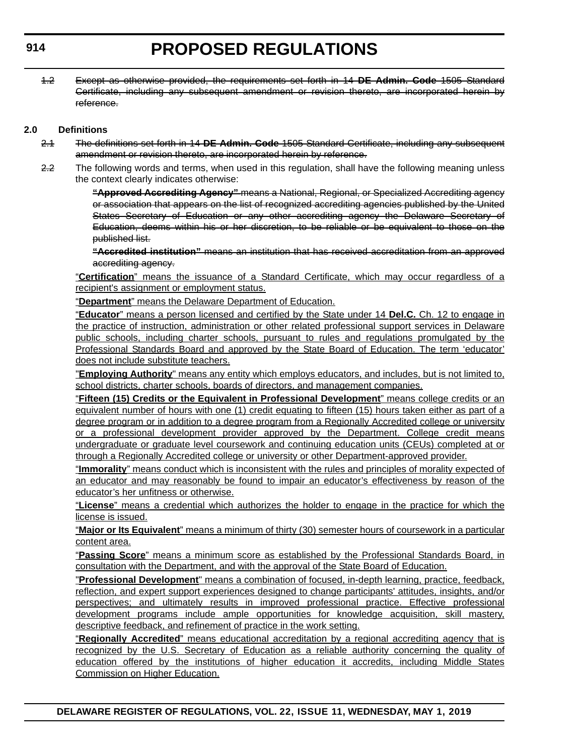1.2 Except as otherwise provided, the requirements set forth in 14 **DE Admin. Code** 1505 Standard Certificate, including any subsequent amendment or revision thereto, are incorporated herein by reference.

### **2.0 Definitions**

- 2.1 The definitions set forth in 14 **DE Admin. Code** 1505 Standard Certificate, including any subsequent amendment or revision thereto, are incorporated herein by reference.
- 2.2 The following words and terms, when used in this regulation, shall have the following meaning unless the context clearly indicates otherwise:

**"Approved Accrediting Agency"** means a National, Regional, or Specialized Accrediting agency or association that appears on the list of recognized accrediting agencies published by the United States Secretary of Education or any other accrediting agency the Delaware Secretary of Education, deems within his or her discretion, to be reliable or be equivalent to those on the published list.

**"Accredited institution"** means an institution that has received accreditation from an approved accrediting agency.

"**Certification**" means the issuance of a Standard Certificate, which may occur regardless of a recipient's assignment or employment status.

"**Department**" means the Delaware Department of Education.

"**Educator**" means a person licensed and certified by the State under 14 **Del.C.** Ch. 12 to engage in the practice of instruction, administration or other related professional support services in Delaware public schools, including charter schools, pursuant to rules and regulations promulgated by the Professional Standards Board and approved by the State Board of Education. The term 'educator' does not include substitute teachers.

"**Employing Authority**" means any entity which employs educators, and includes, but is not limited to, school districts, charter schools, boards of directors, and management companies.

"**Fifteen (15) Credits or the Equivalent in Professional Development**" means college credits or an equivalent number of hours with one (1) credit equating to fifteen (15) hours taken either as part of a degree program or in addition to a degree program from a Regionally Accredited college or university or a professional development provider approved by the Department. College credit means undergraduate or graduate level coursework and continuing education units (CEUs) completed at or through a Regionally Accredited college or university or other Department-approved provider.

"**Immorality**" means conduct which is inconsistent with the rules and principles of morality expected of an educator and may reasonably be found to impair an educator's effectiveness by reason of the educator's her unfitness or otherwise.

"**License**" means a credential which authorizes the holder to engage in the practice for which the license is issued.

"**Major or Its Equivalent**" means a minimum of thirty (30) semester hours of coursework in a particular content area.

"**Passing Score**" means a minimum score as established by the Professional Standards Board, in consultation with the Department, and with the approval of the State Board of Education.

"**Professional Development**" means a combination of focused, in-depth learning, practice, feedback, reflection, and expert support experiences designed to change participants' attitudes, insights, and/or perspectives; and ultimately results in improved professional practice. Effective professional development programs include ample opportunities for knowledge acquisition, skill mastery, descriptive feedback, and refinement of practice in the work setting.

"**Regionally Accredited**" means educational accreditation by a regional accrediting agency that is recognized by the U.S. Secretary of Education as a reliable authority concerning the quality of education offered by the institutions of higher education it accredits, including Middle States Commission on Higher Education.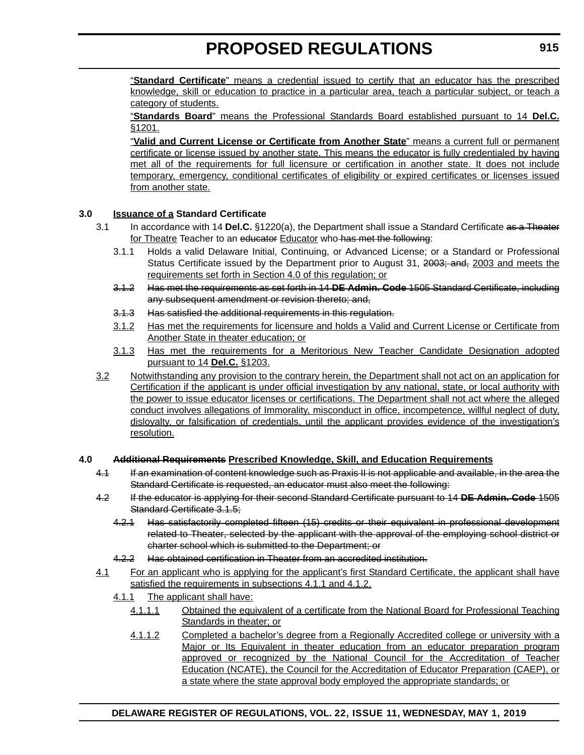"**Standard Certificate**" means a credential issued to certify that an educator has the prescribed knowledge, skill or education to practice in a particular area, teach a particular subject, or teach a category of students.

"**Standards Board**" means the Professional Standards Board established pursuant to 14 **Del.C.** §1201.

"**Valid and Current License or Certificate from Another State**" means a current full or permanent certificate or license issued by another state. This means the educator is fully credentialed by having met all of the requirements for full licensure or certification in another state. It does not include temporary, emergency, conditional certificates of eligibility or expired certificates or licenses issued from another state.

### **3.0 Issuance of a Standard Certificate**

- 3.1 In accordance with 14 **Del.C.** §1220(a), the Department shall issue a Standard Certificate as a Theater for Theatre Teacher to an educator Educator who has met the following:
	- 3.1.1 Holds a valid Delaware Initial, Continuing, or Advanced License; or a Standard or Professional Status Certificate issued by the Department prior to August 31, 2003; and, 2003 and meets the requirements set forth in Section 4.0 of this regulation; or
	- 3.1.2 Has met the requirements as set forth in 14 **DE Admin. Code** 1505 Standard Certificate, including any subsequent amendment or revision thereto; and,
	- 3.1.3 Has satisfied the additional requirements in this regulation.
	- 3.1.2 Has met the requirements for licensure and holds a Valid and Current License or Certificate from Another State in theater education; or
	- 3.1.3 Has met the requirements for a Meritorious New Teacher Candidate Designation adopted pursuant to 14 **Del.C.** §1203.
- 3.2 Notwithstanding any provision to the contrary herein, the Department shall not act on an application for Certification if the applicant is under official investigation by any national, state, or local authority with the power to issue educator licenses or certifications. The Department shall not act where the alleged conduct involves allegations of Immorality, misconduct in office, incompetence, willful neglect of duty, disloyalty, or falsification of credentials, until the applicant provides evidence of the investigation's resolution.

### **4.0 Additional Requirements Prescribed Knowledge, Skill, and Education Requirements**

- 4.1 If an examination of content knowledge such as Praxis II is not applicable and available, in the area the Standard Certificate is requested, an educator must also meet the following:
- 4.2 If the educator is applying for their second Standard Certificate pursuant to 14 **DE Admin. Code** 1505 Standard Certificate 3.1.5;
	- 4.2.1 Has satisfactorily completed fifteen (15) credits or their equivalent in professional development related to Theater, selected by the applicant with the approval of the employing school district or charter school which is submitted to the Department; or
	- 4.2.2 Has obtained certification in Theater from an accredited institution.
- 4.1 For an applicant who is applying for the applicant's first Standard Certificate, the applicant shall have satisfied the requirements in subsections 4.1.1 and 4.1.2.
	- 4.1.1 The applicant shall have:
		- 4.1.1.1 Obtained the equivalent of a certificate from the National Board for Professional Teaching Standards in theater; or
		- 4.1.1.2 Completed a bachelor's degree from a Regionally Accredited college or university with a Major or Its Equivalent in theater education from an educator preparation program approved or recognized by the National Council for the Accreditation of Teacher Education (NCATE), the Council for the Accreditation of Educator Preparation (CAEP), or a state where the state approval body employed the appropriate standards; or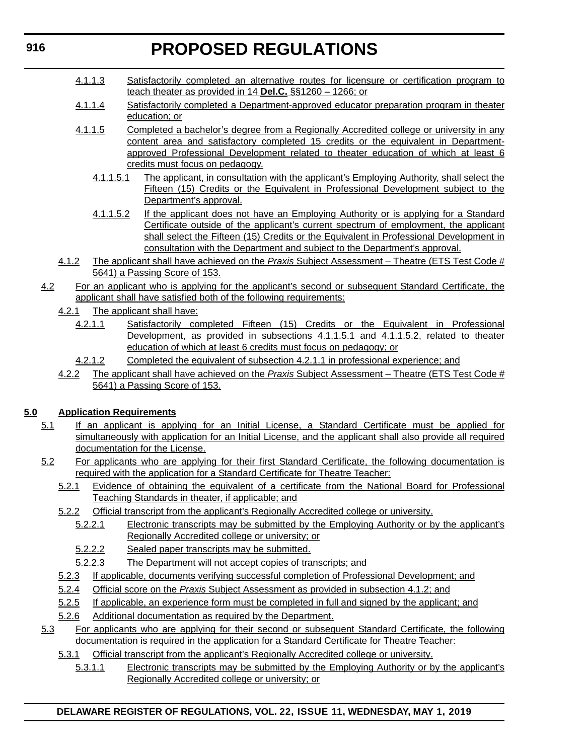- 4.1.1.3 Satisfactorily completed an alternative routes for licensure or certification program to teach theater as provided in 14 **Del.C.** §§1260 – 1266; or
- 4.1.1.4 Satisfactorily completed a Department-approved educator preparation program in theater education; or
- 4.1.1.5 Completed a bachelor's degree from a Regionally Accredited college or university in any content area and satisfactory completed 15 credits or the equivalent in Departmentapproved Professional Development related to theater education of which at least 6 credits must focus on pedagogy.
	- 4.1.1.5.1 The applicant, in consultation with the applicant's Employing Authority, shall select the Fifteen (15) Credits or the Equivalent in Professional Development subject to the Department's approval.
	- 4.1.1.5.2 If the applicant does not have an Employing Authority or is applying for a Standard Certificate outside of the applicant's current spectrum of employment, the applicant shall select the Fifteen (15) Credits or the Equivalent in Professional Development in consultation with the Department and subject to the Department's approval.
- 4.1.2 The applicant shall have achieved on the *Praxis* Subject Assessment Theatre (ETS Test Code # 5641) a Passing Score of 153.
- 4.2 For an applicant who is applying for the applicant's second or subsequent Standard Certificate, the applicant shall have satisfied both of the following requirements:
	- 4.2.1 The applicant shall have:
		- 4.2.1.1 Satisfactorily completed Fifteen (15) Credits or the Equivalent in Professional Development, as provided in subsections 4.1.1.5.1 and 4.1.1.5.2, related to theater education of which at least 6 credits must focus on pedagogy; or
		- 4.2.1.2 Completed the equivalent of subsection 4.2.1.1 in professional experience; and
	- 4.2.2 The applicant shall have achieved on the *Praxis* Subject Assessment Theatre (ETS Test Code # 5641) a Passing Score of 153.

# **5.0 Application Requirements**

- 5.1 If an applicant is applying for an Initial License, a Standard Certificate must be applied for simultaneously with application for an Initial License, and the applicant shall also provide all required documentation for the License.
- 5.2 For applicants who are applying for their first Standard Certificate, the following documentation is required with the application for a Standard Certificate for Theatre Teacher:
	- 5.2.1 Evidence of obtaining the equivalent of a certificate from the National Board for Professional Teaching Standards in theater, if applicable; and
	- 5.2.2 Official transcript from the applicant's Regionally Accredited college or university.
		- 5.2.2.1 Electronic transcripts may be submitted by the Employing Authority or by the applicant's Regionally Accredited college or university; or
		- 5.2.2.2 Sealed paper transcripts may be submitted.
		- 5.2.2.3 The Department will not accept copies of transcripts; and
	- 5.2.3 If applicable, documents verifying successful completion of Professional Development; and
	- 5.2.4 Official score on the *Praxis* Subject Assessment as provided in subsection 4.1.2; and
	- 5.2.5 If applicable, an experience form must be completed in full and signed by the applicant; and
	- 5.2.6 Additional documentation as required by the Department.
- 5.3 For applicants who are applying for their second or subsequent Standard Certificate, the following documentation is required in the application for a Standard Certificate for Theatre Teacher:
	- 5.3.1 Official transcript from the applicant's Regionally Accredited college or university.
		- 5.3.1.1 Electronic transcripts may be submitted by the Employing Authority or by the applicant's Regionally Accredited college or university; or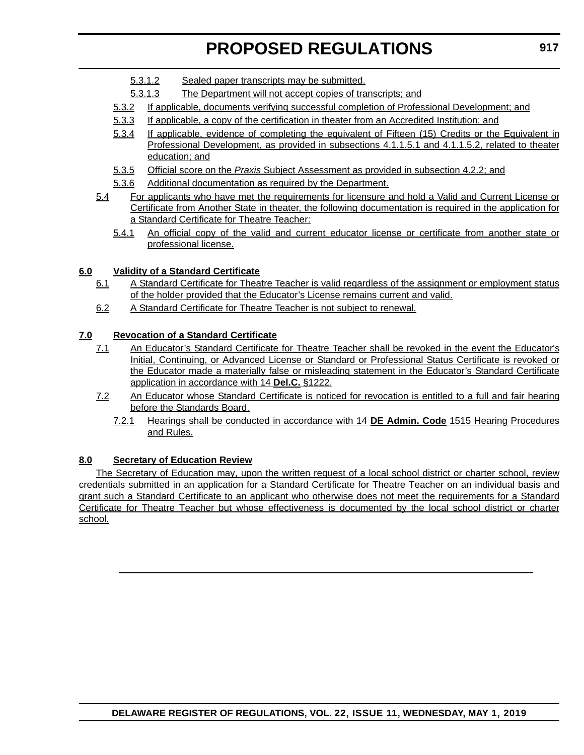- 5.3.1.2 Sealed paper transcripts may be submitted.
- 5.3.1.3 The Department will not accept copies of transcripts; and
- 5.3.2 If applicable, documents verifying successful completion of Professional Development; and
- 5.3.3 If applicable, a copy of the certification in theater from an Accredited Institution; and
- 5.3.4 If applicable, evidence of completing the equivalent of Fifteen (15) Credits or the Equivalent in Professional Development, as provided in subsections 4.1.1.5.1 and 4.1.1.5.2, related to theater education; and
- 5.3.5 Official score on the *Praxis* Subject Assessment as provided in subsection 4.2.2; and
- 5.3.6 Additional documentation as required by the Department.
- 5.4 For applicants who have met the requirements for licensure and hold a Valid and Current License or Certificate from Another State in theater, the following documentation is required in the application for a Standard Certificate for Theatre Teacher:
	- 5.4.1 An official copy of the valid and current educator license or certificate from another state or professional license.

### **6.0 Validity of a Standard Certificate**

- 6.1 A Standard Certificate for Theatre Teacher is valid regardless of the assignment or employment status of the holder provided that the Educator's License remains current and valid.
- 6.2 A Standard Certificate for Theatre Teacher is not subject to renewal.

### **7.0 Revocation of a Standard Certificate**

- 7.1 An Educator's Standard Certificate for Theatre Teacher shall be revoked in the event the Educator's Initial, Continuing, or Advanced License or Standard or Professional Status Certificate is revoked or the Educator made a materially false or misleading statement in the Educator's Standard Certificate application in accordance with 14 **Del.C.** §1222.
- 7.2 An Educator whose Standard Certificate is noticed for revocation is entitled to a full and fair hearing before the Standards Board.
	- 7.2.1 Hearings shall be conducted in accordance with 14 **DE Admin. Code** 1515 Hearing Procedures and Rules.

### **8.0 Secretary of Education Review**

The Secretary of Education may, upon the written request of a local school district or charter school, review credentials submitted in an application for a Standard Certificate for Theatre Teacher on an individual basis and grant such a Standard Certificate to an applicant who otherwise does not meet the requirements for a Standard Certificate for Theatre Teacher but whose effectiveness is documented by the local school district or charter school.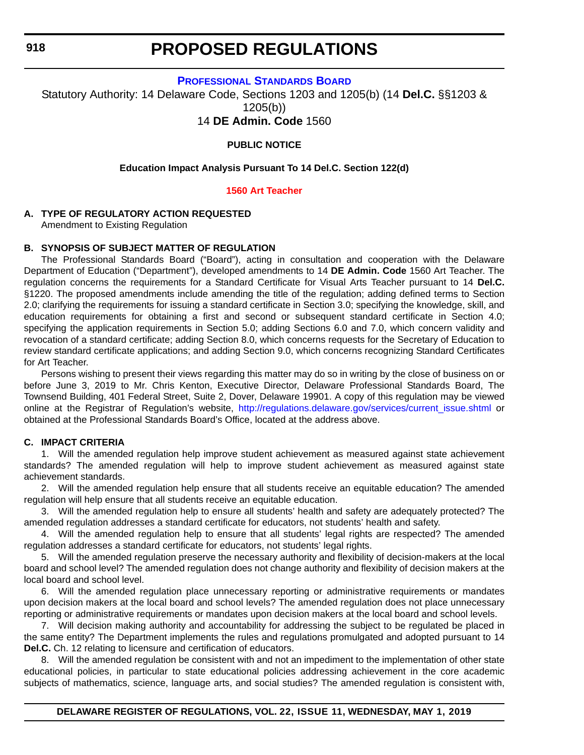**918**

# **PROPOSED REGULATIONS**

#### **[PROFESSIONAL STANDARDS BOARD](https://www.doe.k12.de.us/domain/172 )**

Statutory Authority: 14 Delaware Code, Sections 1203 and 1205(b) (14 **Del.C.** §§1203 & 1205(b))

14 **DE Admin. Code** 1560

### **PUBLIC NOTICE**

#### **Education Impact Analysis Pursuant To 14 Del.C. Section 122(d)**

#### **[1560 Art Teacher](#page-3-0)**

#### **A. TYPE OF REGULATORY ACTION REQUESTED**

Amendment to Existing Regulation

### **B. SYNOPSIS OF SUBJECT MATTER OF REGULATION**

The Professional Standards Board ("Board"), acting in consultation and cooperation with the Delaware Department of Education ("Department"), developed amendments to 14 **DE Admin. Code** 1560 Art Teacher. The regulation concerns the requirements for a Standard Certificate for Visual Arts Teacher pursuant to 14 **Del.C.** §1220. The proposed amendments include amending the title of the regulation; adding defined terms to Section 2.0; clarifying the requirements for issuing a standard certificate in Section 3.0; specifying the knowledge, skill, and education requirements for obtaining a first and second or subsequent standard certificate in Section 4.0; specifying the application requirements in Section 5.0; adding Sections 6.0 and 7.0, which concern validity and revocation of a standard certificate; adding Section 8.0, which concerns requests for the Secretary of Education to review standard certificate applications; and adding Section 9.0, which concerns recognizing Standard Certificates for Art Teacher.

Persons wishing to present their views regarding this matter may do so in writing by the close of business on or before June 3, 2019 to Mr. Chris Kenton, Executive Director, Delaware Professional Standards Board, The Townsend Building, 401 Federal Street, Suite 2, Dover, Delaware 19901. A copy of this regulation may be viewed online at the Registrar of Regulation's website, [http://regulations.delaware.gov/services/current\\_issue.shtml](http://regulations.delaware.gov/services/current_issue.shtml) or obtained at the Professional Standards Board's Office, located at the address above.

#### **C. IMPACT CRITERIA**

1. Will the amended regulation help improve student achievement as measured against state achievement standards? The amended regulation will help to improve student achievement as measured against state achievement standards.

2. Will the amended regulation help ensure that all students receive an equitable education? The amended regulation will help ensure that all students receive an equitable education.

3. Will the amended regulation help to ensure all students' health and safety are adequately protected? The amended regulation addresses a standard certificate for educators, not students' health and safety.

4. Will the amended regulation help to ensure that all students' legal rights are respected? The amended regulation addresses a standard certificate for educators, not students' legal rights.

5. Will the amended regulation preserve the necessary authority and flexibility of decision-makers at the local board and school level? The amended regulation does not change authority and flexibility of decision makers at the local board and school level.

6. Will the amended regulation place unnecessary reporting or administrative requirements or mandates upon decision makers at the local board and school levels? The amended regulation does not place unnecessary reporting or administrative requirements or mandates upon decision makers at the local board and school levels.

7. Will decision making authority and accountability for addressing the subject to be regulated be placed in the same entity? The Department implements the rules and regulations promulgated and adopted pursuant to 14 **Del.C.** Ch. 12 relating to licensure and certification of educators.

8. Will the amended regulation be consistent with and not an impediment to the implementation of other state educational policies, in particular to state educational policies addressing achievement in the core academic subjects of mathematics, science, language arts, and social studies? The amended regulation is consistent with,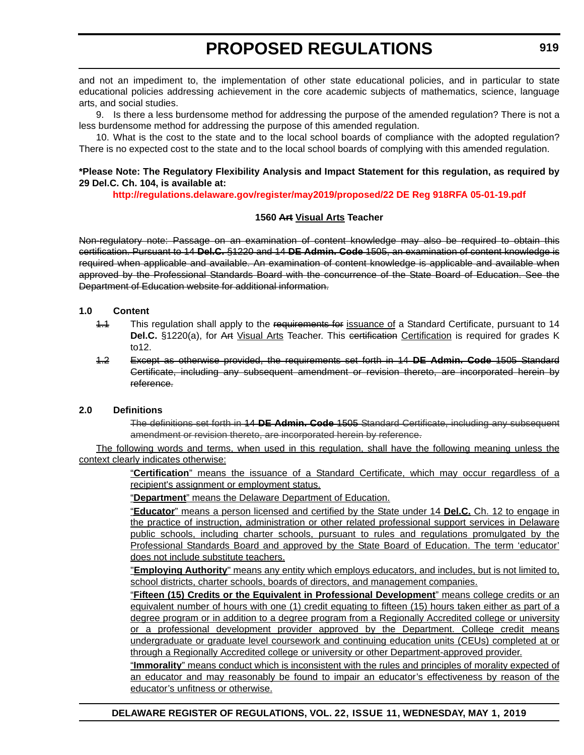and not an impediment to, the implementation of other state educational policies, and in particular to state educational policies addressing achievement in the core academic subjects of mathematics, science, language arts, and social studies.

9. Is there a less burdensome method for addressing the purpose of the amended regulation? There is not a less burdensome method for addressing the purpose of this amended regulation.

10. What is the cost to the state and to the local school boards of compliance with the adopted regulation? There is no expected cost to the state and to the local school boards of complying with this amended regulation.

#### **\*Please Note: The Regulatory Flexibility Analysis and Impact Statement for this regulation, as required by 29 Del.C. Ch. 104, is available at:**

**<http://regulations.delaware.gov/register/may2019/proposed/22 DE Reg 918RFA 05-01-19.pdf>**

#### **1560 Art Visual Arts Teacher**

Non-regulatory note: Passage on an examination of content knowledge may also be required to obtain this certification. Pursuant to 14 **Del.C.** §1220 and 14 **DE Admin. Code** 1505, an examination of content knowledge is required when applicable and available. An examination of content knowledge is applicable and available when approved by the Professional Standards Board with the concurrence of the State Board of Education. See the Department of Education website for additional information.

### **1.0 Content**

- 1.1 This regulation shall apply to the requirements for issuance of a Standard Certificate, pursuant to 14 Del.C. §1220(a), for Art Visual Arts Teacher. This certification Certification is required for grades K to12.
- 1.2 Except as otherwise provided, the requirements set forth in 14 **DE Admin. Code** 1505 Standard Certificate, including any subsequent amendment or revision thereto, are incorporated herein by reference.

#### **2.0 Definitions**

The definitions set forth in 14 **DE Admin. Code** 1505 Standard Certificate, including any subsequent amendment or revision thereto, are incorporated herein by reference.

The following words and terms, when used in this regulation, shall have the following meaning unless the context clearly indicates otherwise:

> "**Certification**" means the issuance of a Standard Certificate, which may occur regardless of a recipient's assignment or employment status.

"**Department**" means the Delaware Department of Education.

"**Educator**" means a person licensed and certified by the State under 14 **Del.C.** Ch. 12 to engage in the practice of instruction, administration or other related professional support services in Delaware public schools, including charter schools, pursuant to rules and regulations promulgated by the Professional Standards Board and approved by the State Board of Education. The term 'educator' does not include substitute teachers.

"**Employing Authority**" means any entity which employs educators, and includes, but is not limited to, school districts, charter schools, boards of directors, and management companies.

"**Fifteen (15) Credits or the Equivalent in Professional Development**" means college credits or an equivalent number of hours with one (1) credit equating to fifteen (15) hours taken either as part of a degree program or in addition to a degree program from a Regionally Accredited college or university or a professional development provider approved by the Department. College credit means undergraduate or graduate level coursework and continuing education units (CEUs) completed at or through a Regionally Accredited college or university or other Department-approved provider.

"**Immorality**" means conduct which is inconsistent with the rules and principles of morality expected of an educator and may reasonably be found to impair an educator's effectiveness by reason of the educator's unfitness or otherwise.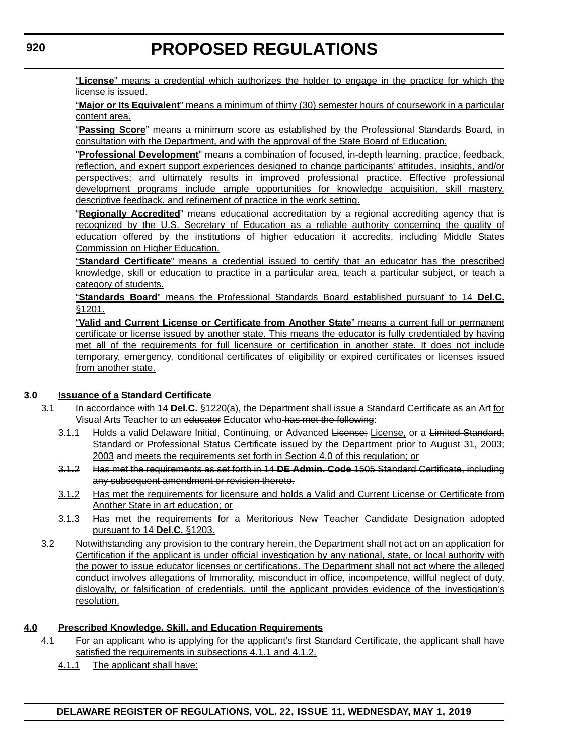"**License**" means a credential which authorizes the holder to engage in the practice for which the license is issued.

"**Major or Its Equivalent**" means a minimum of thirty (30) semester hours of coursework in a particular content area.

"**Passing Score**" means a minimum score as established by the Professional Standards Board, in consultation with the Department, and with the approval of the State Board of Education.

"**Professional Development**" means a combination of focused, in-depth learning, practice, feedback, reflection, and expert support experiences designed to change participants' attitudes, insights, and/or perspectives; and ultimately results in improved professional practice. Effective professional development programs include ample opportunities for knowledge acquisition, skill mastery, descriptive feedback, and refinement of practice in the work setting.

"**Regionally Accredited**" means educational accreditation by a regional accrediting agency that is recognized by the U.S. Secretary of Education as a reliable authority concerning the quality of education offered by the institutions of higher education it accredits, including Middle States Commission on Higher Education.

"**Standard Certificate**" means a credential issued to certify that an educator has the prescribed knowledge, skill or education to practice in a particular area, teach a particular subject, or teach a category of students.

"**Standards Board**" means the Professional Standards Board established pursuant to 14 **Del.C.** §1201.

"**Valid and Current License or Certificate from Another State**" means a current full or permanent certificate or license issued by another state. This means the educator is fully credentialed by having met all of the requirements for full licensure or certification in another state. It does not include temporary, emergency, conditional certificates of eligibility or expired certificates or licenses issued from another state.

### **3.0 Issuance of a Standard Certificate**

- 3.1 In accordance with 14 **Del.C.** §1220(a), the Department shall issue a Standard Certificate as an Art for Visual Arts Teacher to an educator Educator who has met the following:
	- 3.1.1 Holds a valid Delaware Initial, Continuing, or Advanced License; License, or a Limited Standard, Standard or Professional Status Certificate issued by the Department prior to August 31, 2003; 2003 and meets the requirements set forth in Section 4.0 of this regulation; or
	- 3.1.2 Has met the requirements as set forth in 14 **DE Admin. Code** 1505 Standard Certificate, including any subsequent amendment or revision thereto.
	- 3.1.2 Has met the requirements for licensure and holds a Valid and Current License or Certificate from Another State in art education; or
	- 3.1.3 Has met the requirements for a Meritorious New Teacher Candidate Designation adopted pursuant to 14 **Del.C.** §1203.
- 3.2 Notwithstanding any provision to the contrary herein, the Department shall not act on an application for Certification if the applicant is under official investigation by any national, state, or local authority with the power to issue educator licenses or certifications. The Department shall not act where the alleged conduct involves allegations of Immorality, misconduct in office, incompetence, willful neglect of duty, disloyalty, or falsification of credentials, until the applicant provides evidence of the investigation's resolution.

# **4.0 Prescribed Knowledge, Skill, and Education Requirements**

- 4.1 For an applicant who is applying for the applicant's first Standard Certificate, the applicant shall have satisfied the requirements in subsections 4.1.1 and 4.1.2.
	- 4.1.1 The applicant shall have: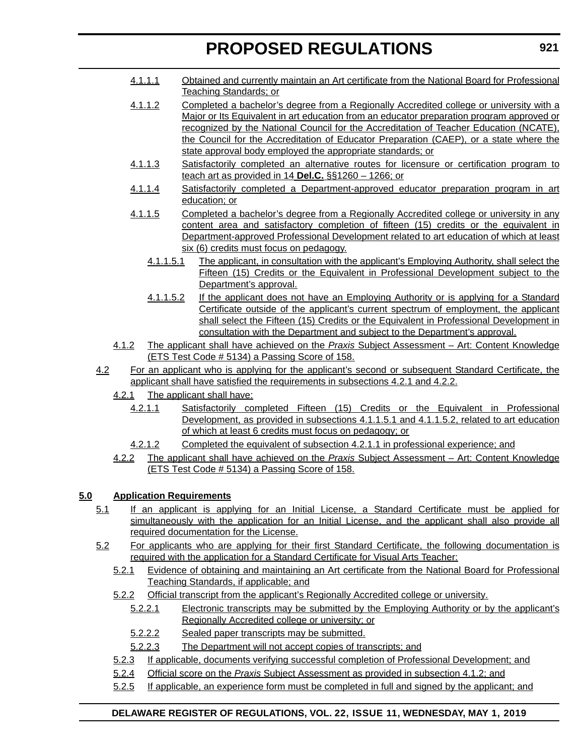- 4.1.1.1 Obtained and currently maintain an Art certificate from the National Board for Professional Teaching Standards; or
- 4.1.1.2 Completed a bachelor's degree from a Regionally Accredited college or university with a Major or Its Equivalent in art education from an educator preparation program approved or recognized by the National Council for the Accreditation of Teacher Education (NCATE), the Council for the Accreditation of Educator Preparation (CAEP), or a state where the state approval body employed the appropriate standards; or
- 4.1.1.3 Satisfactorily completed an alternative routes for licensure or certification program to teach art as provided in 14 **Del.C.** §§1260 – 1266; or
- 4.1.1.4 Satisfactorily completed a Department-approved educator preparation program in art education; or
- 4.1.1.5 Completed a bachelor's degree from a Regionally Accredited college or university in any content area and satisfactory completion of fifteen (15) credits or the equivalent in Department-approved Professional Development related to art education of which at least six (6) credits must focus on pedagogy.
	- 4.1.1.5.1 The applicant, in consultation with the applicant's Employing Authority, shall select the Fifteen (15) Credits or the Equivalent in Professional Development subject to the Department's approval.
	- 4.1.1.5.2 If the applicant does not have an Employing Authority or is applying for a Standard Certificate outside of the applicant's current spectrum of employment, the applicant shall select the Fifteen (15) Credits or the Equivalent in Professional Development in consultation with the Department and subject to the Department's approval.
- 4.1.2 The applicant shall have achieved on the *Praxis* Subject Assessment Art: Content Knowledge (ETS Test Code # 5134) a Passing Score of 158.
- 4.2 For an applicant who is applying for the applicant's second or subsequent Standard Certificate, the applicant shall have satisfied the requirements in subsections 4.2.1 and 4.2.2.
	- 4.2.1 The applicant shall have:
		- 4.2.1.1 Satisfactorily completed Fifteen (15) Credits or the Equivalent in Professional Development, as provided in subsections 4.1.1.5.1 and 4.1.1.5.2, related to art education of which at least 6 credits must focus on pedagogy; or
		- 4.2.1.2 Completed the equivalent of subsection 4.2.1.1 in professional experience; and
	- 4.2.2 The applicant shall have achieved on the *Praxis* Subject Assessment Art: Content Knowledge (ETS Test Code # 5134) a Passing Score of 158.

# **5.0 Application Requirements**

- 5.1 If an applicant is applying for an Initial License, a Standard Certificate must be applied for simultaneously with the application for an Initial License, and the applicant shall also provide all required documentation for the License.
- 5.2 For applicants who are applying for their first Standard Certificate, the following documentation is required with the application for a Standard Certificate for Visual Arts Teacher:
	- 5.2.1 Evidence of obtaining and maintaining an Art certificate from the National Board for Professional Teaching Standards, if applicable; and
	- 5.2.2 Official transcript from the applicant's Regionally Accredited college or university.
		- 5.2.2.1 Electronic transcripts may be submitted by the Employing Authority or by the applicant's Regionally Accredited college or university; or
		- 5.2.2.2 Sealed paper transcripts may be submitted.
		- 5.2.2.3 The Department will not accept copies of transcripts; and
	- 5.2.3 If applicable, documents verifying successful completion of Professional Development; and
	- 5.2.4 Official score on the *Praxis* Subject Assessment as provided in subsection 4.1.2; and
	- 5.2.5 If applicable, an experience form must be completed in full and signed by the applicant; and

# **DELAWARE REGISTER OF REGULATIONS, VOL. 22, ISSUE 11, WEDNESDAY, MAY 1, 2019**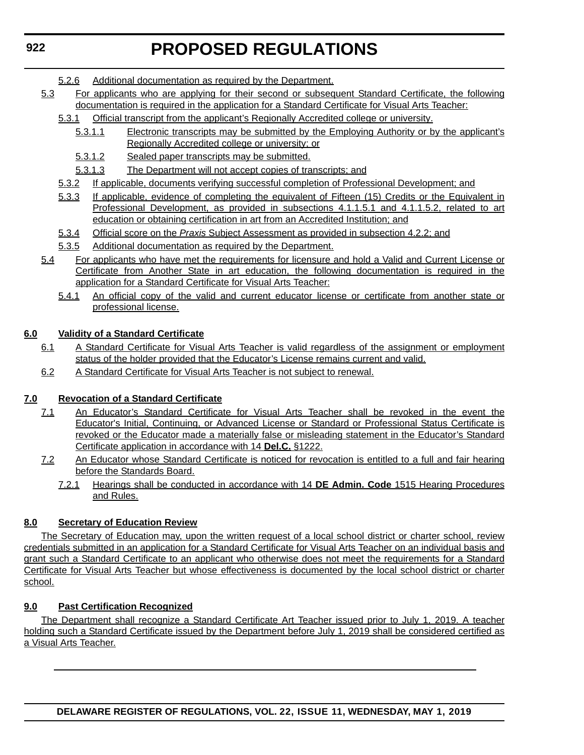- 5.2.6 Additional documentation as required by the Department.
- 5.3 For applicants who are applying for their second or subsequent Standard Certificate, the following documentation is required in the application for a Standard Certificate for Visual Arts Teacher:
	- 5.3.1 Official transcript from the applicant's Regionally Accredited college or university.
		- 5.3.1.1 Electronic transcripts may be submitted by the Employing Authority or by the applicant's Regionally Accredited college or university; or
		- 5.3.1.2 Sealed paper transcripts may be submitted.
		- 5.3.1.3 The Department will not accept copies of transcripts; and
	- 5.3.2 If applicable, documents verifying successful completion of Professional Development; and
	- 5.3.3 If applicable, evidence of completing the equivalent of Fifteen (15) Credits or the Equivalent in Professional Development, as provided in subsections 4.1.1.5.1 and 4.1.1.5.2, related to art education or obtaining certification in art from an Accredited Institution; and
	- 5.3.4 Official score on the *Praxis* Subject Assessment as provided in subsection 4.2.2; and
	- 5.3.5 Additional documentation as required by the Department.
- 5.4 For applicants who have met the requirements for licensure and hold a Valid and Current License or Certificate from Another State in art education, the following documentation is required in the application for a Standard Certificate for Visual Arts Teacher:
	- 5.4.1 An official copy of the valid and current educator license or certificate from another state or professional license.

### **6.0 Validity of a Standard Certificate**

- 6.1 A Standard Certificate for Visual Arts Teacher is valid regardless of the assignment or employment status of the holder provided that the Educator's License remains current and valid.
- 6.2 A Standard Certificate for Visual Arts Teacher is not subject to renewal.

### **7.0 Revocation of a Standard Certificate**

- 7.1 An Educator's Standard Certificate for Visual Arts Teacher shall be revoked in the event the Educator's Initial, Continuing, or Advanced License or Standard or Professional Status Certificate is revoked or the Educator made a materially false or misleading statement in the Educator's Standard Certificate application in accordance with 14 **Del.C.** §1222.
- 7.2 An Educator whose Standard Certificate is noticed for revocation is entitled to a full and fair hearing before the Standards Board.
	- 7.2.1 Hearings shall be conducted in accordance with 14 **DE Admin. Code** 1515 Hearing Procedures and Rules.

### **8.0 Secretary of Education Review**

The Secretary of Education may, upon the written request of a local school district or charter school, review credentials submitted in an application for a Standard Certificate for Visual Arts Teacher on an individual basis and grant such a Standard Certificate to an applicant who otherwise does not meet the requirements for a Standard Certificate for Visual Arts Teacher but whose effectiveness is documented by the local school district or charter school.

#### **9.0 Past Certification Recognized**

The Department shall recognize a Standard Certificate Art Teacher issued prior to July 1, 2019. A teacher holding such a Standard Certificate issued by the Department before July 1, 2019 shall be considered certified as a Visual Arts Teacher.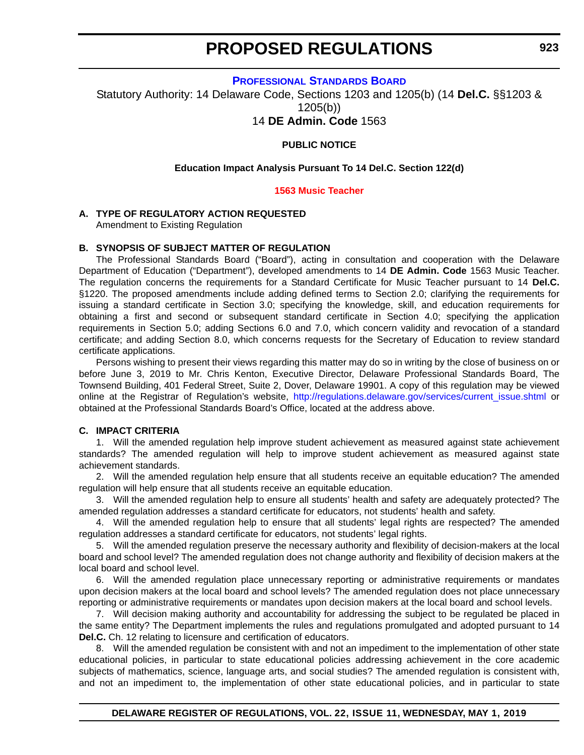**[PROFESSIONAL STANDARDS BOARD](https://www.doe.k12.de.us/domain/172 )**

Statutory Authority: 14 Delaware Code, Sections 1203 and 1205(b) (14 **Del.C.** §§1203 & 1205(b))

14 **DE Admin. Code** 1563

#### **PUBLIC NOTICE**

#### **Education Impact Analysis Pursuant To 14 Del.C. Section 122(d)**

#### **[1563 Music Teacher](#page-3-0)**

#### **A. TYPE OF REGULATORY ACTION REQUESTED**

Amendment to Existing Regulation

#### **B. SYNOPSIS OF SUBJECT MATTER OF REGULATION**

The Professional Standards Board ("Board"), acting in consultation and cooperation with the Delaware Department of Education ("Department"), developed amendments to 14 **DE Admin. Code** 1563 Music Teacher. The regulation concerns the requirements for a Standard Certificate for Music Teacher pursuant to 14 **Del.C.** §1220. The proposed amendments include adding defined terms to Section 2.0; clarifying the requirements for issuing a standard certificate in Section 3.0; specifying the knowledge, skill, and education requirements for obtaining a first and second or subsequent standard certificate in Section 4.0; specifying the application requirements in Section 5.0; adding Sections 6.0 and 7.0, which concern validity and revocation of a standard certificate; and adding Section 8.0, which concerns requests for the Secretary of Education to review standard certificate applications.

Persons wishing to present their views regarding this matter may do so in writing by the close of business on or before June 3, 2019 to Mr. Chris Kenton, Executive Director, Delaware Professional Standards Board, The Townsend Building, 401 Federal Street, Suite 2, Dover, Delaware 19901. A copy of this regulation may be viewed online at the Registrar of Regulation's website, [http://regulations.delaware.gov/services/current\\_issue.shtml](http://regulations.delaware.gov/services/current_issue.shtml) or obtained at the Professional Standards Board's Office, located at the address above.

#### **C. IMPACT CRITERIA**

1. Will the amended regulation help improve student achievement as measured against state achievement standards? The amended regulation will help to improve student achievement as measured against state achievement standards.

2. Will the amended regulation help ensure that all students receive an equitable education? The amended regulation will help ensure that all students receive an equitable education.

3. Will the amended regulation help to ensure all students' health and safety are adequately protected? The amended regulation addresses a standard certificate for educators, not students' health and safety.

4. Will the amended regulation help to ensure that all students' legal rights are respected? The amended regulation addresses a standard certificate for educators, not students' legal rights.

5. Will the amended regulation preserve the necessary authority and flexibility of decision-makers at the local board and school level? The amended regulation does not change authority and flexibility of decision makers at the local board and school level.

6. Will the amended regulation place unnecessary reporting or administrative requirements or mandates upon decision makers at the local board and school levels? The amended regulation does not place unnecessary reporting or administrative requirements or mandates upon decision makers at the local board and school levels.

7. Will decision making authority and accountability for addressing the subject to be regulated be placed in the same entity? The Department implements the rules and regulations promulgated and adopted pursuant to 14 **Del.C.** Ch. 12 relating to licensure and certification of educators.

8. Will the amended regulation be consistent with and not an impediment to the implementation of other state educational policies, in particular to state educational policies addressing achievement in the core academic subjects of mathematics, science, language arts, and social studies? The amended regulation is consistent with, and not an impediment to, the implementation of other state educational policies, and in particular to state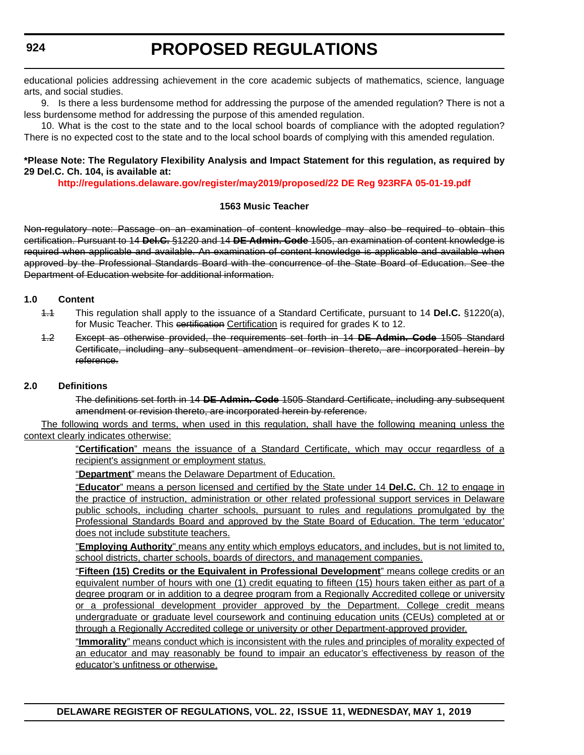educational policies addressing achievement in the core academic subjects of mathematics, science, language arts, and social studies.

9. Is there a less burdensome method for addressing the purpose of the amended regulation? There is not a less burdensome method for addressing the purpose of this amended regulation.

10. What is the cost to the state and to the local school boards of compliance with the adopted regulation? There is no expected cost to the state and to the local school boards of complying with this amended regulation.

### **\*Please Note: The Regulatory Flexibility Analysis and Impact Statement for this regulation, as required by 29 Del.C. Ch. 104, is available at:**

**<http://regulations.delaware.gov/register/may2019/proposed/22 DE Reg 923RFA 05-01-19.pdf>**

### **1563 Music Teacher**

Non-regulatory note: Passage on an examination of content knowledge may also be required to obtain this certification. Pursuant to 14 **Del.C.** §1220 and 14 **DE Admin. Code** 1505, an examination of content knowledge is required when applicable and available. An examination of content knowledge is applicable and available when approved by the Professional Standards Board with the concurrence of the State Board of Education. See the Department of Education website for additional information.

### **1.0 Content**

- 1.1 This regulation shall apply to the issuance of a Standard Certificate, pursuant to 14 **Del.C.** §1220(a), for Music Teacher. This certification Certification is required for grades K to 12.
- 1.2 Except as otherwise provided, the requirements set forth in 14 **DE Admin. Code** 1505 Standard Certificate, including any subsequent amendment or revision thereto, are incorporated herein by reference.

# **2.0 Definitions**

The definitions set forth in 14 **DE Admin. Code** 1505 Standard Certificate, including any subsequent amendment or revision thereto, are incorporated herein by reference.

The following words and terms, when used in this regulation, shall have the following meaning unless the context clearly indicates otherwise:

> "**Certification**" means the issuance of a Standard Certificate, which may occur regardless of a recipient's assignment or employment status.

"**Department**" means the Delaware Department of Education.

"**Educator**" means a person licensed and certified by the State under 14 **Del.C.** Ch. 12 to engage in the practice of instruction, administration or other related professional support services in Delaware public schools, including charter schools, pursuant to rules and regulations promulgated by the Professional Standards Board and approved by the State Board of Education. The term 'educator' does not include substitute teachers.

"**Employing Authority**" means any entity which employs educators, and includes, but is not limited to, school districts, charter schools, boards of directors, and management companies.

"**Fifteen (15) Credits or the Equivalent in Professional Development**" means college credits or an equivalent number of hours with one (1) credit equating to fifteen (15) hours taken either as part of a degree program or in addition to a degree program from a Regionally Accredited college or university or a professional development provider approved by the Department. College credit means undergraduate or graduate level coursework and continuing education units (CEUs) completed at or through a Regionally Accredited college or university or other Department-approved provider.

"**Immorality**" means conduct which is inconsistent with the rules and principles of morality expected of an educator and may reasonably be found to impair an educator's effectiveness by reason of the educator's unfitness or otherwise.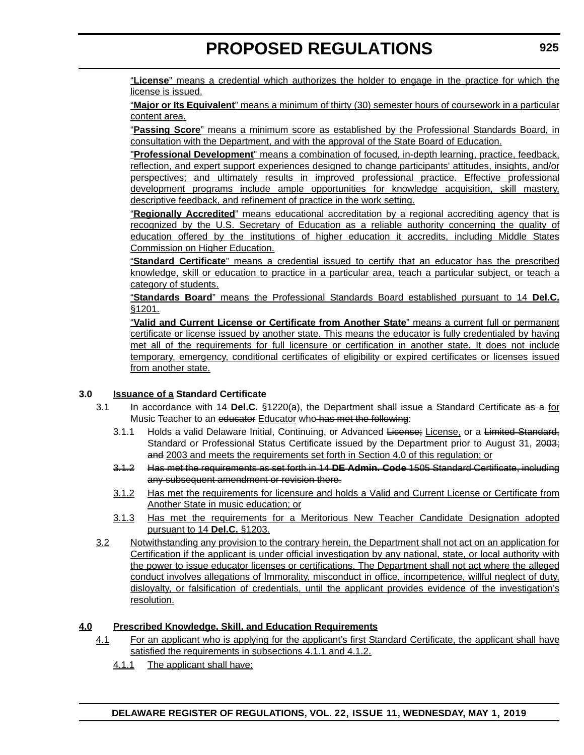"**License**" means a credential which authorizes the holder to engage in the practice for which the license is issued.

"**Major or Its Equivalent**" means a minimum of thirty (30) semester hours of coursework in a particular content area.

"**Passing Score**" means a minimum score as established by the Professional Standards Board, in consultation with the Department, and with the approval of the State Board of Education.

"**Professional Development**" means a combination of focused, in-depth learning, practice, feedback, reflection, and expert support experiences designed to change participants' attitudes, insights, and/or perspectives; and ultimately results in improved professional practice. Effective professional development programs include ample opportunities for knowledge acquisition, skill mastery, descriptive feedback, and refinement of practice in the work setting.

"**Regionally Accredited**" means educational accreditation by a regional accrediting agency that is recognized by the U.S. Secretary of Education as a reliable authority concerning the quality of education offered by the institutions of higher education it accredits, including Middle States Commission on Higher Education.

"**Standard Certificate**" means a credential issued to certify that an educator has the prescribed knowledge, skill or education to practice in a particular area, teach a particular subject, or teach a category of students.

"**Standards Board**" means the Professional Standards Board established pursuant to 14 **Del.C.** §1201.

"**Valid and Current License or Certificate from Another State**" means a current full or permanent certificate or license issued by another state. This means the educator is fully credentialed by having met all of the requirements for full licensure or certification in another state. It does not include temporary, emergency, conditional certificates of eligibility or expired certificates or licenses issued from another state.

### **3.0 Issuance of a Standard Certificate**

- 3.1 In accordance with 14 **Del.C.** §1220(a), the Department shall issue a Standard Certificate as a for Music Teacher to an educator Educator who has met the following:
	- 3.1.1 Holds a valid Delaware Initial, Continuing, or Advanced License; License, or a Limited Standard, Standard or Professional Status Certificate issued by the Department prior to August 31, 2003; and 2003 and meets the requirements set forth in Section 4.0 of this regulation; or
	- 3.1.2 Has met the requirements as set forth in 14 **DE Admin. Code** 1505 Standard Certificate, including any subsequent amendment or revision there.
	- 3.1.2 Has met the requirements for licensure and holds a Valid and Current License or Certificate from Another State in music education; or
	- 3.1.3 Has met the requirements for a Meritorious New Teacher Candidate Designation adopted pursuant to 14 **Del.C.** §1203.
- 3.2 Notwithstanding any provision to the contrary herein, the Department shall not act on an application for Certification if the applicant is under official investigation by any national, state, or local authority with the power to issue educator licenses or certifications. The Department shall not act where the alleged conduct involves allegations of Immorality, misconduct in office, incompetence, willful neglect of duty, disloyalty, or falsification of credentials, until the applicant provides evidence of the investigation's resolution.

### **4.0 Prescribed Knowledge, Skill, and Education Requirements**

- 4.1 For an applicant who is applying for the applicant's first Standard Certificate, the applicant shall have satisfied the requirements in subsections 4.1.1 and 4.1.2.
	- 4.1.1 The applicant shall have: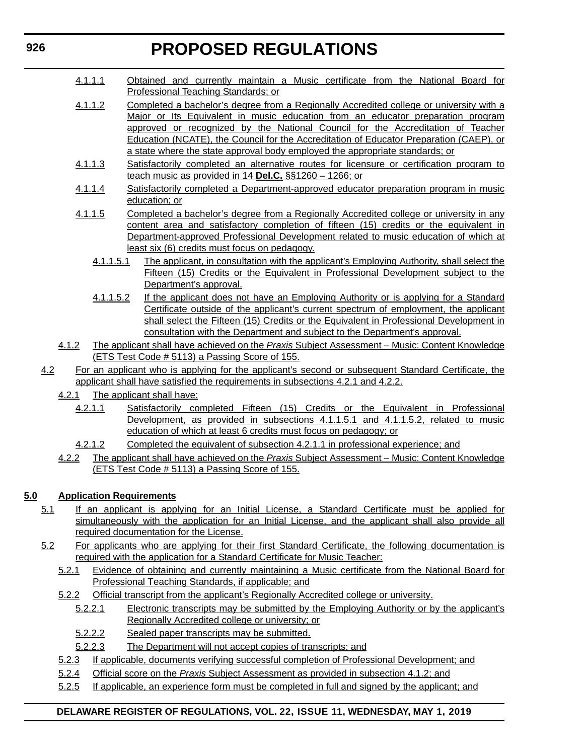- 4.1.1.1 Obtained and currently maintain a Music certificate from the National Board for Professional Teaching Standards; or
- 4.1.1.2 Completed a bachelor's degree from a Regionally Accredited college or university with a Major or Its Equivalent in music education from an educator preparation program approved or recognized by the National Council for the Accreditation of Teacher Education (NCATE), the Council for the Accreditation of Educator Preparation (CAEP), or a state where the state approval body employed the appropriate standards; or
- 4.1.1.3 Satisfactorily completed an alternative routes for licensure or certification program to teach music as provided in 14 **Del.C.** §§1260 – 1266; or
- 4.1.1.4 Satisfactorily completed a Department-approved educator preparation program in music education; or
- 4.1.1.5 Completed a bachelor's degree from a Regionally Accredited college or university in any content area and satisfactory completion of fifteen (15) credits or the equivalent in Department-approved Professional Development related to music education of which at least six (6) credits must focus on pedagogy.
	- 4.1.1.5.1 The applicant, in consultation with the applicant's Employing Authority, shall select the Fifteen (15) Credits or the Equivalent in Professional Development subject to the Department's approval.
	- 4.1.1.5.2 If the applicant does not have an Employing Authority or is applying for a Standard Certificate outside of the applicant's current spectrum of employment, the applicant shall select the Fifteen (15) Credits or the Equivalent in Professional Development in consultation with the Department and subject to the Department's approval.
- 4.1.2 The applicant shall have achieved on the *Praxis* Subject Assessment Music: Content Knowledge (ETS Test Code # 5113) a Passing Score of 155.
- 4.2 For an applicant who is applying for the applicant's second or subsequent Standard Certificate, the applicant shall have satisfied the requirements in subsections 4.2.1 and 4.2.2.
	- 4.2.1 The applicant shall have:
		- 4.2.1.1 Satisfactorily completed Fifteen (15) Credits or the Equivalent in Professional Development, as provided in subsections 4.1.1.5.1 and 4.1.1.5.2, related to music education of which at least 6 credits must focus on pedagogy; or
		- 4.2.1.2 Completed the equivalent of subsection 4.2.1.1 in professional experience; and
	- 4.2.2 The applicant shall have achieved on the *Praxis* Subject Assessment Music: Content Knowledge (ETS Test Code # 5113) a Passing Score of 155.

# **5.0 Application Requirements**

- 5.1 If an applicant is applying for an Initial License, a Standard Certificate must be applied for simultaneously with the application for an Initial License, and the applicant shall also provide all required documentation for the License.
- 5.2 For applicants who are applying for their first Standard Certificate, the following documentation is required with the application for a Standard Certificate for Music Teacher:
	- 5.2.1 Evidence of obtaining and currently maintaining a Music certificate from the National Board for Professional Teaching Standards, if applicable; and
	- 5.2.2 Official transcript from the applicant's Regionally Accredited college or university.
		- 5.2.2.1 Electronic transcripts may be submitted by the Employing Authority or by the applicant's Regionally Accredited college or university; or
		- 5.2.2.2 Sealed paper transcripts may be submitted.
		- 5.2.2.3 The Department will not accept copies of transcripts; and
	- 5.2.3 If applicable, documents verifying successful completion of Professional Development; and
	- 5.2.4 Official score on the *Praxis* Subject Assessment as provided in subsection 4.1.2; and
	- 5.2.5 If applicable, an experience form must be completed in full and signed by the applicant; and

# **DELAWARE REGISTER OF REGULATIONS, VOL. 22, ISSUE 11, WEDNESDAY, MAY 1, 2019**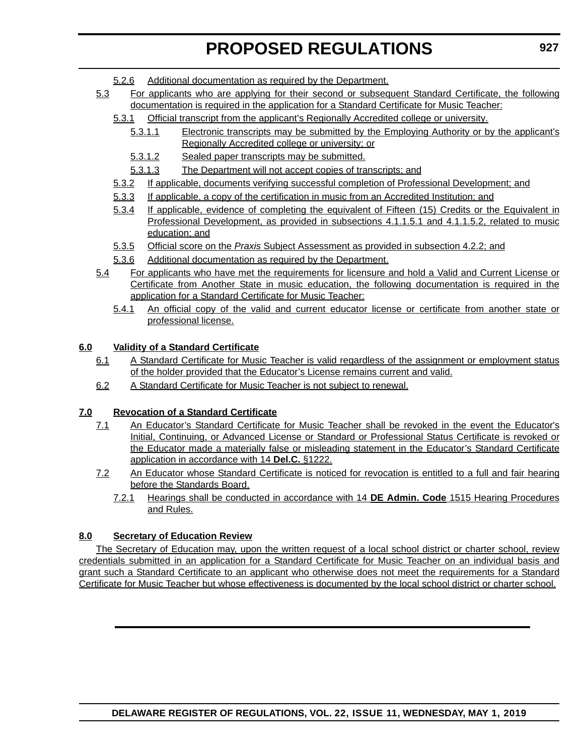- 5.2.6 Additional documentation as required by the Department.
- 5.3 For applicants who are applying for their second or subsequent Standard Certificate, the following documentation is required in the application for a Standard Certificate for Music Teacher:
	- 5.3.1 Official transcript from the applicant's Regionally Accredited college or university.
		- 5.3.1.1 Electronic transcripts may be submitted by the Employing Authority or by the applicant's Regionally Accredited college or university; or
		- 5.3.1.2 Sealed paper transcripts may be submitted.
		- 5.3.1.3 The Department will not accept copies of transcripts; and
	- 5.3.2 If applicable, documents verifying successful completion of Professional Development; and
	- 5.3.3 If applicable, a copy of the certification in music from an Accredited Institution; and
	- 5.3.4 If applicable, evidence of completing the equivalent of Fifteen (15) Credits or the Equivalent in Professional Development, as provided in subsections 4.1.1.5.1 and 4.1.1.5.2, related to music education; and
	- 5.3.5 Official score on the *Praxis* Subject Assessment as provided in subsection 4.2.2; and
	- 5.3.6 Additional documentation as required by the Department.
- 5.4 For applicants who have met the requirements for licensure and hold a Valid and Current License or Certificate from Another State in music education, the following documentation is required in the application for a Standard Certificate for Music Teacher:
	- 5.4.1 An official copy of the valid and current educator license or certificate from another state or professional license.

#### **6.0 Validity of a Standard Certificate**

- 6.1 A Standard Certificate for Music Teacher is valid regardless of the assignment or employment status of the holder provided that the Educator's License remains current and valid.
- 6.2 A Standard Certificate for Music Teacher is not subject to renewal.

### **7.0 Revocation of a Standard Certificate**

- 7.1 An Educator's Standard Certificate for Music Teacher shall be revoked in the event the Educator's Initial, Continuing, or Advanced License or Standard or Professional Status Certificate is revoked or the Educator made a materially false or misleading statement in the Educator's Standard Certificate application in accordance with 14 **Del.C.** §1222.
- 7.2 An Educator whose Standard Certificate is noticed for revocation is entitled to a full and fair hearing before the Standards Board.
	- 7.2.1 Hearings shall be conducted in accordance with 14 **DE Admin. Code** 1515 Hearing Procedures and Rules.

#### **8.0 Secretary of Education Review**

The Secretary of Education may, upon the written request of a local school district or charter school, review credentials submitted in an application for a Standard Certificate for Music Teacher on an individual basis and grant such a Standard Certificate to an applicant who otherwise does not meet the requirements for a Standard Certificate for Music Teacher but whose effectiveness is documented by the local school district or charter school.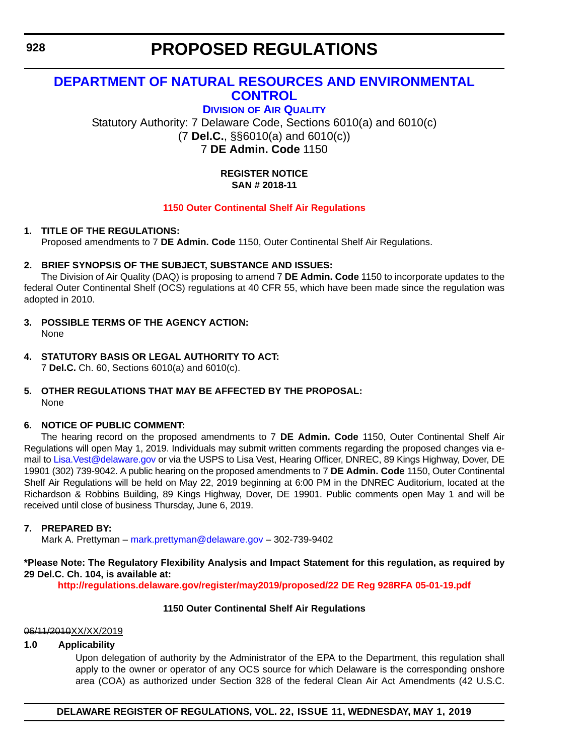# **[DEPARTMENT OF NATURAL RESOURCES AND ENVIRONMENTAL](https://dnrec.alpha.delaware.gov/)  CONTROL**

**DIVISION [OF AIR QUALITY](https://dnrec.alpha.delaware.gov/air/ )**

Statutory Authority: 7 Delaware Code, Sections 6010(a) and 6010(c) (7 **Del.C.**, §§6010(a) and 6010(c)) 7 **DE Admin. Code** 1150

### **REGISTER NOTICE SAN # 2018-11**

### **[1150 Outer Continental Shelf Air Regulations](#page-3-0)**

### **1. TITLE OF THE REGULATIONS:**

Proposed amendments to 7 **DE Admin. Code** 1150, Outer Continental Shelf Air Regulations.

### **2. BRIEF SYNOPSIS OF THE SUBJECT, SUBSTANCE AND ISSUES:**

The Division of Air Quality (DAQ) is proposing to amend 7 **DE Admin. Code** 1150 to incorporate updates to the federal Outer Continental Shelf (OCS) regulations at 40 CFR 55, which have been made since the regulation was adopted in 2010.

- **3. POSSIBLE TERMS OF THE AGENCY ACTION:** None
- **4. STATUTORY BASIS OR LEGAL AUTHORITY TO ACT:** 7 **Del.C.** Ch. 60, Sections 6010(a) and 6010(c).

#### **5. OTHER REGULATIONS THAT MAY BE AFFECTED BY THE PROPOSAL:** None

### **6. NOTICE OF PUBLIC COMMENT:**

The hearing record on the proposed amendments to 7 **DE Admin. Code** 1150, Outer Continental Shelf Air Regulations will open May 1, 2019. Individuals may submit written comments regarding the proposed changes via email to Lisa. Vest@delaware.gov or via the USPS to Lisa Vest, Hearing Officer, DNREC, 89 Kings Highway, Dover, DE 19901 (302) 739-9042. A public hearing on the proposed amendments to 7 **DE Admin. Code** 1150, Outer Continental Shelf Air Regulations will be held on May 22, 2019 beginning at 6:00 PM in the DNREC Auditorium, located at the Richardson & Robbins Building, 89 Kings Highway, Dover, DE 19901. Public comments open May 1 and will be received until close of business Thursday, June 6, 2019.

### **7. PREPARED BY:**

Mark A. Prettyman – [mark.prettyman@delaware.gov](mailto:mark.prettyman@delaware.gov) – 302-739-9402

### **\*Please Note: The Regulatory Flexibility Analysis and Impact Statement for this regulation, as required by 29 Del.C. Ch. 104, is available at:**

**<http://regulations.delaware.gov/register/may2019/proposed/22 DE Reg 928RFA 05-01-19.pdf>**

### **1150 Outer Continental Shelf Air Regulations**

### 06/11/2010XX/XX/2019

### **1.0 Applicability**

Upon delegation of authority by the Administrator of the EPA to the Department, this regulation shall apply to the owner or operator of any OCS source for which Delaware is the corresponding onshore area (COA) as authorized under Section 328 of the federal Clean Air Act Amendments (42 U.S.C.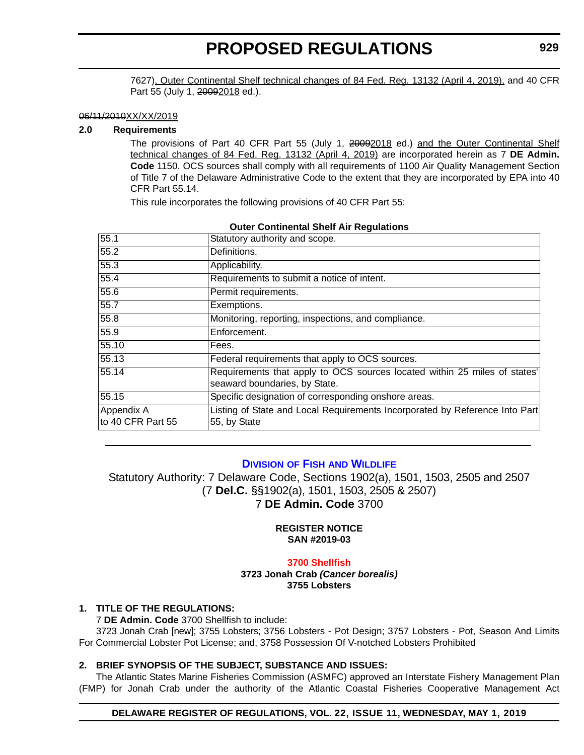7627), Outer Continental Shelf technical changes of 84 Fed. Reg. 13132 (April 4, 2019), and 40 CFR Part 55 (July 1, 20092018 ed.).

#### 06/11/2010XX/XX/2019

#### **2.0 Requirements**

The provisions of Part 40 CFR Part 55 (July 1, 20092018 ed.) and the Outer Continental Shelf technical changes of 84 Fed. Reg. 13132 (April 4, 2019) are incorporated herein as 7 **DE Admin. Code** 1150. OCS sources shall comply with all requirements of 1100 Air Quality Management Section of Title 7 of the Delaware Administrative Code to the extent that they are incorporated by EPA into 40 CFR Part 55.14.

This rule incorporates the following provisions of 40 CFR Part 55:

| 55.1                            | Statutory authority and scope.                                                                             |
|---------------------------------|------------------------------------------------------------------------------------------------------------|
| 55.2                            | Definitions.                                                                                               |
| 55.3                            | Applicability.                                                                                             |
| 55.4                            | Requirements to submit a notice of intent.                                                                 |
| 55.6                            | Permit requirements.                                                                                       |
| 55.7                            | Exemptions.                                                                                                |
| 55.8                            | Monitoring, reporting, inspections, and compliance.                                                        |
| 55.9                            | Enforcement.                                                                                               |
| 55.10                           | Fees.                                                                                                      |
| 55.13                           | Federal requirements that apply to OCS sources.                                                            |
| 55.14                           | Requirements that apply to OCS sources located within 25 miles of states'<br>seaward boundaries, by State. |
| 55.15                           | Specific designation of corresponding onshore areas.                                                       |
| Appendix A<br>to 40 CFR Part 55 | Listing of State and Local Requirements Incorporated by Reference Into Part<br>55, by State                |

#### **Outer Continental Shelf Air Regulations**

### **DIVISION OF FISH [AND WILDLIFE](https://dnrec.alpha.delaware.gov/fish-wildlife/)**

Statutory Authority: 7 Delaware Code, Sections 1902(a), 1501, 1503, 2505 and 2507 (7 **Del.C.** §§1902(a), 1501, 1503, 2505 & 2507) 7 **DE Admin. Code** 3700

#### **REGISTER NOTICE SAN #2019-03**

#### **[3700 Shellfish](#page-3-0)**

**3723 Jonah Crab** *(Cancer borealis)* **3755 Lobsters**

#### **1. TITLE OF THE REGULATIONS:**

7 **DE Admin. Code** 3700 Shellfish to include:

3723 Jonah Crab [new]; 3755 Lobsters; 3756 Lobsters - Pot Design; 3757 Lobsters - Pot, Season And Limits For Commercial Lobster Pot License; and, 3758 Possession Of V-notched Lobsters Prohibited

#### **2. BRIEF SYNOPSIS OF THE SUBJECT, SUBSTANCE AND ISSUES:**

The Atlantic States Marine Fisheries Commission (ASMFC) approved an Interstate Fishery Management Plan (FMP) for Jonah Crab under the authority of the Atlantic Coastal Fisheries Cooperative Management Act

#### **DELAWARE REGISTER OF REGULATIONS, VOL. 22, ISSUE 11, WEDNESDAY, MAY 1, 2019**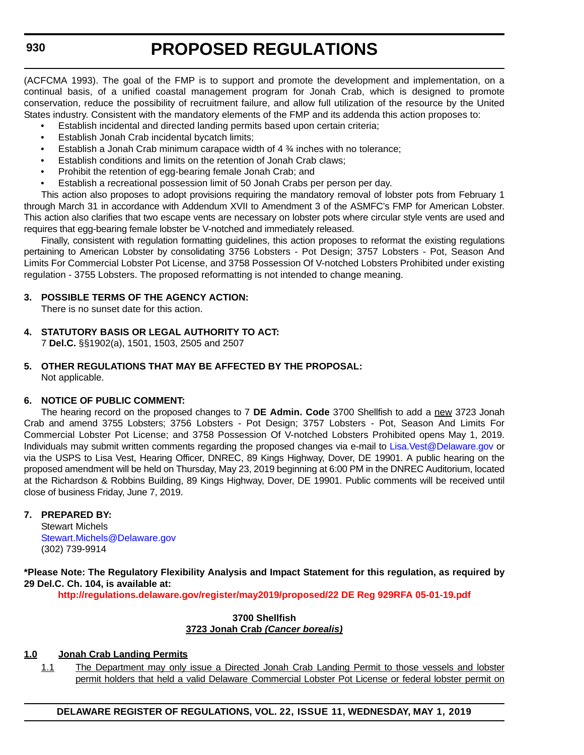(ACFCMA 1993). The goal of the FMP is to support and promote the development and implementation, on a continual basis, of a unified coastal management program for Jonah Crab, which is designed to promote conservation, reduce the possibility of recruitment failure, and allow full utilization of the resource by the United States industry. Consistent with the mandatory elements of the FMP and its addenda this action proposes to:

- Establish incidental and directed landing permits based upon certain criteria;
- Establish Jonah Crab incidental bycatch limits;
- Establish a Jonah Crab minimum carapace width of 4 ¾ inches with no tolerance;
- Establish conditions and limits on the retention of Jonah Crab claws;
- Prohibit the retention of egg-bearing female Jonah Crab; and
- Establish a recreational possession limit of 50 Jonah Crabs per person per day.

This action also proposes to adopt provisions requiring the mandatory removal of lobster pots from February 1 through March 31 in accordance with Addendum XVII to Amendment 3 of the ASMFC's FMP for American Lobster. This action also clarifies that two escape vents are necessary on lobster pots where circular style vents are used and requires that egg-bearing female lobster be V-notched and immediately released.

Finally, consistent with regulation formatting guidelines, this action proposes to reformat the existing regulations pertaining to American Lobster by consolidating 3756 Lobsters - Pot Design; 3757 Lobsters - Pot, Season And Limits For Commercial Lobster Pot License, and 3758 Possession Of V-notched Lobsters Prohibited under existing regulation - 3755 Lobsters. The proposed reformatting is not intended to change meaning.

### **3. POSSIBLE TERMS OF THE AGENCY ACTION:**

There is no sunset date for this action.

**4. STATUTORY BASIS OR LEGAL AUTHORITY TO ACT:**

7 **Del.C.** §§1902(a), 1501, 1503, 2505 and 2507

**5. OTHER REGULATIONS THAT MAY BE AFFECTED BY THE PROPOSAL:** Not applicable.

### **6. NOTICE OF PUBLIC COMMENT:**

The hearing record on the proposed changes to 7 **DE Admin. Code** 3700 Shellfish to add a new 3723 Jonah Crab and amend 3755 Lobsters; 3756 Lobsters - Pot Design; 3757 Lobsters - Pot, Season And Limits For Commercial Lobster Pot License; and 3758 Possession Of V-notched Lobsters Prohibited opens May 1, 2019. Individuals may submit written comments regarding the proposed changes via e-mail to [Lisa.Vest@Delaware.gov](mailto:Lisa.Vest@Delaware.gov) or via the USPS to Lisa Vest, Hearing Officer, DNREC, 89 Kings Highway, Dover, DE 19901. A public hearing on the proposed amendment will be held on Thursday, May 23, 2019 beginning at 6:00 PM in the DNREC Auditorium, located at the Richardson & Robbins Building, 89 Kings Highway, Dover, DE 19901. Public comments will be received until close of business Friday, June 7, 2019.

### **7. PREPARED BY:**

Stewart Michels [Stewart.Michels@Delaware.gov](mailto:Stewart.Michels@Delaware.gov) (302) 739-9914

**\*Please Note: The Regulatory Flexibility Analysis and Impact Statement for this regulation, as required by 29 Del.C. Ch. 104, is available at:**

**<http://regulations.delaware.gov/register/may2019/proposed/22 DE Reg 929RFA 05-01-19.pdf>**

### **3700 Shellfish 3723 Jonah Crab** *(Cancer borealis)*

### **1.0 Jonah Crab Landing Permits**

1.1 The Department may only issue a Directed Jonah Crab Landing Permit to those vessels and lobster permit holders that held a valid Delaware Commercial Lobster Pot License or federal lobster permit on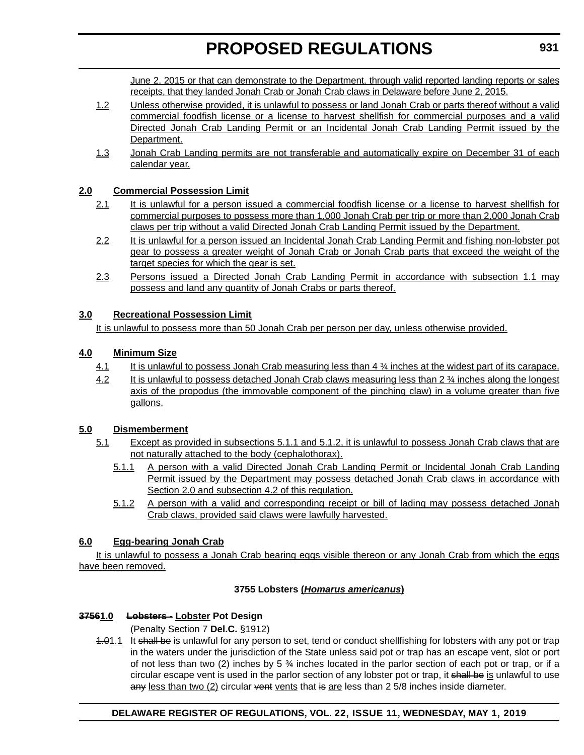June 2, 2015 or that can demonstrate to the Department, through valid reported landing reports or sales receipts, that they landed Jonah Crab or Jonah Crab claws in Delaware before June 2, 2015.

- 1.2 Unless otherwise provided, it is unlawful to possess or land Jonah Crab or parts thereof without a valid commercial foodfish license or a license to harvest shellfish for commercial purposes and a valid Directed Jonah Crab Landing Permit or an Incidental Jonah Crab Landing Permit issued by the Department.
- 1.3 Jonah Crab Landing permits are not transferable and automatically expire on December 31 of each calendar year.

# **2.0 Commercial Possession Limit**

- 2.1 It is unlawful for a person issued a commercial foodfish license or a license to harvest shellfish for commercial purposes to possess more than 1,000 Jonah Crab per trip or more than 2,000 Jonah Crab claws per trip without a valid Directed Jonah Crab Landing Permit issued by the Department.
- 2.2 It is unlawful for a person issued an Incidental Jonah Crab Landing Permit and fishing non-lobster pot gear to possess a greater weight of Jonah Crab or Jonah Crab parts that exceed the weight of the target species for which the gear is set.
- 2.3 Persons issued a Directed Jonah Crab Landing Permit in accordance with subsection 1.1 may possess and land any quantity of Jonah Crabs or parts thereof.

# **3.0 Recreational Possession Limit**

It is unlawful to possess more than 50 Jonah Crab per person per day, unless otherwise provided.

# **4.0 Minimum Size**

- 4.1 It is unlawful to possess Jonah Crab measuring less than 4  $\frac{3}{4}$  inches at the widest part of its carapace.
- 4.2 It is unlawful to possess detached Jonah Crab claws measuring less than 2 % inches along the longest axis of the propodus (the immovable component of the pinching claw) in a volume greater than five gallons.

# **5.0 Dismemberment**

- 5.1 Except as provided in subsections 5.1.1 and 5.1.2, it is unlawful to possess Jonah Crab claws that are not naturally attached to the body (cephalothorax).
	- 5.1.1 A person with a valid Directed Jonah Crab Landing Permit or Incidental Jonah Crab Landing Permit issued by the Department may possess detached Jonah Crab claws in accordance with Section 2.0 and subsection 4.2 of this regulation.
	- 5.1.2 A person with a valid and corresponding receipt or bill of lading may possess detached Jonah Crab claws, provided said claws were lawfully harvested.

# **6.0 Egg-bearing Jonah Crab**

It is unlawful to possess a Jonah Crab bearing eggs visible thereon or any Jonah Crab from which the eggs have been removed.

# **3755 Lobsters (***Homarus americanus***)**

# **37561.0 Lobsters - Lobster Pot Design**

(Penalty Section 7 **Del.C.** §1912)

4.01.1 It shall be is unlawful for any person to set, tend or conduct shellfishing for lobsters with any pot or trap in the waters under the jurisdiction of the State unless said pot or trap has an escape vent, slot or port of not less than two (2) inches by 5  $\frac{3}{4}$  inches located in the parlor section of each pot or trap, or if a circular escape vent is used in the parlor section of any lobster pot or trap, it shall be is unlawful to use any less than two  $(2)$  circular vent vents that is are less than  $2\frac{5}{8}$  inches inside diameter.

# **DELAWARE REGISTER OF REGULATIONS, VOL. 22, ISSUE 11, WEDNESDAY, MAY 1, 2019**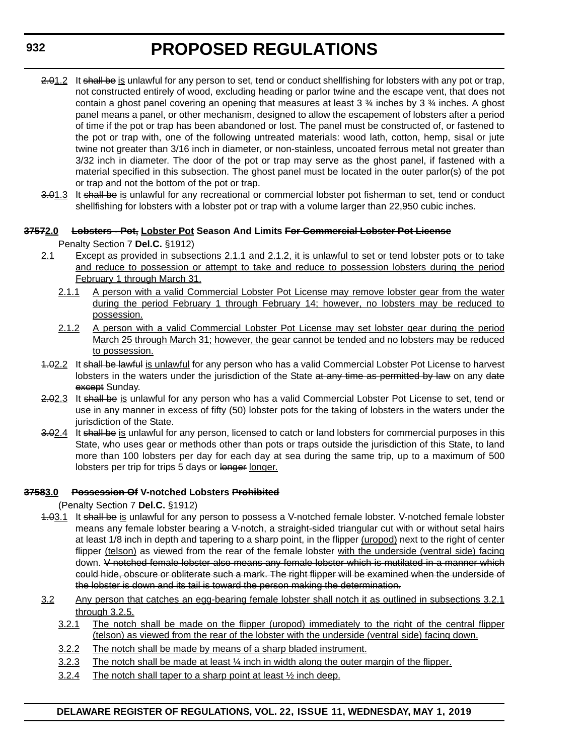- 2.01.2 It shall be is unlawful for any person to set, tend or conduct shellfishing for lobsters with any pot or trap, not constructed entirely of wood, excluding heading or parlor twine and the escape vent, that does not contain a ghost panel covering an opening that measures at least 3  $\frac{3}{4}$  inches by 3  $\frac{3}{4}$  inches. A ghost panel means a panel, or other mechanism, designed to allow the escapement of lobsters after a period of time if the pot or trap has been abandoned or lost. The panel must be constructed of, or fastened to the pot or trap with, one of the following untreated materials: wood lath, cotton, hemp, sisal or jute twine not greater than 3/16 inch in diameter, or non-stainless, uncoated ferrous metal not greater than 3/32 inch in diameter. The door of the pot or trap may serve as the ghost panel, if fastened with a material specified in this subsection. The ghost panel must be located in the outer parlor(s) of the pot or trap and not the bottom of the pot or trap.
- 3.01.3 It shall be is unlawful for any recreational or commercial lobster pot fisherman to set, tend or conduct shellfishing for lobsters with a lobster pot or trap with a volume larger than 22,950 cubic inches.

### **37572.0 Lobsters - Pot, Lobster Pot Season And Limits For Commercial Lobster Pot License**

Penalty Section 7 **Del.C.** §1912)

- 2.1 Except as provided in subsections 2.1.1 and 2.1.2, it is unlawful to set or tend lobster pots or to take and reduce to possession or attempt to take and reduce to possession lobsters during the period February 1 through March 31.
	- 2.1.1 A person with a valid Commercial Lobster Pot License may remove lobster gear from the water during the period February 1 through February 14; however, no lobsters may be reduced to possession.
	- 2.1.2 A person with a valid Commercial Lobster Pot License may set lobster gear during the period March 25 through March 31; however, the gear cannot be tended and no lobsters may be reduced to possession.
- 1.02.2 It shall be lawful is unlawful for any person who has a valid Commercial Lobster Pot License to harvest lobsters in the waters under the jurisdiction of the State at any time as permitted by law on any date except Sunday.
- 2.02.3 It shall be is unlawful for any person who has a valid Commercial Lobster Pot License to set, tend or use in any manner in excess of fifty (50) lobster pots for the taking of lobsters in the waters under the jurisdiction of the State.
- 3.02.4 It shall be is unlawful for any person, licensed to catch or land lobsters for commercial purposes in this State, who uses gear or methods other than pots or traps outside the jurisdiction of this State, to land more than 100 lobsters per day for each day at sea during the same trip, up to a maximum of 500 lobsters per trip for trips 5 days or longer longer.

### **37583.0 Possession Of V-notched Lobsters Prohibited**

(Penalty Section 7 **Del.C.** §1912)

- 4.03.1 It shall be is unlawful for any person to possess a V-notched female lobster. V-notched female lobster means any female lobster bearing a V-notch, a straight-sided triangular cut with or without setal hairs at least 1/8 inch in depth and tapering to a sharp point, in the flipper (uropod) next to the right of center flipper (telson) as viewed from the rear of the female lobster with the underside (ventral side) facing down. V-notched female lobster also means any female lobster which is mutilated in a manner which could hide, obscure or obliterate such a mark. The right flipper will be examined when the underside of the lobster is down and its tail is toward the person making the determination.
- 3.2 Any person that catches an egg-bearing female lobster shall notch it as outlined in subsections 3.2.1 through 3.2.5.
	- 3.2.1 The notch shall be made on the flipper (uropod) immediately to the right of the central flipper (telson) as viewed from the rear of the lobster with the underside (ventral side) facing down.
	- 3.2.2 The notch shall be made by means of a sharp bladed instrument.
	- 3.2.3 The notch shall be made at least  $\frac{1}{4}$  inch in width along the outer margin of the flipper.
	- 3.2.4 The notch shall taper to a sharp point at least ½ inch deep.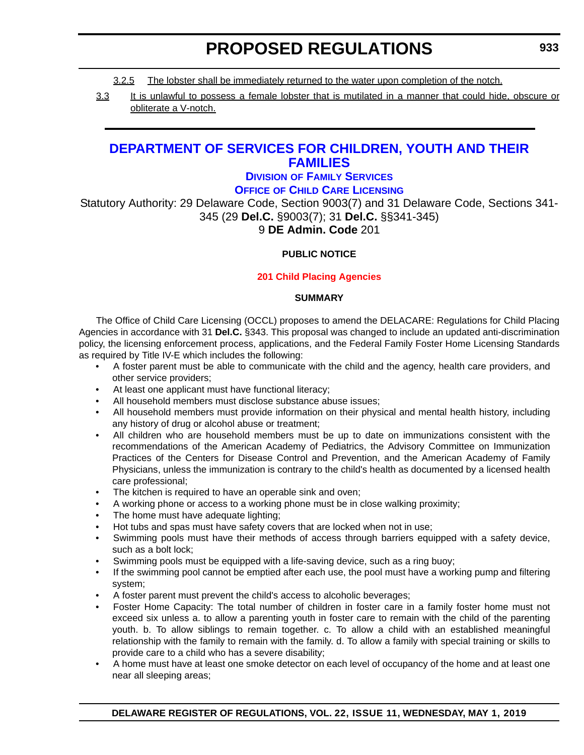- 3.2.5 The lobster shall be immediately returned to the water upon completion of the notch.
- 3.3 It is unlawful to possess a female lobster that is mutilated in a manner that could hide, obscure or obliterate a V-notch.

# **[DEPARTMENT OF SERVICES FOR CHILDREN, YOUTH AND THEIR](https://kids.delaware.gov/ )  FAMILIES**

# **DIVISION [OF FAMILY SERVICES](https://kids.delaware.gov/fs/fs.shtml )**

**OFFICE [OF CHILD CARE LICENSING](https://kids.delaware.gov/occl/occl.shtml )**

Statutory Authority: 29 Delaware Code, Section 9003(7) and 31 Delaware Code, Sections 341- 345 (29 **Del.C.** §9003(7); 31 **Del.C.** §§341-345)

# 9 **DE Admin. Code** 201

### **PUBLIC NOTICE**

### **[201 Child Placing Agencies](#page-3-0)**

#### **SUMMARY**

The Office of Child Care Licensing (OCCL) proposes to amend the DELACARE: Regulations for Child Placing Agencies in accordance with 31 **Del.C.** §343. This proposal was changed to include an updated anti-discrimination policy, the licensing enforcement process, applications, and the Federal Family Foster Home Licensing Standards as required by Title IV-E which includes the following:

- A foster parent must be able to communicate with the child and the agency, health care providers, and other service providers;
- At least one applicant must have functional literacy;
- All household members must disclose substance abuse issues:
- All household members must provide information on their physical and mental health history, including any history of drug or alcohol abuse or treatment;
- All children who are household members must be up to date on immunizations consistent with the recommendations of the American Academy of Pediatrics, the Advisory Committee on Immunization Practices of the Centers for Disease Control and Prevention, and the American Academy of Family Physicians, unless the immunization is contrary to the child's health as documented by a licensed health care professional;
- The kitchen is required to have an operable sink and oven;
- A working phone or access to a working phone must be in close walking proximity;
- The home must have adequate lighting;
- Hot tubs and spas must have safety covers that are locked when not in use;
- Swimming pools must have their methods of access through barriers equipped with a safety device, such as a bolt lock;
- Swimming pools must be equipped with a life-saving device, such as a ring buoy;
- If the swimming pool cannot be emptied after each use, the pool must have a working pump and filtering system;
- A foster parent must prevent the child's access to alcoholic beverages;
- Foster Home Capacity: The total number of children in foster care in a family foster home must not exceed six unless a. to allow a parenting youth in foster care to remain with the child of the parenting youth. b. To allow siblings to remain together. c. To allow a child with an established meaningful relationship with the family to remain with the family. d. To allow a family with special training or skills to provide care to a child who has a severe disability;
- A home must have at least one smoke detector on each level of occupancy of the home and at least one near all sleeping areas;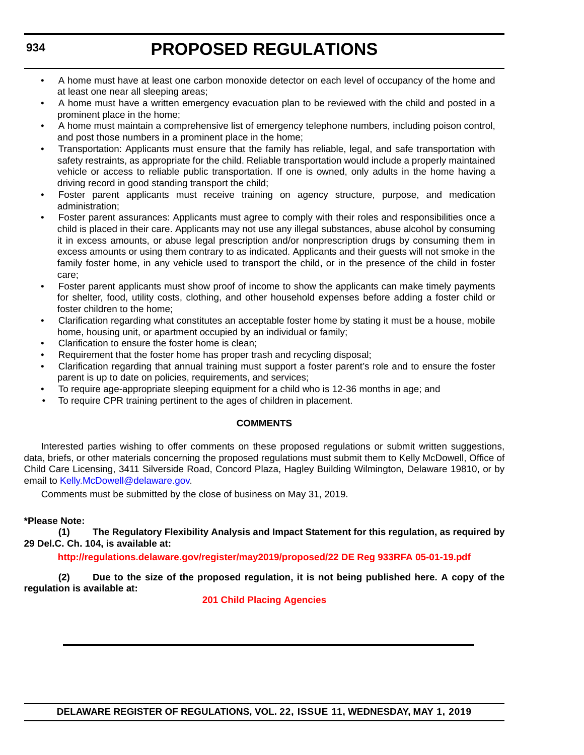- A home must have at least one carbon monoxide detector on each level of occupancy of the home and at least one near all sleeping areas;
- A home must have a written emergency evacuation plan to be reviewed with the child and posted in a prominent place in the home;
- A home must maintain a comprehensive list of emergency telephone numbers, including poison control, and post those numbers in a prominent place in the home;
- Transportation: Applicants must ensure that the family has reliable, legal, and safe transportation with safety restraints, as appropriate for the child. Reliable transportation would include a properly maintained vehicle or access to reliable public transportation. If one is owned, only adults in the home having a driving record in good standing transport the child;
- Foster parent applicants must receive training on agency structure, purpose, and medication administration;
- Foster parent assurances: Applicants must agree to comply with their roles and responsibilities once a child is placed in their care. Applicants may not use any illegal substances, abuse alcohol by consuming it in excess amounts, or abuse legal prescription and/or nonprescription drugs by consuming them in excess amounts or using them contrary to as indicated. Applicants and their guests will not smoke in the family foster home, in any vehicle used to transport the child, or in the presence of the child in foster care;
- Foster parent applicants must show proof of income to show the applicants can make timely payments for shelter, food, utility costs, clothing, and other household expenses before adding a foster child or foster children to the home;
- Clarification regarding what constitutes an acceptable foster home by stating it must be a house, mobile home, housing unit, or apartment occupied by an individual or family;
- Clarification to ensure the foster home is clean:
- Requirement that the foster home has proper trash and recycling disposal;
- Clarification regarding that annual training must support a foster parent's role and to ensure the foster parent is up to date on policies, requirements, and services;
- To require age-appropriate sleeping equipment for a child who is 12-36 months in age; and
- To require CPR training pertinent to the ages of children in placement.

#### **COMMENTS**

Interested parties wishing to offer comments on these proposed regulations or submit written suggestions, data, briefs, or other materials concerning the proposed regulations must submit them to Kelly McDowell, Office of Child Care Licensing, 3411 Silverside Road, Concord Plaza, Hagley Building Wilmington, Delaware 19810, or by email to [Kelly.McDowell@delaware.gov.](mailto:Kelly.McDowell@delaware.gov)

Comments must be submitted by the close of business on May 31, 2019.

### **\*Please Note:**

**(1) The Regulatory Flexibility Analysis and Impact Statement for this regulation, as required by 29 Del.C. Ch. 104, is available at:**

**<http://regulations.delaware.gov/register/may2019/proposed/22 DE Reg 933RFA 05-01-19.pdf>**

**(2) Due to the size of the proposed regulation, it is not being published here. A copy of the regulation is available at:**

**[201 Child Placing Agencies](http://regulations.delaware.gov/register/may2019/proposed/22 DE Reg 933 05-01-19.htm)**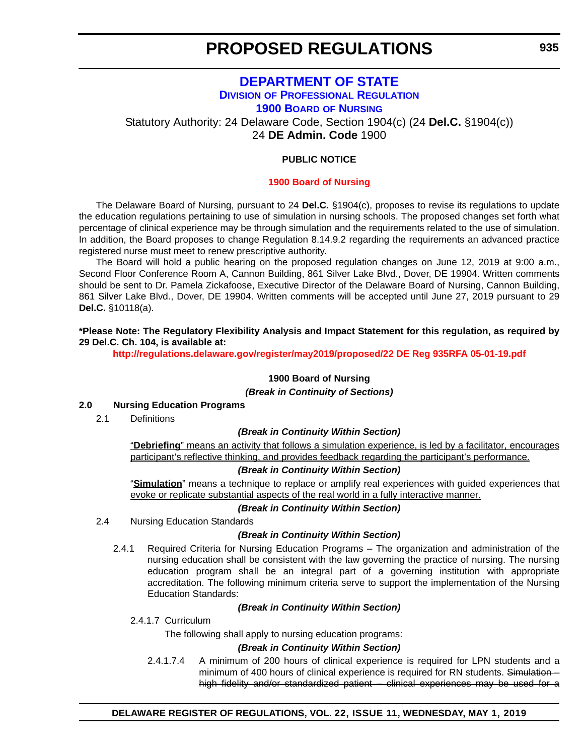# **[DEPARTMENT OF STATE](https://sos.delaware.gov/) DIVISION [OF PROFESSIONAL REGULATION](https://dpr.delaware.gov/) [1900 BOARD](https://dpr.delaware.gov/boards/nursing/) OF NURSING**

Statutory Authority: 24 Delaware Code, Section 1904(c) (24 **Del.C.** §1904(c))

24 **DE Admin. Code** 1900

#### **PUBLIC NOTICE**

#### **[1900 Board](#page-3-0) of Nursing**

The Delaware Board of Nursing, pursuant to 24 **Del.C.** §1904(c), proposes to revise its regulations to update the education regulations pertaining to use of simulation in nursing schools. The proposed changes set forth what percentage of clinical experience may be through simulation and the requirements related to the use of simulation. In addition, the Board proposes to change Regulation 8.14.9.2 regarding the requirements an advanced practice registered nurse must meet to renew prescriptive authority.

The Board will hold a public hearing on the proposed regulation changes on June 12, 2019 at 9:00 a.m., Second Floor Conference Room A, Cannon Building, 861 Silver Lake Blvd., Dover, DE 19904. Written comments should be sent to Dr. Pamela Zickafoose, Executive Director of the Delaware Board of Nursing, Cannon Building, 861 Silver Lake Blvd., Dover, DE 19904. Written comments will be accepted until June 27, 2019 pursuant to 29 **Del.C.** §10118(a).

#### **\*Please Note: The Regulatory Flexibility Analysis and Impact Statement for this regulation, as required by 29 Del.C. Ch. 104, is available at:**

**<http://regulations.delaware.gov/register/may2019/proposed/22 DE Reg 935RFA 05-01-19.pdf>**

#### **1900 Board of Nursing**

*(Break in Continuity of Sections)*

#### **2.0 Nursing Education Programs**

2.1 Definitions

#### *(Break in Continuity Within Section)*

"**Debriefing**" means an activity that follows a simulation experience, is led by a facilitator, encourages participant's reflective thinking, and provides feedback regarding the participant's performance.

#### *(Break in Continuity Within Section)*

"**Simulation**" means a technique to replace or amplify real experiences with guided experiences that evoke or replicate substantial aspects of the real world in a fully interactive manner.

#### *(Break in Continuity Within Section)*

2.4 Nursing Education Standards

#### *(Break in Continuity Within Section)*

2.4.1 Required Criteria for Nursing Education Programs – The organization and administration of the nursing education shall be consistent with the law governing the practice of nursing. The nursing education program shall be an integral part of a governing institution with appropriate accreditation. The following minimum criteria serve to support the implementation of the Nursing Education Standards:

#### *(Break in Continuity Within Section)*

2.4.1.7 Curriculum

The following shall apply to nursing education programs:

#### *(Break in Continuity Within Section)*

2.4.1.7.4 A minimum of 200 hours of clinical experience is required for LPN students and a minimum of 400 hours of clinical experience is required for RN students. Simulationhigh fidelity and/or standardized patient – clinical experiences may be used for a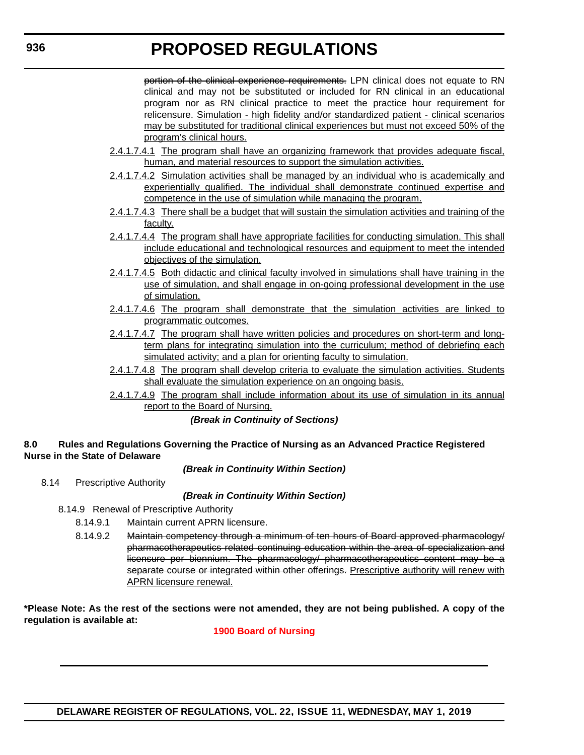portion of the clinical experience requirements. LPN clinical does not equate to RN clinical and may not be substituted or included for RN clinical in an educational program nor as RN clinical practice to meet the practice hour requirement for relicensure. Simulation - high fidelity and/or standardized patient - clinical scenarios may be substituted for traditional clinical experiences but must not exceed 50% of the program's clinical hours.

- 2.4.1.7.4.1 The program shall have an organizing framework that provides adequate fiscal, human, and material resources to support the simulation activities.
- 2.4.1.7.4.2 Simulation activities shall be managed by an individual who is academically and experientially qualified. The individual shall demonstrate continued expertise and competence in the use of simulation while managing the program.
- 2.4.1.7.4.3 There shall be a budget that will sustain the simulation activities and training of the faculty.
- 2.4.1.7.4.4 The program shall have appropriate facilities for conducting simulation. This shall include educational and technological resources and equipment to meet the intended objectives of the simulation.
- 2.4.1.7.4.5 Both didactic and clinical faculty involved in simulations shall have training in the use of simulation, and shall engage in on-going professional development in the use of simulation.
- 2.4.1.7.4.6 The program shall demonstrate that the simulation activities are linked to programmatic outcomes.
- 2.4.1.7.4.7 The program shall have written policies and procedures on short-term and longterm plans for integrating simulation into the curriculum; method of debriefing each simulated activity; and a plan for orienting faculty to simulation.
- 2.4.1.7.4.8 The program shall develop criteria to evaluate the simulation activities. Students shall evaluate the simulation experience on an ongoing basis.
- 2.4.1.7.4.9 The program shall include information about its use of simulation in its annual report to the Board of Nursing.

### *(Break in Continuity of Sections)*

#### **8.0 Rules and Regulations Governing the Practice of Nursing as an Advanced Practice Registered Nurse in the State of Delaware**

*(Break in Continuity Within Section)*

8.14 Prescriptive Authority

# *(Break in Continuity Within Section)*

- 8.14.9 Renewal of Prescriptive Authority
	- 8.14.9.1 Maintain current APRN licensure.
	- 8.14.9.2 Maintain competency through a minimum of ten hours of Board approved pharmacology/ pharmacotherapeutics related continuing education within the area of specialization and licensure per biennium. The pharmacology/ pharmacotherapeutics content may be a separate course or integrated within other offerings. Prescriptive authority will renew with APRN licensure renewal.

**\*Please Note: As the rest of the sections were not amended, they are not being published. A copy of the regulation is available at:**

# **[1900 Board of Nursing](http://regulations.delaware.gov/register/may2019/proposed/22 DE Reg 935 05-01-19.htm)**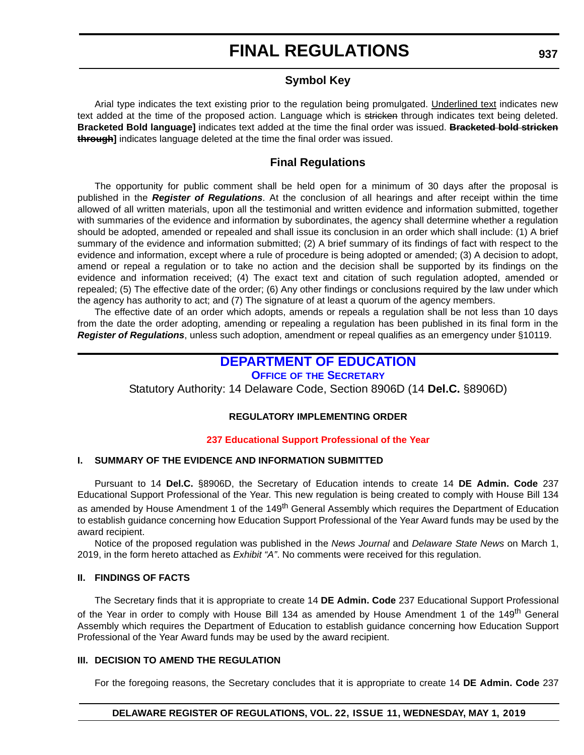# **FINAL REGULATIONS**

# **Symbol Key**

Arial type indicates the text existing prior to the regulation being promulgated. Underlined text indicates new text added at the time of the proposed action. Language which is stricken through indicates text being deleted. **Bracketed Bold language]** indicates text added at the time the final order was issued. **Bracketed bold stricken through]** indicates language deleted at the time the final order was issued.

# **Final Regulations**

The opportunity for public comment shall be held open for a minimum of 30 days after the proposal is published in the *Register of Regulations*. At the conclusion of all hearings and after receipt within the time allowed of all written materials, upon all the testimonial and written evidence and information submitted, together with summaries of the evidence and information by subordinates, the agency shall determine whether a regulation should be adopted, amended or repealed and shall issue its conclusion in an order which shall include: (1) A brief summary of the evidence and information submitted; (2) A brief summary of its findings of fact with respect to the evidence and information, except where a rule of procedure is being adopted or amended; (3) A decision to adopt, amend or repeal a regulation or to take no action and the decision shall be supported by its findings on the evidence and information received; (4) The exact text and citation of such regulation adopted, amended or repealed; (5) The effective date of the order; (6) Any other findings or conclusions required by the law under which the agency has authority to act; and (7) The signature of at least a quorum of the agency members.

The effective date of an order which adopts, amends or repeals a regulation shall be not less than 10 days from the date the order adopting, amending or repealing a regulation has been published in its final form in the *Register of Regulations*, unless such adoption, amendment or repeal qualifies as an emergency under §10119.

# **[DEPARTMENT OF EDUCATION](https://www.doe.k12.de.us/)**

### **OFFICE OF [THE SECRETARY](https://www.doe.k12.de.us/Page/11)**

Statutory Authority: 14 Delaware Code, Section 8906D (14 **Del.C.** §8906D)

### **REGULATORY IMPLEMENTING ORDER**

#### **[237 Educational Support Professional of the Year](#page-3-0)**

### **I. SUMMARY OF THE EVIDENCE AND INFORMATION SUBMITTED**

Pursuant to 14 **Del.C.** §8906D, the Secretary of Education intends to create 14 **DE Admin. Code** 237 Educational Support Professional of the Year. This new regulation is being created to comply with House Bill 134 as amended by House Amendment 1 of the 149<sup>th</sup> General Assembly which requires the Department of Education to establish guidance concerning how Education Support Professional of the Year Award funds may be used by the award recipient.

Notice of the proposed regulation was published in the *News Journal* and *Delaware State News* on March 1, 2019, in the form hereto attached as *Exhibit "A"*. No comments were received for this regulation.

#### **II. FINDINGS OF FACTS**

The Secretary finds that it is appropriate to create 14 **DE Admin. Code** 237 Educational Support Professional of the Year in order to comply with House Bill 134 as amended by House Amendment 1 of the 149<sup>th</sup> General Assembly which requires the Department of Education to establish guidance concerning how Education Support Professional of the Year Award funds may be used by the award recipient.

### **III. DECISION TO AMEND THE REGULATION**

For the foregoing reasons, the Secretary concludes that it is appropriate to create 14 **DE Admin. Code** 237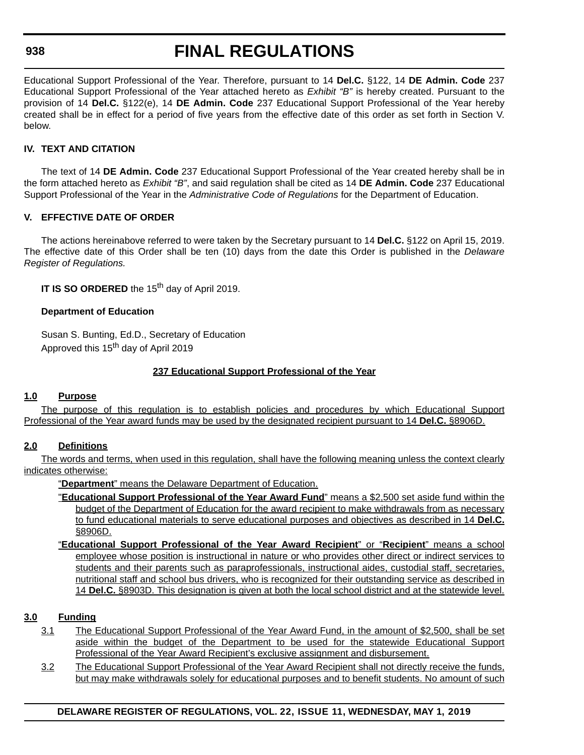### **938**

# **FINAL REGULATIONS**

Educational Support Professional of the Year. Therefore, pursuant to 14 **Del.C.** §122, 14 **DE Admin. Code** 237 Educational Support Professional of the Year attached hereto as *Exhibit "B"* is hereby created. Pursuant to the provision of 14 **Del.C.** §122(e), 14 **DE Admin. Code** 237 Educational Support Professional of the Year hereby created shall be in effect for a period of five years from the effective date of this order as set forth in Section V. below.

# **IV. TEXT AND CITATION**

The text of 14 **DE Admin. Code** 237 Educational Support Professional of the Year created hereby shall be in the form attached hereto as *Exhibit "B"*, and said regulation shall be cited as 14 **DE Admin. Code** 237 Educational Support Professional of the Year in the *Administrative Code of Regulations* for the Department of Education.

# **V. EFFECTIVE DATE OF ORDER**

The actions hereinabove referred to were taken by the Secretary pursuant to 14 **Del.C.** §122 on April 15, 2019. The effective date of this Order shall be ten (10) days from the date this Order is published in the *Delaware Register of Regulations.*

**IT IS SO ORDERED** the 15<sup>th</sup> day of April 2019.

### **Department of Education**

Susan S. Bunting, Ed.D., Secretary of Education Approved this 15<sup>th</sup> day of April 2019

### **237 Educational Support Professional of the Year**

### **1.0 Purpose**

The purpose of this regulation is to establish policies and procedures by which Educational Support Professional of the Year award funds may be used by the designated recipient pursuant to 14 **Del.C.** §8906D.

# **2.0 Definitions**

The words and terms, when used in this regulation, shall have the following meaning unless the context clearly indicates otherwise:

"**Department**" means the Delaware Department of Education.

- "**Educational Support Professional of the Year Award Fund**" means a \$2,500 set aside fund within the budget of the Department of Education for the award recipient to make withdrawals from as necessary to fund educational materials to serve educational purposes and objectives as described in 14 **Del.C.** §8906D.
- "**Educational Support Professional of the Year Award Recipient**" or "**Recipient**" means a school employee whose position is instructional in nature or who provides other direct or indirect services to students and their parents such as paraprofessionals, instructional aides, custodial staff, secretaries, nutritional staff and school bus drivers, who is recognized for their outstanding service as described in 14 **Del.C.** §8903D. This designation is given at both the local school district and at the statewide level.

### **3.0 Funding**

- 3.1 The Educational Support Professional of the Year Award Fund, in the amount of \$2,500, shall be set aside within the budget of the Department to be used for the statewide Educational Support Professional of the Year Award Recipient's exclusive assignment and disbursement.
- 3.2 The Educational Support Professional of the Year Award Recipient shall not directly receive the funds, but may make withdrawals solely for educational purposes and to benefit students. No amount of such

# **DELAWARE REGISTER OF REGULATIONS, VOL. 22, ISSUE 11, WEDNESDAY, MAY 1, 2019**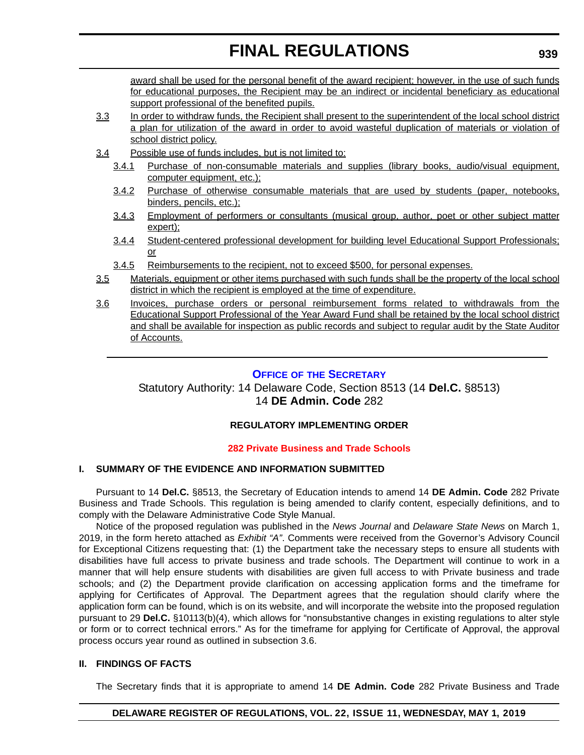award shall be used for the personal benefit of the award recipient; however, in the use of such funds for educational purposes, the Recipient may be an indirect or incidental beneficiary as educational support professional of the benefited pupils.

- 3.3 In order to withdraw funds, the Recipient shall present to the superintendent of the local school district a plan for utilization of the award in order to avoid wasteful duplication of materials or violation of school district policy.
- 3.4 Possible use of funds includes, but is not limited to:
	- 3.4.1 Purchase of non-consumable materials and supplies (library books, audio/visual equipment, computer equipment, etc.);
	- 3.4.2 Purchase of otherwise consumable materials that are used by students (paper, notebooks, binders, pencils, etc.);
	- 3.4.3 Employment of performers or consultants (musical group, author, poet or other subject matter expert);
	- 3.4.4 Student-centered professional development for building level Educational Support Professionals; or
	- 3.4.5 Reimbursements to the recipient, not to exceed \$500, for personal expenses.
- 3.5 Materials, equipment or other items purchased with such funds shall be the property of the local school district in which the recipient is employed at the time of expenditure.
- 3.6 Invoices, purchase orders or personal reimbursement forms related to withdrawals from the Educational Support Professional of the Year Award Fund shall be retained by the local school district and shall be available for inspection as public records and subject to regular audit by the State Auditor of Accounts.

# **OFFICE OF [THE SECRETARY](https://www.doe.k12.de.us/Page/11)**

Statutory Authority: 14 Delaware Code, Section 8513 (14 **Del.C.** §8513) 14 **DE Admin. Code** 282

# **REGULATORY IMPLEMENTING ORDER**

# **[282 Private Business and Trade Schools](#page-3-0)**

### **I. SUMMARY OF THE EVIDENCE AND INFORMATION SUBMITTED**

Pursuant to 14 **Del.C.** §8513, the Secretary of Education intends to amend 14 **DE Admin. Code** 282 Private Business and Trade Schools. This regulation is being amended to clarify content, especially definitions, and to comply with the Delaware Administrative Code Style Manual.

Notice of the proposed regulation was published in the *News Journal* and *Delaware State News* on March 1, 2019, in the form hereto attached as *Exhibit "A"*. Comments were received from the Governor's Advisory Council for Exceptional Citizens requesting that: (1) the Department take the necessary steps to ensure all students with disabilities have full access to private business and trade schools. The Department will continue to work in a manner that will help ensure students with disabilities are given full access to with Private business and trade schools; and (2) the Department provide clarification on accessing application forms and the timeframe for applying for Certificates of Approval. The Department agrees that the regulation should clarify where the application form can be found, which is on its website, and will incorporate the website into the proposed regulation pursuant to 29 **Del.C.** §10113(b)(4), which allows for "nonsubstantive changes in existing regulations to alter style or form or to correct technical errors." As for the timeframe for applying for Certificate of Approval, the approval process occurs year round as outlined in subsection 3.6.

### **II. FINDINGS OF FACTS**

The Secretary finds that it is appropriate to amend 14 **DE Admin. Code** 282 Private Business and Trade

### **DELAWARE REGISTER OF REGULATIONS, VOL. 22, ISSUE 11, WEDNESDAY, MAY 1, 2019**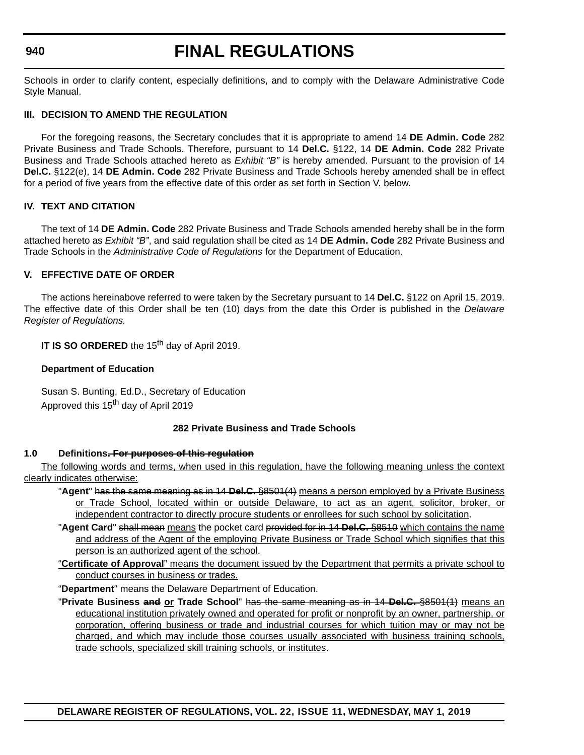### **940**

# **FINAL REGULATIONS**

Schools in order to clarify content, especially definitions, and to comply with the Delaware Administrative Code Style Manual.

#### **III. DECISION TO AMEND THE REGULATION**

For the foregoing reasons, the Secretary concludes that it is appropriate to amend 14 **DE Admin. Code** 282 Private Business and Trade Schools. Therefore, pursuant to 14 **Del.C.** §122, 14 **DE Admin. Code** 282 Private Business and Trade Schools attached hereto as *Exhibit "B"* is hereby amended. Pursuant to the provision of 14 **Del.C.** §122(e), 14 **DE Admin. Code** 282 Private Business and Trade Schools hereby amended shall be in effect for a period of five years from the effective date of this order as set forth in Section V. below.

#### **IV. TEXT AND CITATION**

The text of 14 **DE Admin. Code** 282 Private Business and Trade Schools amended hereby shall be in the form attached hereto as *Exhibit "B"*, and said regulation shall be cited as 14 **DE Admin. Code** 282 Private Business and Trade Schools in the *Administrative Code of Regulations* for the Department of Education.

### **V. EFFECTIVE DATE OF ORDER**

The actions hereinabove referred to were taken by the Secretary pursuant to 14 **Del.C.** §122 on April 15, 2019. The effective date of this Order shall be ten (10) days from the date this Order is published in the *Delaware Register of Regulations.*

**IT IS SO ORDERED** the 15<sup>th</sup> day of April 2019.

#### **Department of Education**

Susan S. Bunting, Ed.D., Secretary of Education Approved this 15<sup>th</sup> day of April 2019

#### **282 Private Business and Trade Schools**

#### **1.0 Definitions. For purposes of this regulation**

The following words and terms, when used in this regulation, have the following meaning unless the context clearly indicates otherwise:

- "**Agent**" has the same meaning as in 14 **Del.C.** §8501(4) means a person employed by a Private Business or Trade School, located within or outside Delaware, to act as an agent, solicitor, broker, or independent contractor to directly procure students or enrollees for such school by solicitation.
- "**Agent Card**" shall mean means the pocket card provided for in 14 **Del.C.** §8510 which contains the name and address of the Agent of the employing Private Business or Trade School which signifies that this person is an authorized agent of the school.
- "**Certificate of Approval**" means the document issued by the Department that permits a private school to conduct courses in business or trades.
- "**Department**" means the Delaware Department of Education.
- "**Private Business and or Trade School**" has the same meaning as in 14 **Del.C.** §8501(1) means an educational institution privately owned and operated for profit or nonprofit by an owner, partnership, or corporation, offering business or trade and industrial courses for which tuition may or may not be charged, and which may include those courses usually associated with business training schools, trade schools, specialized skill training schools, or institutes.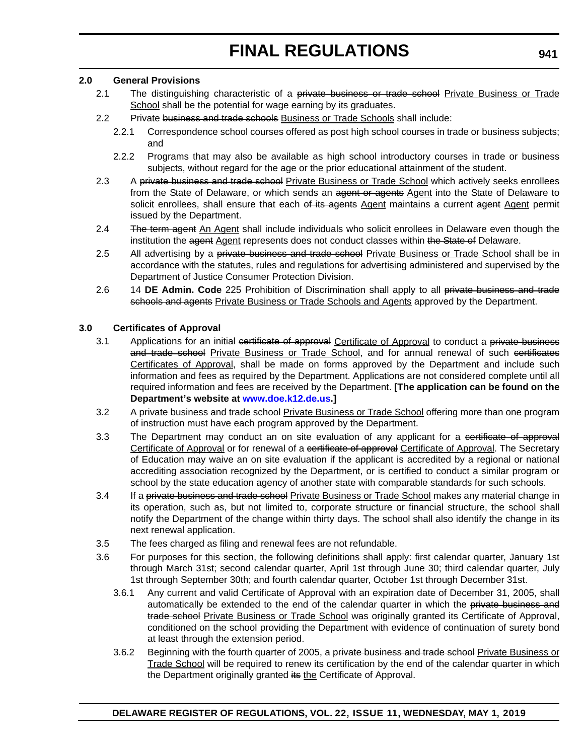#### **2.0 General Provisions**

- 2.1 The distinguishing characteristic of a private business or trade school Private Business or Trade School shall be the potential for wage earning by its graduates.
- 2.2 Private business and trade schools Business or Trade Schools shall include:
	- 2.2.1 Correspondence school courses offered as post high school courses in trade or business subjects; and
	- 2.2.2 Programs that may also be available as high school introductory courses in trade or business subjects, without regard for the age or the prior educational attainment of the student.
- 2.3 A private business and trade school Private Business or Trade School which actively seeks enrollees from the State of Delaware, or which sends an agent or agents Agent into the State of Delaware to solicit enrollees, shall ensure that each of its agents Agent maintains a current agent Agent permit issued by the Department.
- 2.4 The term agent An Agent shall include individuals who solicit enrollees in Delaware even though the institution the agent Agent represents does not conduct classes within the State of Delaware.
- 2.5 All advertising by a private business and trade school Private Business or Trade School shall be in accordance with the statutes, rules and regulations for advertising administered and supervised by the Department of Justice Consumer Protection Division.
- 2.6 14 **DE Admin. Code** 225 Prohibition of Discrimination shall apply to all private business and trade schools and agents Private Business or Trade Schools and Agents approved by the Department.

### **3.0 Certificates of Approval**

- 3.1 Applications for an initial certificate of approval Certificate of Approval to conduct a private business and trade school Private Business or Trade School, and for annual renewal of such certificates Certificates of Approval, shall be made on forms approved by the Department and include such information and fees as required by the Department. Applications are not considered complete until all required information and fees are received by the Department. **[The application can be found on the Department's website at [www.doe.k12.de.us.](www.doe.k12.de.us)]**
- 3.2 A private business and trade school Private Business or Trade School offering more than one program of instruction must have each program approved by the Department.
- 3.3 The Department may conduct an on site evaluation of any applicant for a certificate of approval Certificate of Approval or for renewal of a certificate of approval Certificate of Approval. The Secretary of Education may waive an on site evaluation if the applicant is accredited by a regional or national accrediting association recognized by the Department, or is certified to conduct a similar program or school by the state education agency of another state with comparable standards for such schools.
- 3.4 If a private business and trade school Private Business or Trade School makes any material change in its operation, such as, but not limited to, corporate structure or financial structure, the school shall notify the Department of the change within thirty days. The school shall also identify the change in its next renewal application.
- 3.5 The fees charged as filing and renewal fees are not refundable.
- 3.6 For purposes for this section, the following definitions shall apply: first calendar quarter, January 1st through March 31st; second calendar quarter, April 1st through June 30; third calendar quarter, July 1st through September 30th; and fourth calendar quarter, October 1st through December 31st.
	- 3.6.1 Any current and valid Certificate of Approval with an expiration date of December 31, 2005, shall automatically be extended to the end of the calendar quarter in which the private business and trade school Private Business or Trade School was originally granted its Certificate of Approval, conditioned on the school providing the Department with evidence of continuation of surety bond at least through the extension period.
	- 3.6.2 Beginning with the fourth quarter of 2005, a private business and trade school Private Business or Trade School will be required to renew its certification by the end of the calendar quarter in which the Department originally granted its the Certificate of Approval.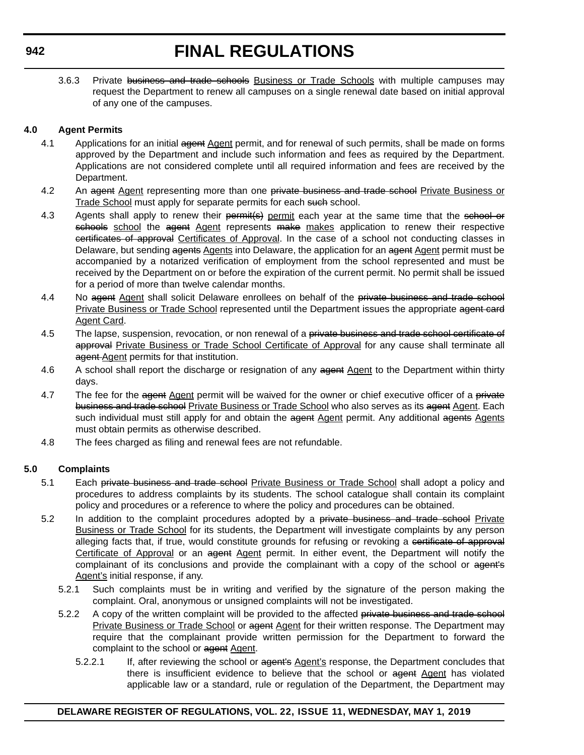# **FINAL REGULATIONS**

3.6.3 Private business and trade schools Business or Trade Schools with multiple campuses may request the Department to renew all campuses on a single renewal date based on initial approval of any one of the campuses.

# **4.0 Agent Permits**

- 4.1 Applications for an initial agent Agent permit, and for renewal of such permits, shall be made on forms approved by the Department and include such information and fees as required by the Department. Applications are not considered complete until all required information and fees are received by the Department.
- 4.2 An agent Agent representing more than one private business and trade school Private Business or Trade School must apply for separate permits for each such school.
- 4.3 Agents shall apply to renew their permit(s) permit each year at the same time that the school or schools school the agent Agent represents make makes application to renew their respective certificates of approval Certificates of Approval. In the case of a school not conducting classes in Delaware, but sending agents Agents into Delaware, the application for an agent Agent permit must be accompanied by a notarized verification of employment from the school represented and must be received by the Department on or before the expiration of the current permit. No permit shall be issued for a period of more than twelve calendar months.
- 4.4 No agent Agent shall solicit Delaware enrollees on behalf of the private business and trade school Private Business or Trade School represented until the Department issues the appropriate agent card Agent Card.
- 4.5 The lapse, suspension, revocation, or non renewal of a private business and trade school certificate of approval Private Business or Trade School Certificate of Approval for any cause shall terminate all agent Agent permits for that institution.
- 4.6 A school shall report the discharge or resignation of any agent Agent to the Department within thirty days.
- 4.7 The fee for the agent Agent permit will be waived for the owner or chief executive officer of a private business and trade school Private Business or Trade School who also serves as its agent Agent. Each such individual must still apply for and obtain the agent Agent permit. Any additional agents Agents must obtain permits as otherwise described.
- 4.8 The fees charged as filing and renewal fees are not refundable.

### **5.0 Complaints**

- 5.1 Each private business and trade school Private Business or Trade School shall adopt a policy and procedures to address complaints by its students. The school catalogue shall contain its complaint policy and procedures or a reference to where the policy and procedures can be obtained.
- 5.2 In addition to the complaint procedures adopted by a private business and trade school Private Business or Trade School for its students, the Department will investigate complaints by any person alleging facts that, if true, would constitute grounds for refusing or revoking a certificate of approval Certificate of Approval or an agent Agent permit. In either event, the Department will notify the complainant of its conclusions and provide the complainant with a copy of the school or agent's Agent's initial response, if any.
	- 5.2.1 Such complaints must be in writing and verified by the signature of the person making the complaint. Oral, anonymous or unsigned complaints will not be investigated.
	- 5.2.2 A copy of the written complaint will be provided to the affected private business and trade school Private Business or Trade School or agent Agent for their written response. The Department may require that the complainant provide written permission for the Department to forward the complaint to the school or agent Agent.
		- 5.2.2.1 If, after reviewing the school or agent's Agent's response, the Department concludes that there is insufficient evidence to believe that the school or agent Agent has violated applicable law or a standard, rule or regulation of the Department, the Department may

### **DELAWARE REGISTER OF REGULATIONS, VOL. 22, ISSUE 11, WEDNESDAY, MAY 1, 2019**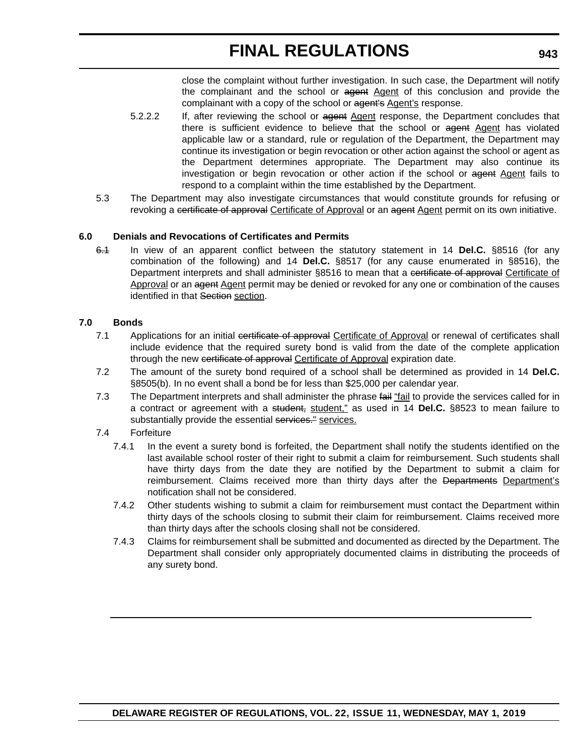# **FINAL REGULATIONS**

close the complaint without further investigation. In such case, the Department will notify the complainant and the school or agent Agent of this conclusion and provide the complainant with a copy of the school or agent's Agent's response.

- 5.2.2.2 If, after reviewing the school or agent Agent response, the Department concludes that there is sufficient evidence to believe that the school or agent Agent has violated applicable law or a standard, rule or regulation of the Department, the Department may continue its investigation or begin revocation or other action against the school or agent as the Department determines appropriate. The Department may also continue its investigation or begin revocation or other action if the school or agent Agent fails to respond to a complaint within the time established by the Department.
- 5.3 The Department may also investigate circumstances that would constitute grounds for refusing or revoking a certificate of approval Certificate of Approval or an agent Agent permit on its own initiative.

### **6.0 Denials and Revocations of Certificates and Permits**

6.1 In view of an apparent conflict between the statutory statement in 14 **Del.C.** §8516 (for any combination of the following) and 14 **Del.C.** §8517 (for any cause enumerated in §8516), the Department interprets and shall administer §8516 to mean that a certificate of approval Certificate of Approval or an agent Agent permit may be denied or revoked for any one or combination of the causes identified in that Section section.

#### **7.0 Bonds**

- 7.1 Applications for an initial certificate of approval Certificate of Approval or renewal of certificates shall include evidence that the required surety bond is valid from the date of the complete application through the new certificate of approval Certificate of Approval expiration date.
- 7.2 The amount of the surety bond required of a school shall be determined as provided in 14 **Del.C.** §8505(b). In no event shall a bond be for less than \$25,000 per calendar year.
- 7.3 The Department interprets and shall administer the phrase fail "fail to provide the services called for in a contract or agreement with a student, student," as used in 14 **Del.C.** §8523 to mean failure to substantially provide the essential services." services.

#### 7.4 Forfeiture

- 7.4.1 In the event a surety bond is forfeited, the Department shall notify the students identified on the last available school roster of their right to submit a claim for reimbursement. Such students shall have thirty days from the date they are notified by the Department to submit a claim for reimbursement. Claims received more than thirty days after the Departments Department's notification shall not be considered.
- 7.4.2 Other students wishing to submit a claim for reimbursement must contact the Department within thirty days of the schools closing to submit their claim for reimbursement. Claims received more than thirty days after the schools closing shall not be considered.
- 7.4.3 Claims for reimbursement shall be submitted and documented as directed by the Department. The Department shall consider only appropriately documented claims in distributing the proceeds of any surety bond.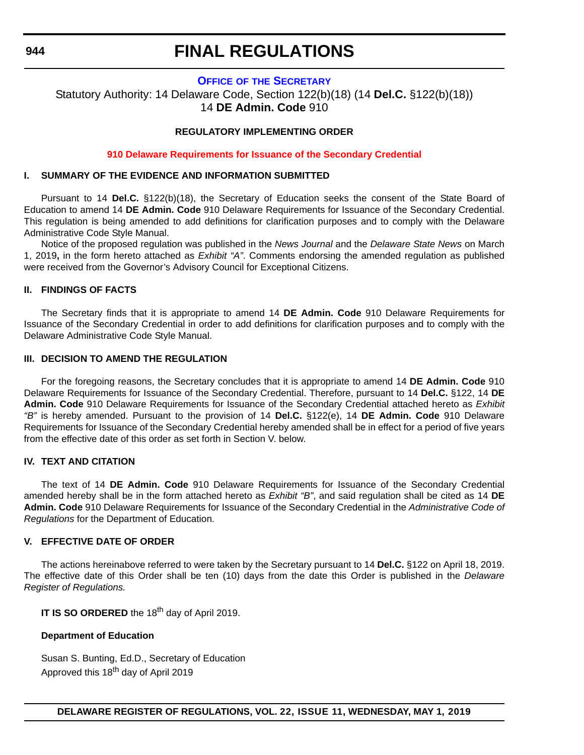#### **944**

# **FINAL REGULATIONS**

#### **OFFICE OF [THE SECRETARY](https://www.doe.k12.de.us/Page/11)**

Statutory Authority: 14 Delaware Code, Section 122(b)(18) (14 **Del.C.** §122(b)(18)) 14 **DE Admin. Code** 910

#### **REGULATORY IMPLEMENTING ORDER**

#### **[910 Delaware Requirements for Issuance of the Secondary Credential](#page-3-0)**

#### **I. SUMMARY OF THE EVIDENCE AND INFORMATION SUBMITTED**

Pursuant to 14 **Del.C.** §122(b)(18), the Secretary of Education seeks the consent of the State Board of Education to amend 14 **DE Admin. Code** 910 Delaware Requirements for Issuance of the Secondary Credential. This regulation is being amended to add definitions for clarification purposes and to comply with the Delaware Administrative Code Style Manual.

Notice of the proposed regulation was published in the *News Journal* and the *Delaware State News* on March 1, 2019**,** in the form hereto attached as *Exhibit "A"*. Comments endorsing the amended regulation as published were received from the Governor's Advisory Council for Exceptional Citizens.

#### **II. FINDINGS OF FACTS**

The Secretary finds that it is appropriate to amend 14 **DE Admin. Code** 910 Delaware Requirements for Issuance of the Secondary Credential in order to add definitions for clarification purposes and to comply with the Delaware Administrative Code Style Manual.

### **III. DECISION TO AMEND THE REGULATION**

For the foregoing reasons, the Secretary concludes that it is appropriate to amend 14 **DE Admin. Code** 910 Delaware Requirements for Issuance of the Secondary Credential. Therefore, pursuant to 14 **Del.C.** §122, 14 **DE Admin. Code** 910 Delaware Requirements for Issuance of the Secondary Credential attached hereto as *Exhibit "B"* is hereby amended. Pursuant to the provision of 14 **Del.C.** §122(e), 14 **DE Admin. Code** 910 Delaware Requirements for Issuance of the Secondary Credential hereby amended shall be in effect for a period of five years from the effective date of this order as set forth in Section V. below.

#### **IV. TEXT AND CITATION**

The text of 14 **DE Admin. Code** 910 Delaware Requirements for Issuance of the Secondary Credential amended hereby shall be in the form attached hereto as *Exhibit "B"*, and said regulation shall be cited as 14 **DE Admin. Code** 910 Delaware Requirements for Issuance of the Secondary Credential in the *Administrative Code of Regulations* for the Department of Education.

#### **V. EFFECTIVE DATE OF ORDER**

The actions hereinabove referred to were taken by the Secretary pursuant to 14 **Del.C.** §122 on April 18, 2019. The effective date of this Order shall be ten (10) days from the date this Order is published in the *Delaware Register of Regulations.*

**IT IS SO ORDERED** the 18<sup>th</sup> day of April 2019.

#### **Department of Education**

Susan S. Bunting, Ed.D., Secretary of Education Approved this 18<sup>th</sup> day of April 2019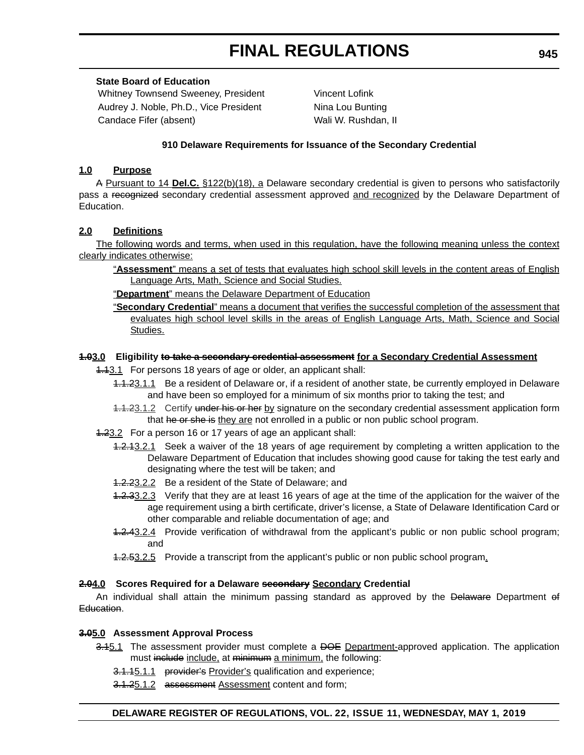# **FINAL REGULATIONS**

### **State Board of Education**

Whitney Townsend Sweeney, President Vincent Lofink Audrey J. Noble, Ph.D., Vice President Nina Lou Bunting Candace Fifer (absent) Wali W. Rushdan, II

### **910 Delaware Requirements for Issuance of the Secondary Credential**

### **1.0 Purpose**

A Pursuant to 14 **Del.C.** §122(b)(18), a Delaware secondary credential is given to persons who satisfactorily pass a recognized secondary credential assessment approved and recognized by the Delaware Department of Education.

### **2.0 Definitions**

The following words and terms, when used in this regulation, have the following meaning unless the context clearly indicates otherwise:

- "**Assessment**" means a set of tests that evaluates high school skill levels in the content areas of English Language Arts, Math, Science and Social Studies.
- "**Department**" means the Delaware Department of Education
- "**Secondary Credential**" means a document that verifies the successful completion of the assessment that evaluates high school level skills in the areas of English Language Arts, Math, Science and Social Studies.

### **1.03.0 Eligibility to take a secondary credential assessment for a Secondary Credential Assessment**

- 1.13.1 For persons 18 years of age or older, an applicant shall:
	- 1.1.23.1.1 Be a resident of Delaware or, if a resident of another state, be currently employed in Delaware and have been so employed for a minimum of six months prior to taking the test; and
	- 1.1.23.1.2 Certify under his or her by signature on the secondary credential assessment application form that he or she is they are not enrolled in a public or non public school program.
- 1.23.2 For a person 16 or 17 years of age an applicant shall:
	- 1.2.13.2.1 Seek a waiver of the 18 years of age requirement by completing a written application to the Delaware Department of Education that includes showing good cause for taking the test early and designating where the test will be taken; and
	- 1.2.23.2.2 Be a resident of the State of Delaware; and
	- 1.2.33.2.3 Verify that they are at least 16 years of age at the time of the application for the waiver of the age requirement using a birth certificate, driver's license, a State of Delaware Identification Card or other comparable and reliable documentation of age; and
	- 1.2.43.2.4 Provide verification of withdrawal from the applicant's public or non public school program; and
	- **1.2.53.2.5** Provide a transcript from the applicant's public or non public school program.

### **2.04.0 Scores Required for a Delaware secondary Secondary Credential**

An individual shall attain the minimum passing standard as approved by the Delaware Department of Education.

### **3.05.0 Assessment Approval Process**

- 3.45.1 The assessment provider must complete a <del>DOE</del> Department-approved application. The application must include include, at minimum a minimum, the following:
	- 3.1.15.1.1 provider's Provider's qualification and experience;
	- 3.1.25.1.2 assessment Assessment content and form;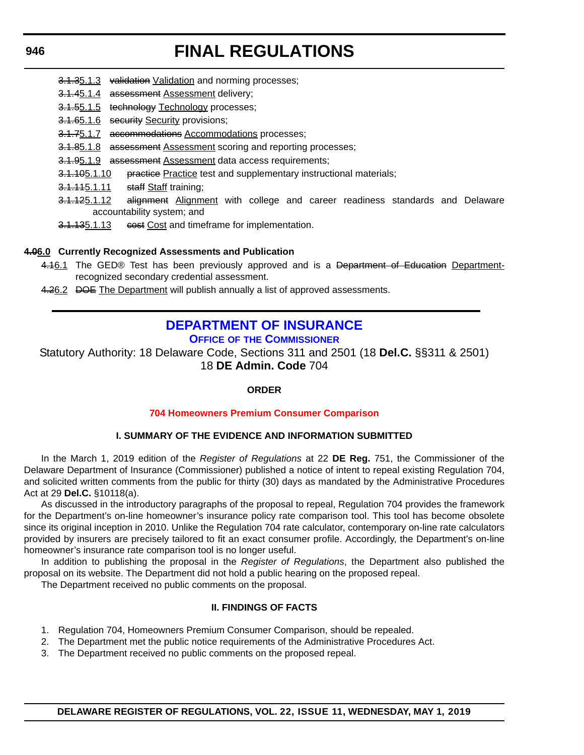#### **946**

# **FINAL REGULATIONS**

- 3.1.35.1.3 validation Validation and norming processes;
- 3.1.45.1.4 assessment Assessment delivery;
- 3.1.55.1.5 technology Technology processes;
- 3.1.65.1.6 security Security provisions;
- 3.1.75.1.7 accommodations Accommodations processes;
- 3.1.85.1.8 assessment Assessment scoring and reporting processes;
- 3.1.95.1.9 assessment Assessment data access requirements;
- 3.1.105.1.10 practice Practice test and supplementary instructional materials;
- 3.1.115.1.11 staff Staff training;
- 3.1.125.1.12 alignment Alignment with college and career readiness standards and Delaware accountability system; and
- 3.1.135.1.13 eest Cost and timeframe for implementation.

### **4.06.0 Currently Recognized Assessments and Publication**

- 4.16.1 The GED® Test has been previously approved and is a Department of Education Departmentrecognized secondary credential assessment.
- 4.26.2 DOE The Department will publish annually a list of approved assessments.

# **[DEPARTMENT OF INSURANCE](https://insurance.delaware.gov/)**

**OFFICE OF [THE COMMISSIONER](https://insurance.delaware.gov/bio/)**

Statutory Authority: 18 Delaware Code, Sections 311 and 2501 (18 **Del.C.** §§311 & 2501) 18 **DE Admin. Code** 704

### **ORDER**

### **[704 Homeowners Premium Consumer Comparison](#page-4-0)**

### **I. SUMMARY OF THE EVIDENCE AND INFORMATION SUBMITTED**

In the March 1, 2019 edition of the *Register of Regulations* at 22 **DE Reg.** 751, the Commissioner of the Delaware Department of Insurance (Commissioner) published a notice of intent to repeal existing Regulation 704, and solicited written comments from the public for thirty (30) days as mandated by the Administrative Procedures Act at 29 **Del.C.** §10118(a).

As discussed in the introductory paragraphs of the proposal to repeal, Regulation 704 provides the framework for the Department's on-line homeowner's insurance policy rate comparison tool. This tool has become obsolete since its original inception in 2010. Unlike the Regulation 704 rate calculator, contemporary on-line rate calculators provided by insurers are precisely tailored to fit an exact consumer profile. Accordingly, the Department's on-line homeowner's insurance rate comparison tool is no longer useful.

In addition to publishing the proposal in the *Register of Regulations*, the Department also published the proposal on its website. The Department did not hold a public hearing on the proposed repeal.

The Department received no public comments on the proposal.

### **II. FINDINGS OF FACTS**

- 1. Regulation 704, Homeowners Premium Consumer Comparison, should be repealed.
- 2. The Department met the public notice requirements of the Administrative Procedures Act.
- 3. The Department received no public comments on the proposed repeal.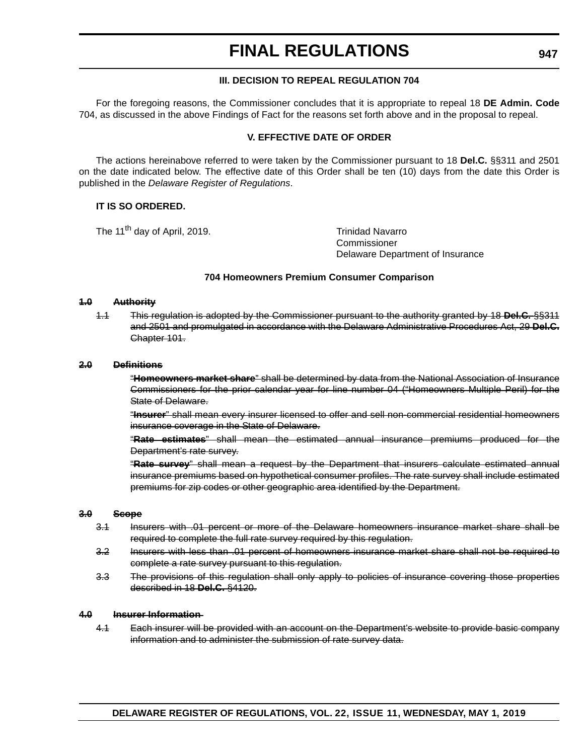# **FINAL REGULATIONS**

#### **III. DECISION TO REPEAL REGULATION 704**

For the foregoing reasons, the Commissioner concludes that it is appropriate to repeal 18 **DE Admin. Code** 704, as discussed in the above Findings of Fact for the reasons set forth above and in the proposal to repeal.

#### **V. EFFECTIVE DATE OF ORDER**

The actions hereinabove referred to were taken by the Commissioner pursuant to 18 **Del.C.** §§311 and 2501 on the date indicated below. The effective date of this Order shall be ten (10) days from the date this Order is published in the *Delaware Register of Regulations*.

#### **IT IS SO ORDERED.**

The 11<sup>th</sup> day of April, 2019. The 11<sup>th</sup> day of April, 2019.

**Commissioner** Delaware Department of Insurance

#### **704 Homeowners Premium Consumer Comparison**

#### **1.0 Authority**

1.1 This regulation is adopted by the Commissioner pursuant to the authority granted by 18 **Del.C.** §§311 and 2501 and promulgated in accordance with the Delaware Administrative Procedures Act, 29 **Del.C.** Chapter 101.

#### **2.0 Definitions**

"**Homeowners market share**" shall be determined by data from the National Association of Insurance Commissioners for the prior calendar year for line number 04 ("Homeowners Multiple Peril) for the State of Delaware.

"**Insurer**" shall mean every insurer licensed to offer and sell non-commercial residential homeowners insurance coverage in the State of Delaware.

"**Rate estimates**" shall mean the estimated annual insurance premiums produced for the Department's rate survey.

"**Rate survey**" shall mean a request by the Department that insurers calculate estimated annual insurance premiums based on hypothetical consumer profiles. The rate survey shall include estimated premiums for zip codes or other geographic area identified by the Department.

#### **3.0 Scope**

- 3.1 Insurers with .01 percent or more of the Delaware homeowners insurance market share shall be required to complete the full rate survey required by this regulation.
- 3.2 Insurers with less than .01 percent of homeowners insurance market share shall not be required to complete a rate survey pursuant to this regulation.
- 3.3 The provisions of this regulation shall only apply to policies of insurance covering those properties described in 18 **Del.C.** §4120.

#### **4.0 Insurer Information**

4.1 Each insurer will be provided with an account on the Department's website to provide basic company information and to administer the submission of rate survey data.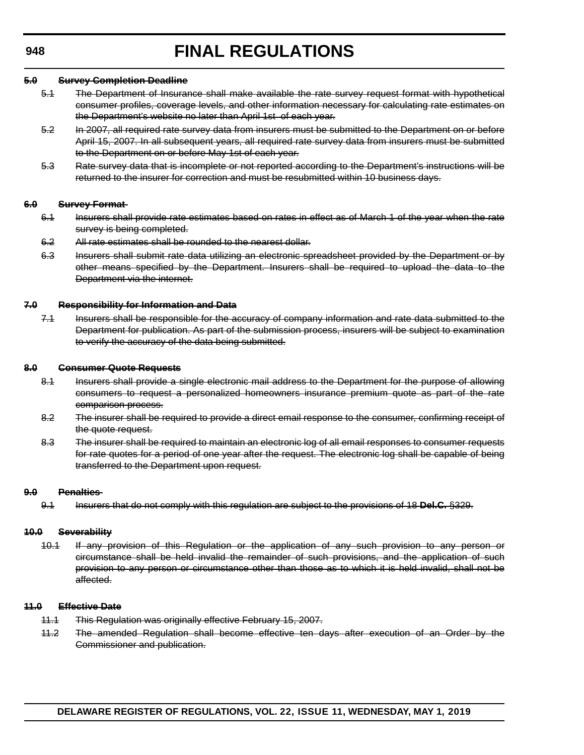#### **5.0 Survey Completion Deadline**

- 5.1 The Department of Insurance shall make available the rate survey request format with hypothetical consumer profiles, coverage levels, and other information necessary for calculating rate estimates on the Department's website no later than April 1st of each year.
- 5.2 In 2007, all required rate survey data from insurers must be submitted to the Department on or before April 15, 2007. In all subsequent years, all required rate survey data from insurers must be submitted to the Department on or before May 1st of each year.
- 5.3 Rate survey data that is incomplete or not reported according to the Department's instructions will be returned to the insurer for correction and must be resubmitted within 10 business days.

#### **6.0 Survey Format**

- 6.1 Insurers shall provide rate estimates based on rates in effect as of March 1 of the year when the rate survey is being completed.
- 6.2 All rate estimates shall be rounded to the nearest dollar.
- 6.3 Insurers shall submit rate data utilizing an electronic spreadsheet provided by the Department or by other means specified by the Department. Insurers shall be required to upload the data to the Department via the internet.

#### **7.0 Responsibility for Information and Data**

7.1 Insurers shall be responsible for the accuracy of company information and rate data submitted to the Department for publication. As part of the submission process, insurers will be subject to examination to verify the accuracy of the data being submitted.

#### **8.0 Consumer Quote Requests**

- 8.1 Insurers shall provide a single electronic mail address to the Department for the purpose of allowing consumers to request a personalized homeowners insurance premium quote as part of the rate comparison process.
- 8.2 The insurer shall be required to provide a direct email response to the consumer, confirming receipt of the quote request.
- 8.3 The insurer shall be required to maintain an electronic log of all email responses to consumer requests for rate quotes for a period of one year after the request. The electronic log shall be capable of being transferred to the Department upon request.

#### **9.0 Penalties**

9.1 Insurers that do not comply with this regulation are subject to the provisions of 18 **Del.C.** §329.

#### **10.0 Severability**

10.1 If any provision of this Regulation or the application of any such provision to any person or circumstance shall be held invalid the remainder of such provisions, and the application of such provision to any person or circumstance other than those as to which it is held invalid, shall not be affected.

#### **11.0 Effective Date**

- 11.1 This Regulation was originally effective February 15, 2007.
- 11.2 The amended Regulation shall become effective ten days after execution of an Order by the Commissioner and publication.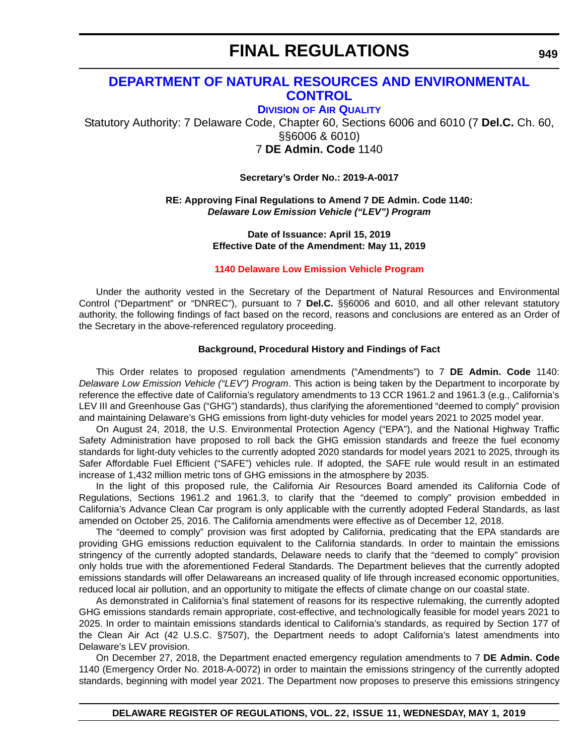## **[DEPARTMENT OF NATURAL RESOURCES AND ENVIRONMENTAL](https://dnrec.alpha.delaware.gov/)  CONTROL**

**DIVISION [OF AIR QUALITY](https://dnrec.alpha.delaware.gov/air/ )**

Statutory Authority: 7 Delaware Code, Chapter 60, Sections 6006 and 6010 (7 **Del.C.** Ch. 60, §§6006 & 6010) 7 **DE Admin. Code** 1140

**Secretary's Order No.: 2019-A-0017**

### **RE: Approving Final Regulations to Amend 7 DE Admin. Code 1140:** *Delaware Low Emission Vehicle ("LEV") Program*

**Date of Issuance: April 15, 2019 Effective Date of the Amendment: May 11, 2019**

### **[1140 Delaware Low Emission Vehicle Program](#page-4-0)**

Under the authority vested in the Secretary of the Department of Natural Resources and Environmental Control ("Department" or "DNREC"), pursuant to 7 **Del.C.** §§6006 and 6010, and all other relevant statutory authority, the following findings of fact based on the record, reasons and conclusions are entered as an Order of the Secretary in the above-referenced regulatory proceeding.

### **Background, Procedural History and Findings of Fact**

This Order relates to proposed regulation amendments ("Amendments") to 7 **DE Admin. Code** 1140: *Delaware Low Emission Vehicle ("LEV") Program*. This action is being taken by the Department to incorporate by reference the effective date of California's regulatory amendments to 13 CCR 1961.2 and 1961.3 (e.g., California's LEV III and Greenhouse Gas ("GHG") standards), thus clarifying the aforementioned "deemed to comply" provision and maintaining Delaware's GHG emissions from light-duty vehicles for model years 2021 to 2025 model year.

On August 24, 2018, the U.S. Environmental Protection Agency ("EPA"), and the National Highway Traffic Safety Administration have proposed to roll back the GHG emission standards and freeze the fuel economy standards for light-duty vehicles to the currently adopted 2020 standards for model years 2021 to 2025, through its Safer Affordable Fuel Efficient ("SAFE") vehicles rule. If adopted, the SAFE rule would result in an estimated increase of 1,432 million metric tons of GHG emissions in the atmosphere by 2035.

In the light of this proposed rule, the California Air Resources Board amended its California Code of Regulations, Sections 1961.2 and 1961.3, to clarify that the "deemed to comply" provision embedded in California's Advance Clean Car program is only applicable with the currently adopted Federal Standards, as last amended on October 25, 2016. The California amendments were effective as of December 12, 2018.

The "deemed to comply" provision was first adopted by California, predicating that the EPA standards are providing GHG emissions reduction equivalent to the California standards. In order to maintain the emissions stringency of the currently adopted standards, Delaware needs to clarify that the "deemed to comply" provision only holds true with the aforementioned Federal Standards. The Department believes that the currently adopted emissions standards will offer Delawareans an increased quality of life through increased economic opportunities, reduced local air pollution, and an opportunity to mitigate the effects of climate change on our coastal state.

As demonstrated in California's final statement of reasons for its respective rulemaking, the currently adopted GHG emissions standards remain appropriate, cost-effective, and technologically feasible for model years 2021 to 2025. In order to maintain emissions standards identical to California's standards, as required by Section 177 of the Clean Air Act (42 U.S.C. §7507), the Department needs to adopt California's latest amendments into Delaware's LEV provision.

On December 27, 2018, the Department enacted emergency regulation amendments to 7 **DE Admin. Code** 1140 (Emergency Order No. 2018-A-0072) in order to maintain the emissions stringency of the currently adopted standards, beginning with model year 2021. The Department now proposes to preserve this emissions stringency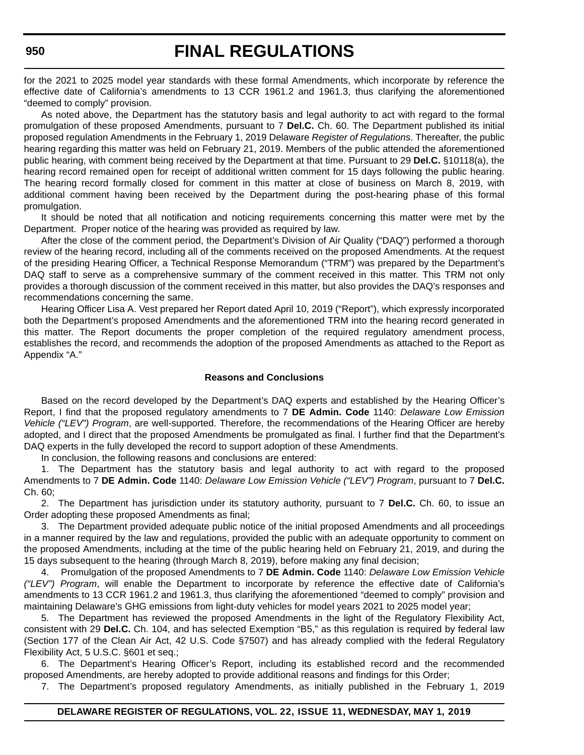for the 2021 to 2025 model year standards with these formal Amendments, which incorporate by reference the effective date of California's amendments to 13 CCR 1961.2 and 1961.3, thus clarifying the aforementioned "deemed to comply" provision.

As noted above, the Department has the statutory basis and legal authority to act with regard to the formal promulgation of these proposed Amendments, pursuant to 7 **Del.C.** Ch. 60. The Department published its initial proposed regulation Amendments in the February 1, 2019 Delaware *Register of Regulations*. Thereafter, the public hearing regarding this matter was held on February 21, 2019. Members of the public attended the aforementioned public hearing, with comment being received by the Department at that time. Pursuant to 29 **Del.C.** §10118(a), the hearing record remained open for receipt of additional written comment for 15 days following the public hearing. The hearing record formally closed for comment in this matter at close of business on March 8, 2019, with additional comment having been received by the Department during the post-hearing phase of this formal promulgation.

It should be noted that all notification and noticing requirements concerning this matter were met by the Department. Proper notice of the hearing was provided as required by law.

After the close of the comment period, the Department's Division of Air Quality ("DAQ") performed a thorough review of the hearing record, including all of the comments received on the proposed Amendments. At the request of the presiding Hearing Officer, a Technical Response Memorandum ("TRM") was prepared by the Department's DAQ staff to serve as a comprehensive summary of the comment received in this matter. This TRM not only provides a thorough discussion of the comment received in this matter, but also provides the DAQ's responses and recommendations concerning the same.

Hearing Officer Lisa A. Vest prepared her Report dated April 10, 2019 ("Report"), which expressly incorporated both the Department's proposed Amendments and the aforementioned TRM into the hearing record generated in this matter. The Report documents the proper completion of the required regulatory amendment process, establishes the record, and recommends the adoption of the proposed Amendments as attached to the Report as Appendix "A."

#### **Reasons and Conclusions**

Based on the record developed by the Department's DAQ experts and established by the Hearing Officer's Report, I find that the proposed regulatory amendments to 7 **DE Admin. Code** 1140: *Delaware Low Emission Vehicle ("LEV") Program*, are well-supported. Therefore, the recommendations of the Hearing Officer are hereby adopted, and I direct that the proposed Amendments be promulgated as final. I further find that the Department's DAQ experts in the fully developed the record to support adoption of these Amendments.

In conclusion, the following reasons and conclusions are entered:

1. The Department has the statutory basis and legal authority to act with regard to the proposed Amendments to 7 **DE Admin. Code** 1140: *Delaware Low Emission Vehicle ("LEV") Program*, pursuant to 7 **Del.C.** Ch. 60;

2. The Department has jurisdiction under its statutory authority, pursuant to 7 **Del.C.** Ch. 60, to issue an Order adopting these proposed Amendments as final;

3. The Department provided adequate public notice of the initial proposed Amendments and all proceedings in a manner required by the law and regulations, provided the public with an adequate opportunity to comment on the proposed Amendments, including at the time of the public hearing held on February 21, 2019, and during the 15 days subsequent to the hearing (through March 8, 2019), before making any final decision;

4. Promulgation of the proposed Amendments to 7 **DE Admin. Code** 1140: *Delaware Low Emission Vehicle ("LEV") Program*, will enable the Department to incorporate by reference the effective date of California's amendments to 13 CCR 1961.2 and 1961.3, thus clarifying the aforementioned "deemed to comply" provision and maintaining Delaware's GHG emissions from light-duty vehicles for model years 2021 to 2025 model year;

5. The Department has reviewed the proposed Amendments in the light of the Regulatory Flexibility Act, consistent with 29 **Del.C.** Ch. 104, and has selected Exemption "B5," as this regulation is required by federal law (Section 177 of the Clean Air Act, 42 U.S. Code §7507) and has already complied with the federal Regulatory Flexibility Act, 5 U.S.C. §601 et seq.;

6. The Department's Hearing Officer's Report, including its established record and the recommended proposed Amendments, are hereby adopted to provide additional reasons and findings for this Order;

7. The Department's proposed regulatory Amendments, as initially published in the February 1, 2019

### **DELAWARE REGISTER OF REGULATIONS, VOL. 22, ISSUE 11, WEDNESDAY, MAY 1, 2019**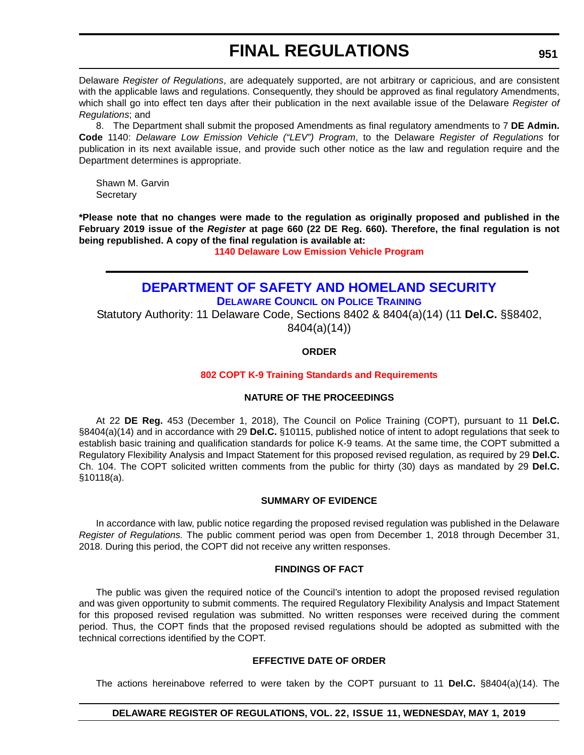Delaware *Register of Regulations*, are adequately supported, are not arbitrary or capricious, and are consistent with the applicable laws and regulations. Consequently, they should be approved as final regulatory Amendments, which shall go into effect ten days after their publication in the next available issue of the Delaware *Register of Regulations*; and

8. The Department shall submit the proposed Amendments as final regulatory amendments to 7 **DE Admin. Code** 1140: *Delaware Low Emission Vehicle ("LEV") Program*, to the Delaware *Register of Regulations* for publication in its next available issue, and provide such other notice as the law and regulation require and the Department determines is appropriate.

Shawn M. Garvin **Secretary** 

**\*Please note that no changes were made to the regulation as originally proposed and published in the February 2019 issue of the** *Register* **at page 660 (22 DE Reg. 660). Therefore, the final regulation is not being republished. A copy of the final regulation is available at:**

**[1140 Delaware Low Emission Vehicle Program](http://regulations.delaware.gov/register/may2019/final/22 DE Reg 949 05-01-19.htm)**

## **[DEPARTMENT OF SAFETY AND HOMELAND SECURITY](https://dshs.delaware.gov/)**

**[DELAWARE COUNCIL](https://dshs.delaware.gov/) ON POLICE TRAINING**

Statutory Authority: 11 Delaware Code, Sections 8402 & 8404(a)(14) (11 **Del.C.** §§8402, 8404(a)(14))

## **ORDER**

## **[802 COPT K-9 Training Standards and Requirements](#page-4-0)**

## **NATURE OF THE PROCEEDINGS**

At 22 **DE Reg.** 453 (December 1, 2018), The Council on Police Training (COPT), pursuant to 11 **Del.C.** §8404(a)(14) and in accordance with 29 **Del.C.** §10115, published notice of intent to adopt regulations that seek to establish basic training and qualification standards for police K-9 teams. At the same time, the COPT submitted a Regulatory Flexibility Analysis and Impact Statement for this proposed revised regulation, as required by 29 **Del.C.** Ch. 104. The COPT solicited written comments from the public for thirty (30) days as mandated by 29 **Del.C.** §10118(a).

## **SUMMARY OF EVIDENCE**

In accordance with law, public notice regarding the proposed revised regulation was published in the Delaware *Register of Regulations.* The public comment period was open from December 1, 2018 through December 31, 2018. During this period, the COPT did not receive any written responses.

#### **FINDINGS OF FACT**

The public was given the required notice of the Council's intention to adopt the proposed revised regulation and was given opportunity to submit comments. The required Regulatory Flexibility Analysis and Impact Statement for this proposed revised regulation was submitted. No written responses were received during the comment period. Thus, the COPT finds that the proposed revised regulations should be adopted as submitted with the technical corrections identified by the COPT.

### **EFFECTIVE DATE OF ORDER**

The actions hereinabove referred to were taken by the COPT pursuant to 11 **Del.C.** §8404(a)(14). The

## **DELAWARE REGISTER OF REGULATIONS, VOL. 22, ISSUE 11, WEDNESDAY, MAY 1, 2019**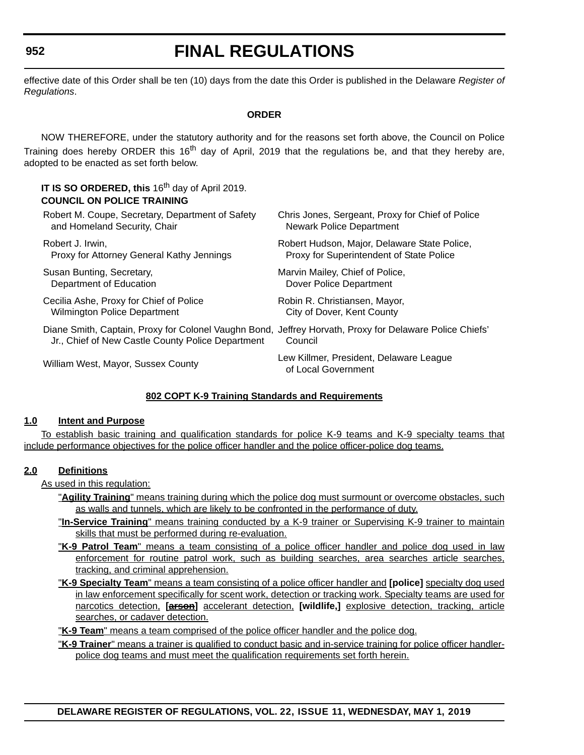effective date of this Order shall be ten (10) days from the date this Order is published in the Delaware *Register of Regulations*.

### **ORDER**

NOW THEREFORE, under the statutory authority and for the reasons set forth above, the Council on Police Training does hereby ORDER this 16<sup>th</sup> day of April, 2019 that the regulations be, and that they hereby are, adopted to be enacted as set forth below.

| IT IS SO ORDERED, this 16 <sup>th</sup> day of April 2019.<br><b>COUNCIL ON POLICE TRAINING</b>                                                              |                                                                |
|--------------------------------------------------------------------------------------------------------------------------------------------------------------|----------------------------------------------------------------|
| Robert M. Coupe, Secretary, Department of Safety                                                                                                             | Chris Jones, Sergeant, Proxy for Chief of Police               |
| and Homeland Security, Chair                                                                                                                                 | Newark Police Department                                       |
| Robert J. Irwin,                                                                                                                                             | Robert Hudson, Major, Delaware State Police,                   |
| Proxy for Attorney General Kathy Jennings                                                                                                                    | Proxy for Superintendent of State Police                       |
| Susan Bunting, Secretary,                                                                                                                                    | Marvin Mailey, Chief of Police,                                |
| Department of Education                                                                                                                                      | Dover Police Department                                        |
| Cecilia Ashe, Proxy for Chief of Police                                                                                                                      | Robin R. Christiansen, Mayor,                                  |
| <b>Wilmington Police Department</b>                                                                                                                          | City of Dover, Kent County                                     |
| Diane Smith, Captain, Proxy for Colonel Vaughn Bond, Jeffrey Horvath, Proxy for Delaware Police Chiefs'<br>Jr., Chief of New Castle County Police Department | Council                                                        |
| William West, Mayor, Sussex County                                                                                                                           | Lew Killmer, President, Delaware League<br>of Local Government |
|                                                                                                                                                              |                                                                |

## **802 COPT K-9 Training Standards and Requirements**

#### **1.0 Intent and Purpose**

To establish basic training and qualification standards for police K-9 teams and K-9 specialty teams that include performance objectives for the police officer handler and the police officer-police dog teams.

## **2.0 Definitions**

As used in this regulation:

- "**Agility Training**" means training during which the police dog must surmount or overcome obstacles, such as walls and tunnels, which are likely to be confronted in the performance of duty.
- "**In-Service Training**" means training conducted by a K-9 trainer or Supervising K-9 trainer to maintain skills that must be performed during re-evaluation.
- "**K-9 Patrol Team**" means a team consisting of a police officer handler and police dog used in law enforcement for routine patrol work, such as building searches, area searches article searches, tracking, and criminal apprehension.
- "**K-9 Specialty Team**" means a team consisting of a police officer handler and **[police]** specialty dog used in law enforcement specifically for scent work, detection or tracking work. Specialty teams are used for narcotics detection, **[arson]** accelerant detection, **[wildlife,]** explosive detection, tracking, article searches, or cadaver detection.

"**K-9 Team**" means a team comprised of the police officer handler and the police dog.

"**K-9 Trainer**" means a trainer is qualified to conduct basic and in-service training for police officer handlerpolice dog teams and must meet the qualification requirements set forth herein.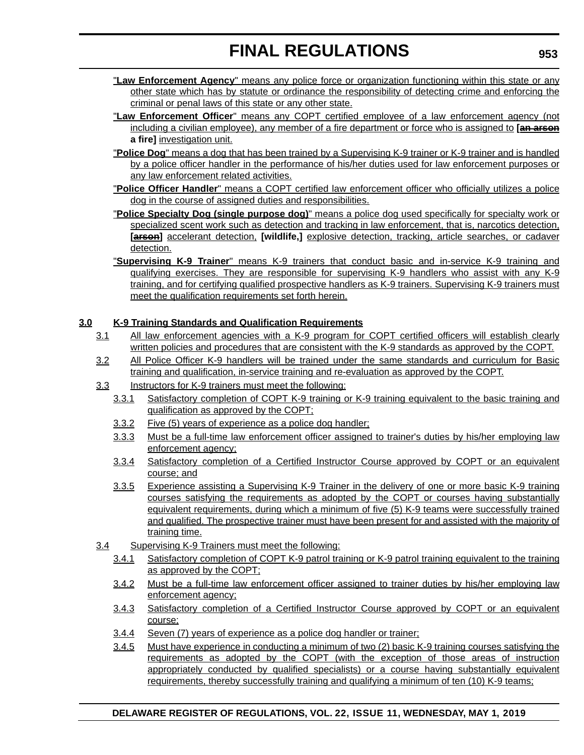- "**Law Enforcement Agency**" means any police force or organization functioning within this state or any other state which has by statute or ordinance the responsibility of detecting crime and enforcing the criminal or penal laws of this state or any other state.
- "**Law Enforcement Officer**" means any COPT certified employee of a law enforcement agency (not including a civilian employee), any member of a fire department or force who is assigned to **[an arson a fire]** investigation unit.
- "**Police Dog**" means a dog that has been trained by a Supervising K-9 trainer or K-9 trainer and is handled by a police officer handler in the performance of his/her duties used for law enforcement purposes or any law enforcement related activities.
- "**Police Officer Handler**" means a COPT certified law enforcement officer who officially utilizes a police dog in the course of assigned duties and responsibilities.
- "**Police Specialty Dog (single purpose dog)**" means a police dog used specifically for specialty work or specialized scent work such as detection and tracking in law enforcement, that is, narcotics detection, **[arson]** accelerant detection, **[wildlife,]** explosive detection, tracking, article searches, or cadaver detection.
- "**Supervising K-9 Trainer**" means K-9 trainers that conduct basic and in-service K-9 training and qualifying exercises. They are responsible for supervising K-9 handlers who assist with any K-9 training, and for certifying qualified prospective handlers as K-9 trainers. Supervising K-9 trainers must meet the qualification requirements set forth herein.

## **3.0 K-9 Training Standards and Qualification Requirements**

- 3.1 All law enforcement agencies with a K-9 program for COPT certified officers will establish clearly written policies and procedures that are consistent with the K-9 standards as approved by the COPT.
- 3.2 All Police Officer K-9 handlers will be trained under the same standards and curriculum for Basic training and qualification, in-service training and re-evaluation as approved by the COPT.
- 3.3 Instructors for K-9 trainers must meet the following:
	- 3.3.1 Satisfactory completion of COPT K-9 training or K-9 training equivalent to the basic training and qualification as approved by the COPT;
	- 3.3.2 Five (5) years of experience as a police dog handler;
	- 3.3.3 Must be a full-time law enforcement officer assigned to trainer's duties by his/her employing law enforcement agency;
	- 3.3.4 Satisfactory completion of a Certified Instructor Course approved by COPT or an equivalent course; and
	- 3.3.5 Experience assisting a Supervising K-9 Trainer in the delivery of one or more basic K-9 training courses satisfying the requirements as adopted by the COPT or courses having substantially equivalent requirements, during which a minimum of five (5) K-9 teams were successfully trained and qualified. The prospective trainer must have been present for and assisted with the majority of training time.
- 3.4 Supervising K-9 Trainers must meet the following:
	- 3.4.1 Satisfactory completion of COPT K-9 patrol training or K-9 patrol training equivalent to the training as approved by the COPT;
	- 3.4.2 Must be a full-time law enforcement officer assigned to trainer duties by his/her employing law enforcement agency;
	- 3.4.3 Satisfactory completion of a Certified Instructor Course approved by COPT or an equivalent course;
	- 3.4.4 Seven (7) years of experience as a police dog handler or trainer;
	- 3.4.5 Must have experience in conducting a minimum of two (2) basic K-9 training courses satisfying the requirements as adopted by the COPT (with the exception of those areas of instruction appropriately conducted by qualified specialists) or a course having substantially equivalent requirements, thereby successfully training and qualifying a minimum of ten (10) K-9 teams;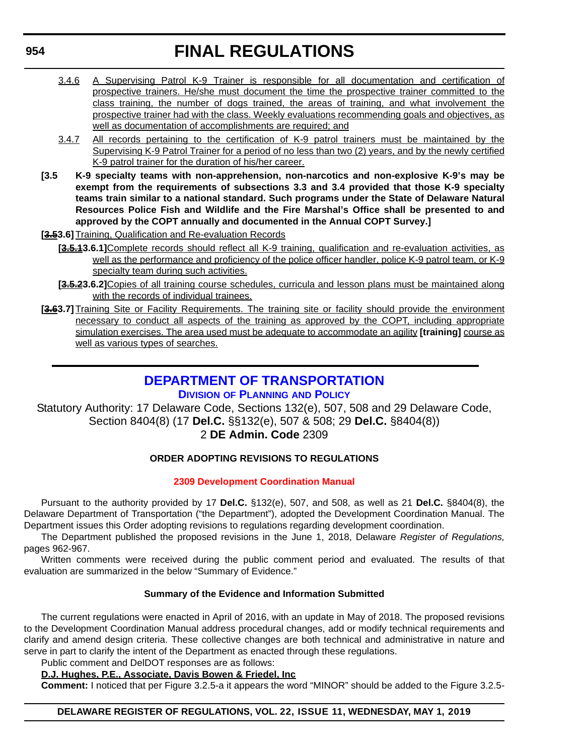- 3.4.6 A Supervising Patrol K-9 Trainer is responsible for all documentation and certification of prospective trainers. He/she must document the time the prospective trainer committed to the class training, the number of dogs trained, the areas of training, and what involvement the prospective trainer had with the class. Weekly evaluations recommending goals and objectives, as well as documentation of accomplishments are required; and
- 3.4.7 All records pertaining to the certification of K-9 patrol trainers must be maintained by the Supervising K-9 Patrol Trainer for a period of no less than two (2) years, and by the newly certified K-9 patrol trainer for the duration of his/her career.
- **[3.5 K-9 specialty teams with non-apprehension, non-narcotics and non-explosive K-9's may be exempt from the requirements of subsections 3.3 and 3.4 provided that those K-9 specialty teams train similar to a national standard. Such programs under the State of Delaware Natural Resources Police Fish and Wildlife and the Fire Marshal's Office shall be presented to and approved by the COPT annually and documented in the Annual COPT Survey.]**
- **[3.53.6]** Training, Qualification and Re-evaluation Records
	- **[3.5.13.6.1]**Complete records should reflect all K-9 training, qualification and re-evaluation activities, as well as the performance and proficiency of the police officer handler, police K-9 patrol team, or K-9 specialty team during such activities.
	- [3.5.23.6.2] Copies of all training course schedules, curricula and lesson plans must be maintained along with the records of individual trainees.
- **[3.63.7]** Training Site or Facility Requirements. The training site or facility should provide the environment necessary to conduct all aspects of the training as approved by the COPT, including appropriate simulation exercises. The area used must be adequate to accommodate an agility [training] course as well as various types of searches.

## **[DEPARTMENT OF TRANSPORTATION](https://www.deldot.gov/index.shtml ) DIVISION [OF PLANNING](https://www.deldot.gov/About/divisions/index.shtml ) AND POLICY**

Statutory Authority: 17 Delaware Code, Sections 132(e), 507, 508 and 29 Delaware Code, Section 8404(8) (17 **Del.C.** §§132(e), 507 & 508; 29 **Del.C.** §8404(8))

## 2 **DE Admin. Code** 2309

## **ORDER ADOPTING REVISIONS TO REGULATIONS**

## **[2309 Development Coordination Manual](#page-4-0)**

Pursuant to the authority provided by 17 **Del.C.** §132(e), 507, and 508, as well as 21 **Del.C.** §8404(8), the Delaware Department of Transportation ("the Department"), adopted the Development Coordination Manual. The Department issues this Order adopting revisions to regulations regarding development coordination.

The Department published the proposed revisions in the June 1, 2018, Delaware *Register of Regulations,* pages 962-967.

Written comments were received during the public comment period and evaluated. The results of that evaluation are summarized in the below "Summary of Evidence."

## **Summary of the Evidence and Information Submitted**

The current regulations were enacted in April of 2016, with an update in May of 2018. The proposed revisions to the Development Coordination Manual address procedural changes, add or modify technical requirements and clarify and amend design criteria. These collective changes are both technical and administrative in nature and serve in part to clarify the intent of the Department as enacted through these regulations.

#### Public comment and DelDOT responses are as follows: **D.J. Hughes, P.E., Associate, Davis Bowen & Friedel, Inc**

**Comment:** I noticed that per Figure 3.2.5-a it appears the word "MINOR" should be added to the Figure 3.2.5-

## **DELAWARE REGISTER OF REGULATIONS, VOL. 22, ISSUE 11, WEDNESDAY, MAY 1, 2019**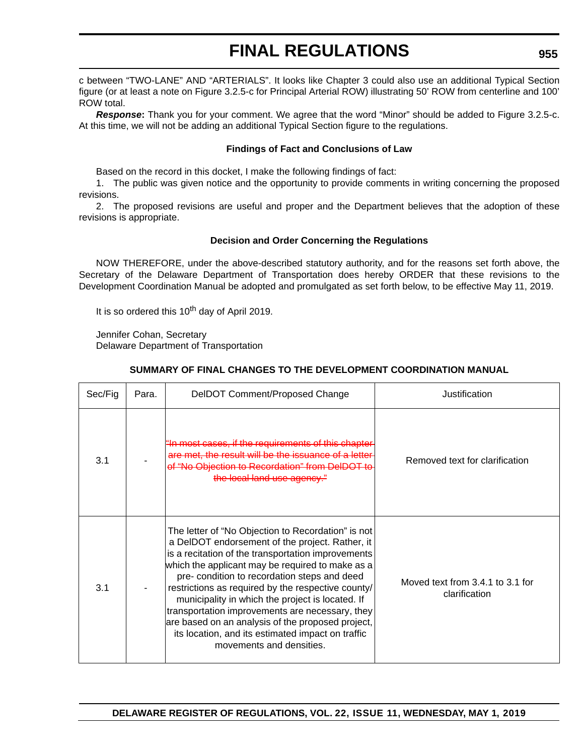c between "TWO-LANE" AND "ARTERIALS". It looks like Chapter 3 could also use an additional Typical Section figure (or at least a note on Figure 3.2.5-c for Principal Arterial ROW) illustrating 50' ROW from centerline and 100' ROW total.

*Response***:** Thank you for your comment. We agree that the word "Minor" should be added to Figure 3.2.5-c. At this time, we will not be adding an additional Typical Section figure to the regulations.

### **Findings of Fact and Conclusions of Law**

Based on the record in this docket, I make the following findings of fact:

1. The public was given notice and the opportunity to provide comments in writing concerning the proposed revisions.

2. The proposed revisions are useful and proper and the Department believes that the adoption of these revisions is appropriate.

### **Decision and Order Concerning the Regulations**

NOW THEREFORE, under the above-described statutory authority, and for the reasons set forth above, the Secretary of the Delaware Department of Transportation does hereby ORDER that these revisions to the Development Coordination Manual be adopted and promulgated as set forth below, to be effective May 11, 2019.

It is so ordered this  $10^{th}$  day of April 2019.

Jennifer Cohan, Secretary Delaware Department of Transportation

## **SUMMARY OF FINAL CHANGES TO THE DEVELOPMENT COORDINATION MANUAL**

| Sec/Fig | Para. | DelDOT Comment/Proposed Change                                                                                                                                                                                                                                                                                                                                                                                                                                                                                                                                     | Justification                                         |
|---------|-------|--------------------------------------------------------------------------------------------------------------------------------------------------------------------------------------------------------------------------------------------------------------------------------------------------------------------------------------------------------------------------------------------------------------------------------------------------------------------------------------------------------------------------------------------------------------------|-------------------------------------------------------|
| 3.1     |       | "In most cases, if the requirements of this chapter<br>are met, the result will be the issuance of a letter<br>of "No Objection to Recordation" from D<br>the local land use agency."                                                                                                                                                                                                                                                                                                                                                                              | Removed text for clarification                        |
| 3.1     |       | The letter of "No Objection to Recordation" is not<br>a DelDOT endorsement of the project. Rather, it<br>is a recitation of the transportation improvements<br>which the applicant may be required to make as a<br>pre- condition to recordation steps and deed<br>restrictions as required by the respective county/<br>municipality in which the project is located. If<br>transportation improvements are necessary, they<br>are based on an analysis of the proposed project,<br>its location, and its estimated impact on traffic<br>movements and densities. | Moved text from $3.4.1$ to $3.1$ for<br>clarification |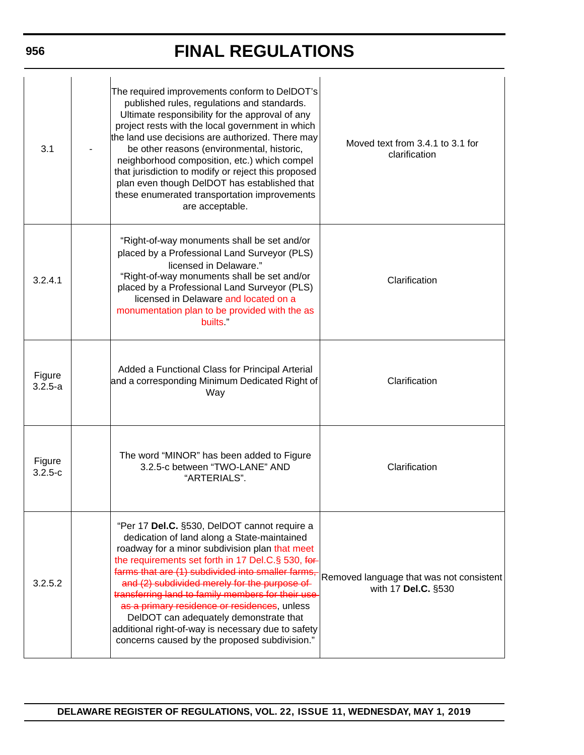| 3.1                   | The required improvements conform to DelDOT's<br>published rules, regulations and standards.<br>Ultimate responsibility for the approval of any<br>project rests with the local government in which<br>the land use decisions are authorized. There may<br>be other reasons (environmental, historic,<br>neighborhood composition, etc.) which compel<br>that jurisdiction to modify or reject this proposed<br>plan even though DelDOT has established that<br>these enumerated transportation improvements<br>are acceptable.                               | Moved text from 3.4.1 to 3.1 for<br>clarification               |
|-----------------------|---------------------------------------------------------------------------------------------------------------------------------------------------------------------------------------------------------------------------------------------------------------------------------------------------------------------------------------------------------------------------------------------------------------------------------------------------------------------------------------------------------------------------------------------------------------|-----------------------------------------------------------------|
| 3.2.4.1               | "Right-of-way monuments shall be set and/or<br>placed by a Professional Land Surveyor (PLS)<br>licensed in Delaware."<br>"Right-of-way monuments shall be set and/or<br>placed by a Professional Land Surveyor (PLS)<br>licensed in Delaware and located on a<br>monumentation plan to be provided with the as<br>builts."                                                                                                                                                                                                                                    | Clarification                                                   |
| Figure<br>$3.2.5 - a$ | Added a Functional Class for Principal Arterial<br>and a corresponding Minimum Dedicated Right of<br>Way                                                                                                                                                                                                                                                                                                                                                                                                                                                      | Clarification                                                   |
| Figure<br>$3.2.5-c$   | The word "MINOR" has been added to Figure<br>3.2.5-c between "TWO-LANE" AND<br>"ARTERIALS".                                                                                                                                                                                                                                                                                                                                                                                                                                                                   | Clarification                                                   |
| 3.2.5.2               | "Per 17 Del.C. §530, DelDOT cannot require a<br>dedication of land along a State-maintained<br>roadway for a minor subdivision plan that meet<br>the requirements set forth in 17 Del.C.§ 530, for-<br>farms that are (1) subdivided into smaller farms<br>and (2) subdivided merely for the purpose of<br>transferring land to family members for their use<br>as a primary residence or residences, unless<br>DelDOT can adequately demonstrate that<br>additional right-of-way is necessary due to safety<br>concerns caused by the proposed subdivision." | Removed language that was not consistent<br>with 17 Del.C. §530 |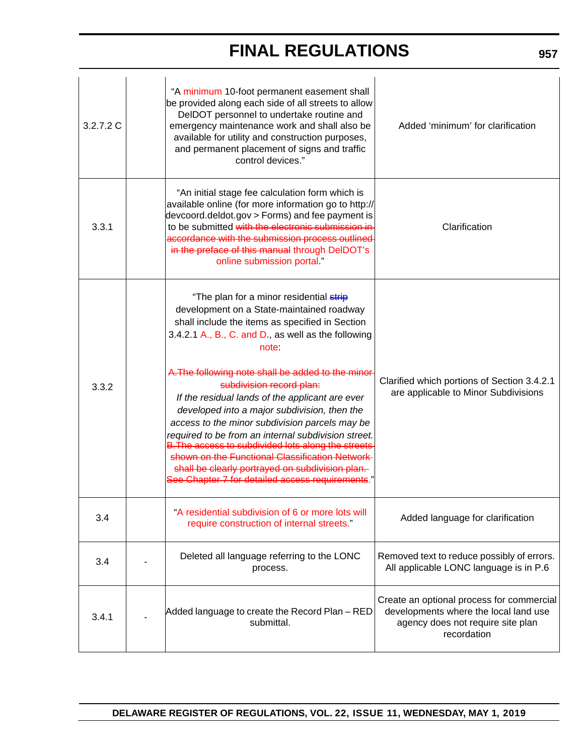| 3.2.7.2C | "A minimum 10-foot permanent easement shall<br>be provided along each side of all streets to allow<br>DelDOT personnel to undertake routine and<br>emergency maintenance work and shall also be<br>available for utility and construction purposes,<br>and permanent placement of signs and traffic<br>control devices."                                                                                                                                                                                                                                                                                                                                                                                                  | Added 'minimum' for clarification                                                                                                      |
|----------|---------------------------------------------------------------------------------------------------------------------------------------------------------------------------------------------------------------------------------------------------------------------------------------------------------------------------------------------------------------------------------------------------------------------------------------------------------------------------------------------------------------------------------------------------------------------------------------------------------------------------------------------------------------------------------------------------------------------------|----------------------------------------------------------------------------------------------------------------------------------------|
| 3.3.1    | "An initial stage fee calculation form which is<br>available online (for more information go to http://<br>devcoord.deldot.gov > Forms) and fee payment is<br>to be submitted with the electronic submission in<br>accordance with the submission process outlined<br>in the preface of this manual through DelDOT's<br>online submission portal."                                                                                                                                                                                                                                                                                                                                                                        | Clarification                                                                                                                          |
| 3.3.2    | "The plan for a minor residential strip<br>development on a State-maintained roadway<br>shall include the items as specified in Section<br>3.4.2.1 A., B., C. and D., as well as the following<br>note<br>A. The following note shall be added to the minor<br>subdivision record plan:<br>If the residual lands of the applicant are ever<br>developed into a major subdivision, then the<br>access to the minor subdivision parcels may be<br>required to be from an internal subdivision street.<br><b>B. The access to subdivided lots along the streets</b><br>shown on the Functional Classification Network<br>shall be clearly portrayed on subdivision plan.<br>See Chapter 7 for detailed access requirements." | Clarified which portions of Section 3.4.2.1<br>are applicable to Minor Subdivisions                                                    |
| 3.4      | "A residential subdivision of 6 or more lots will<br>require construction of internal streets."                                                                                                                                                                                                                                                                                                                                                                                                                                                                                                                                                                                                                           | Added language for clarification                                                                                                       |
| 3.4      | Deleted all language referring to the LONC<br>process.                                                                                                                                                                                                                                                                                                                                                                                                                                                                                                                                                                                                                                                                    | Removed text to reduce possibly of errors.<br>All applicable LONC language is in P.6                                                   |
| 3.4.1    | Added language to create the Record Plan - RED<br>submittal.                                                                                                                                                                                                                                                                                                                                                                                                                                                                                                                                                                                                                                                              | Create an optional process for commercial<br>developments where the local land use<br>agency does not require site plan<br>recordation |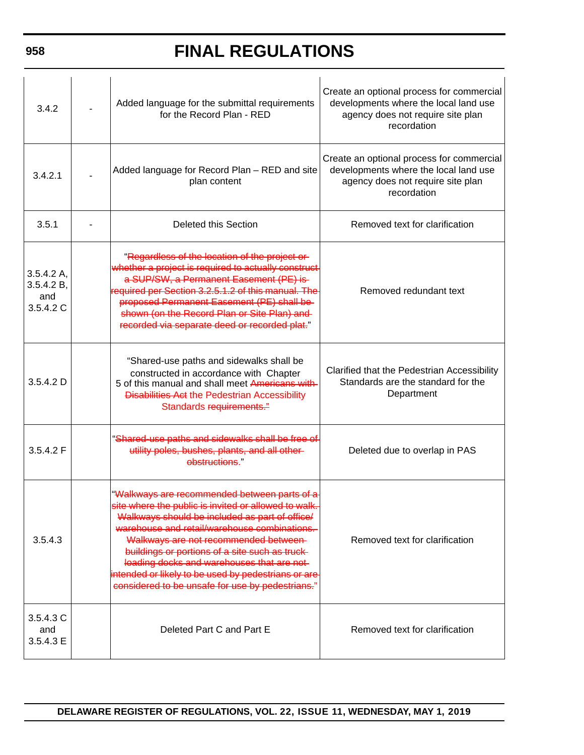| 3.4.2                                       | Added language for the submittal requirements<br>for the Record Plan - RED                                                                                                                                                                                                                                                                                                                                                                                 | Create an optional process for commercial<br>developments where the local land use<br>agency does not require site plan<br>recordation |
|---------------------------------------------|------------------------------------------------------------------------------------------------------------------------------------------------------------------------------------------------------------------------------------------------------------------------------------------------------------------------------------------------------------------------------------------------------------------------------------------------------------|----------------------------------------------------------------------------------------------------------------------------------------|
| 3.4.2.1                                     | Added language for Record Plan - RED and site<br>plan content                                                                                                                                                                                                                                                                                                                                                                                              | Create an optional process for commercial<br>developments where the local land use<br>agency does not require site plan<br>recordation |
| 3.5.1                                       | Deleted this Section                                                                                                                                                                                                                                                                                                                                                                                                                                       | Removed text for clarification                                                                                                         |
| 3.5.4.2 A<br>3.5.4.2 B,<br>and<br>3.5.4.2 C | "Regardless of the location of the project or-<br>whether a project is required to actually construct<br>a SUP/SW, a Permanent Easement (PE) is<br>required per Section 3.2.5.1.2 of this manual. The<br>proposed Permanent Easement (PE) shall be-<br>shown (on the Record Plan or Site Plan) and<br>recorded via separate deed or recorded plat."                                                                                                        | Removed redundant text                                                                                                                 |
| 3.5.4.2 D                                   | "Shared-use paths and sidewalks shall be<br>constructed in accordance with Chapter<br>5 of this manual and shall meet Americans with<br><b>Disabilities Act the Pedestrian Accessibility</b><br>Standards requirements."                                                                                                                                                                                                                                   | Clarified that the Pedestrian Accessibility<br>Standards are the standard for the<br>Department                                        |
| 3.5.4.2 F                                   | "Shared-use paths and sidewalks shall be free of<br>utility poles, bushes, plants, and all other-<br>ebstructions."                                                                                                                                                                                                                                                                                                                                        | Deleted due to overlap in PAS                                                                                                          |
| 3.5.4.3                                     | "Walkways are recommended between parts of a<br>site where the public is invited or allowed to walk.<br>Walkways should be included as part of office/<br>warehouse and retail/warehouse combinations.<br>Walkways are not recommended between-<br>buildings or portions of a site such as truck-<br>loading docks and warehouses that are not-<br>intended or likely to be used by pedestrians or are<br>considered to be unsafe for use by pedestrians." | Removed text for clarification                                                                                                         |
| 3.5.4.3 C<br>and<br>3.5.4.3 E               | Deleted Part C and Part E                                                                                                                                                                                                                                                                                                                                                                                                                                  | Removed text for clarification                                                                                                         |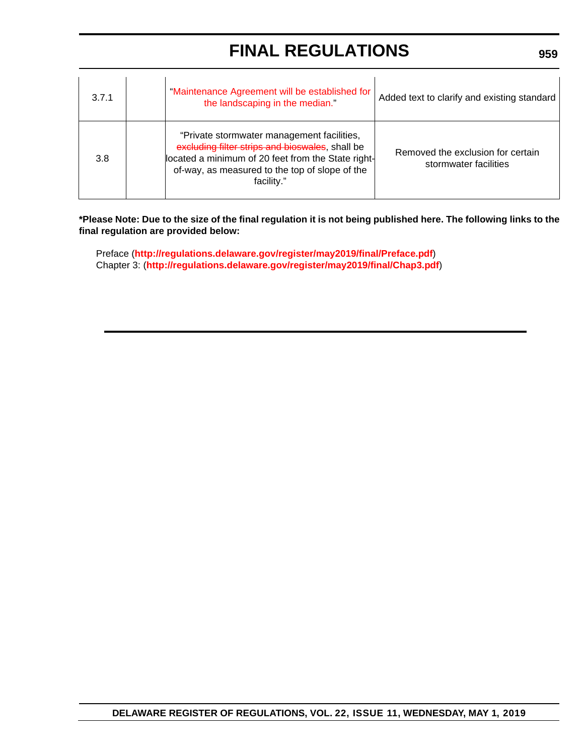| 3.7.1 | "Maintenance Agreement will be established for<br>the landscaping in the median."                                                                                                                                   | Added text to clarify and existing standard                |
|-------|---------------------------------------------------------------------------------------------------------------------------------------------------------------------------------------------------------------------|------------------------------------------------------------|
| 3.8   | "Private stormwater management facilities,<br>excluding filter strips and bioswales, shall be<br>located a minimum of 20 feet from the State right-<br>of-way, as measured to the top of slope of the<br>facility." | Removed the exclusion for certain<br>stormwater facilities |

**\*Please Note: Due to the size of the final regulation it is not being published here. The following links to the final regulation are provided below:**

Preface (**<http://regulations.delaware.gov/register/may2019/final/Preface.pdf>**) [Chapter 3: \(](http://regulations.delaware.gov/register/may2019/final/Chap3.pdf)**<http://regulations.delaware.gov/register/may2019/final/Chap3.pdf>**)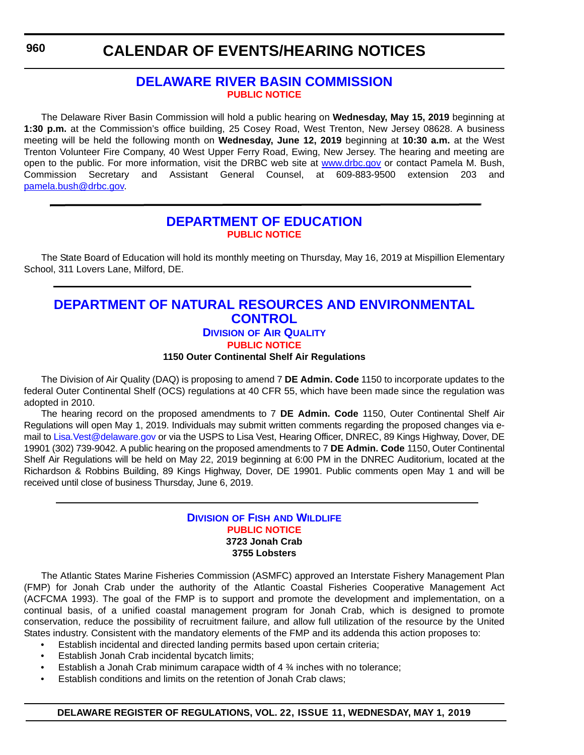## **[DELAWARE RIVER BASIN COMMISSION](https://www.state.nj.us/drbc/) [PUBLIC NOTICE](#page-4-0)**

The Delaware River Basin Commission will hold a public hearing on **Wednesday, May 15, 2019** beginning at **1:30 p.m.** at the Commission's office building, 25 Cosey Road, West Trenton, New Jersey 08628. A business meeting will be held the following month on **Wednesday, June 12, 2019** beginning at **10:30 a.m.** at the West Trenton Volunteer Fire Company, 40 West Upper Ferry Road, Ewing, New Jersey. The hearing and meeting are open to the public. For more information, visit the DRBC web site at <www.drbc.gov>or contact Pamela M. Bush, Commission Secretary and Assistant General Counsel, at 609-883-9500 extension 203 and [pamela.bush@drbc.gov.](mailto:pamela.bush@drbc.gov)

## **[DEPARTMENT OF EDUCATION](https://www.doe.k12.de.us/) [PUBLIC NOTICE](#page-4-0)**

The State Board of Education will hold its monthly meeting on Thursday, May 16, 2019 at Mispillion Elementary School, 311 Lovers Lane, Milford, DE.

## **[DEPARTMENT OF NATURAL RESOURCES AND ENVIRONMENTAL](https://dnrec.alpha.delaware.gov/air/)  CONTROL**

## **DIVISION OF AIR QUALITY**

**[PUBLIC NOTICE](#page-4-0)**

**1150 Outer Continental Shelf Air Regulations**

The Division of Air Quality (DAQ) is proposing to amend 7 **DE Admin. Code** 1150 to incorporate updates to the federal Outer Continental Shelf (OCS) regulations at 40 CFR 55, which have been made since the regulation was adopted in 2010.

The hearing record on the proposed amendments to 7 **DE Admin. Code** 1150, Outer Continental Shelf Air Regulations will open May 1, 2019. Individuals may submit written comments regarding the proposed changes via email to Lisa. Vest@delaware.gov or via the USPS to Lisa Vest, Hearing Officer, DNREC, 89 Kings Highway, Dover, DE 19901 (302) 739-9042. A public hearing on the proposed amendments to 7 **DE Admin. Code** 1150, Outer Continental Shelf Air Regulations will be held on May 22, 2019 beginning at 6:00 PM in the DNREC Auditorium, located at the Richardson & Robbins Building, 89 Kings Highway, Dover, DE 19901. Public comments open May 1 and will be received until close of business Thursday, June 6, 2019.

## **DIVISION OF FISH [AND WILDLIFE](https://dnrec.alpha.delaware.gov/fish-wildlife/) [PUBLIC NOTICE](#page-4-0) 3723 Jonah Crab 3755 Lobsters**

The Atlantic States Marine Fisheries Commission (ASMFC) approved an Interstate Fishery Management Plan (FMP) for Jonah Crab under the authority of the Atlantic Coastal Fisheries Cooperative Management Act (ACFCMA 1993). The goal of the FMP is to support and promote the development and implementation, on a continual basis, of a unified coastal management program for Jonah Crab, which is designed to promote conservation, reduce the possibility of recruitment failure, and allow full utilization of the resource by the United States industry. Consistent with the mandatory elements of the FMP and its addenda this action proposes to:

- Establish incidental and directed landing permits based upon certain criteria;
- Establish Jonah Crab incidental bycatch limits;
- Establish a Jonah Crab minimum carapace width of  $4\frac{3}{4}$  inches with no tolerance;
- Establish conditions and limits on the retention of Jonah Crab claws;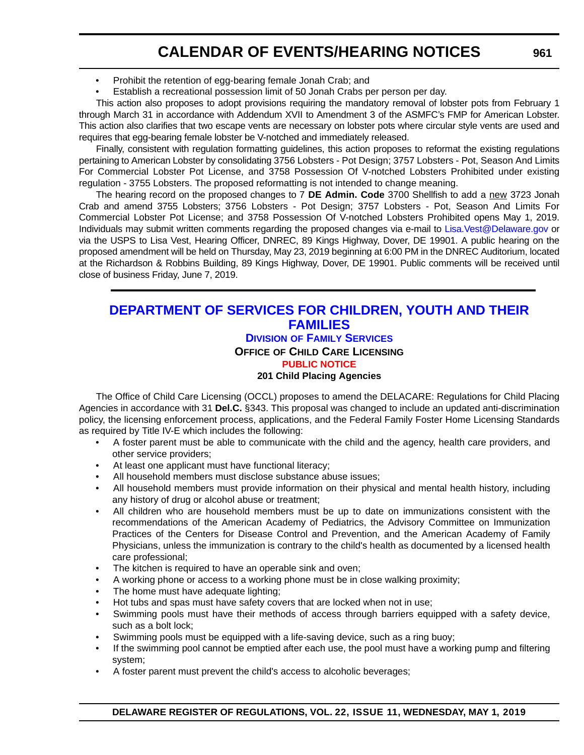- Prohibit the retention of egg-bearing female Jonah Crab; and
- Establish a recreational possession limit of 50 Jonah Crabs per person per day.

This action also proposes to adopt provisions requiring the mandatory removal of lobster pots from February 1 through March 31 in accordance with Addendum XVII to Amendment 3 of the ASMFC's FMP for American Lobster. This action also clarifies that two escape vents are necessary on lobster pots where circular style vents are used and requires that egg-bearing female lobster be V-notched and immediately released.

Finally, consistent with regulation formatting guidelines, this action proposes to reformat the existing regulations pertaining to American Lobster by consolidating 3756 Lobsters - Pot Design; 3757 Lobsters - Pot, Season And Limits For Commercial Lobster Pot License, and 3758 Possession Of V-notched Lobsters Prohibited under existing regulation - 3755 Lobsters. The proposed reformatting is not intended to change meaning.

The hearing record on the proposed changes to 7 **DE Admin. Code** 3700 Shellfish to add a new 3723 Jonah Crab and amend 3755 Lobsters; 3756 Lobsters - Pot Design; 3757 Lobsters - Pot, Season And Limits For Commercial Lobster Pot License; and 3758 Possession Of V-notched Lobsters Prohibited opens May 1, 2019. Individuals may submit written comments regarding the proposed changes via e-mail to [Lisa.Vest@Delaware.gov](mailto:Lisa.Vest@Delaware.gov) or via the USPS to Lisa Vest, Hearing Officer, DNREC, 89 Kings Highway, Dover, DE 19901. A public hearing on the proposed amendment will be held on Thursday, May 23, 2019 beginning at 6:00 PM in the DNREC Auditorium, located at the Richardson & Robbins Building, 89 Kings Highway, Dover, DE 19901. Public comments will be received until close of business Friday, June 7, 2019.

## **[DEPARTMENT OF SERVICES FOR CHILDREN, YOUTH AND THEIR](https://kids.delaware.gov/fs/fs.shtml)  FAMILIES**

## **DIVISION OF FAMILY SERVICES**

**OFFICE OF CHILD CARE LICENSING**

## **[PUBLIC NOTICE](#page-4-0)**

#### **201 Child Placing Agencies**

The Office of Child Care Licensing (OCCL) proposes to amend the DELACARE: Regulations for Child Placing Agencies in accordance with 31 **Del.C.** §343. This proposal was changed to include an updated anti-discrimination policy, the licensing enforcement process, applications, and the Federal Family Foster Home Licensing Standards as required by Title IV-E which includes the following:

- A foster parent must be able to communicate with the child and the agency, health care providers, and other service providers;
- At least one applicant must have functional literacy;
- All household members must disclose substance abuse issues;
- All household members must provide information on their physical and mental health history, including any history of drug or alcohol abuse or treatment;
- All children who are household members must be up to date on immunizations consistent with the recommendations of the American Academy of Pediatrics, the Advisory Committee on Immunization Practices of the Centers for Disease Control and Prevention, and the American Academy of Family Physicians, unless the immunization is contrary to the child's health as documented by a licensed health care professional;
- The kitchen is required to have an operable sink and oven;
- A working phone or access to a working phone must be in close walking proximity;
- The home must have adequate lighting;
- Hot tubs and spas must have safety covers that are locked when not in use;
- Swimming pools must have their methods of access through barriers equipped with a safety device, such as a bolt lock;
- Swimming pools must be equipped with a life-saving device, such as a ring buoy;
- If the swimming pool cannot be emptied after each use, the pool must have a working pump and filtering system;
- A foster parent must prevent the child's access to alcoholic beverages;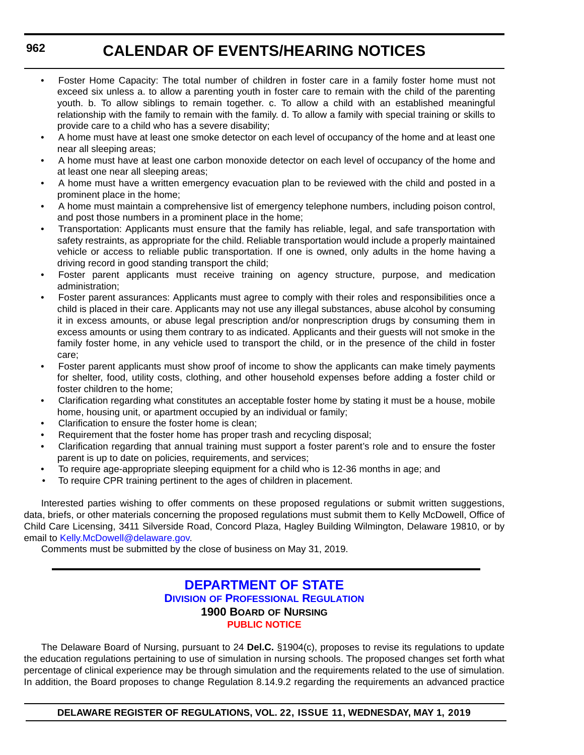- Foster Home Capacity: The total number of children in foster care in a family foster home must not exceed six unless a. to allow a parenting youth in foster care to remain with the child of the parenting youth. b. To allow siblings to remain together. c. To allow a child with an established meaningful relationship with the family to remain with the family. d. To allow a family with special training or skills to provide care to a child who has a severe disability;
- A home must have at least one smoke detector on each level of occupancy of the home and at least one near all sleeping areas;
- A home must have at least one carbon monoxide detector on each level of occupancy of the home and at least one near all sleeping areas;
- A home must have a written emergency evacuation plan to be reviewed with the child and posted in a prominent place in the home;
- A home must maintain a comprehensive list of emergency telephone numbers, including poison control, and post those numbers in a prominent place in the home;
- Transportation: Applicants must ensure that the family has reliable, legal, and safe transportation with safety restraints, as appropriate for the child. Reliable transportation would include a properly maintained vehicle or access to reliable public transportation. If one is owned, only adults in the home having a driving record in good standing transport the child;
- Foster parent applicants must receive training on agency structure, purpose, and medication administration;
- Foster parent assurances: Applicants must agree to comply with their roles and responsibilities once a child is placed in their care. Applicants may not use any illegal substances, abuse alcohol by consuming it in excess amounts, or abuse legal prescription and/or nonprescription drugs by consuming them in excess amounts or using them contrary to as indicated. Applicants and their guests will not smoke in the family foster home, in any vehicle used to transport the child, or in the presence of the child in foster care;
- Foster parent applicants must show proof of income to show the applicants can make timely payments for shelter, food, utility costs, clothing, and other household expenses before adding a foster child or foster children to the home;
- Clarification regarding what constitutes an acceptable foster home by stating it must be a house, mobile home, housing unit, or apartment occupied by an individual or family;
- Clarification to ensure the foster home is clean:
- Requirement that the foster home has proper trash and recycling disposal;
- Clarification regarding that annual training must support a foster parent's role and to ensure the foster parent is up to date on policies, requirements, and services;
- To require age-appropriate sleeping equipment for a child who is 12-36 months in age; and
- To require CPR training pertinent to the ages of children in placement.

Interested parties wishing to offer comments on these proposed regulations or submit written suggestions, data, briefs, or other materials concerning the proposed regulations must submit them to Kelly McDowell, Office of Child Care Licensing, 3411 Silverside Road, Concord Plaza, Hagley Building Wilmington, Delaware 19810, or by email to [Kelly.McDowell@delaware.gov.](mailto:Kelly.McDowell@delaware.gov)

Comments must be submitted by the close of business on May 31, 2019.

## **[DEPARTMENT OF STATE](https://dpr.delaware.gov/) DIVISION OF PROFESSIONAL REGULATION 1900 BOARD OF NURSING [PUBLIC NOTICE](#page-4-0)**

The Delaware Board of Nursing, pursuant to 24 **Del.C.** §1904(c), proposes to revise its regulations to update the education regulations pertaining to use of simulation in nursing schools. The proposed changes set forth what percentage of clinical experience may be through simulation and the requirements related to the use of simulation. In addition, the Board proposes to change Regulation 8.14.9.2 regarding the requirements an advanced practice

**DELAWARE REGISTER OF REGULATIONS, VOL. 22, ISSUE 11, WEDNESDAY, MAY 1, 2019**